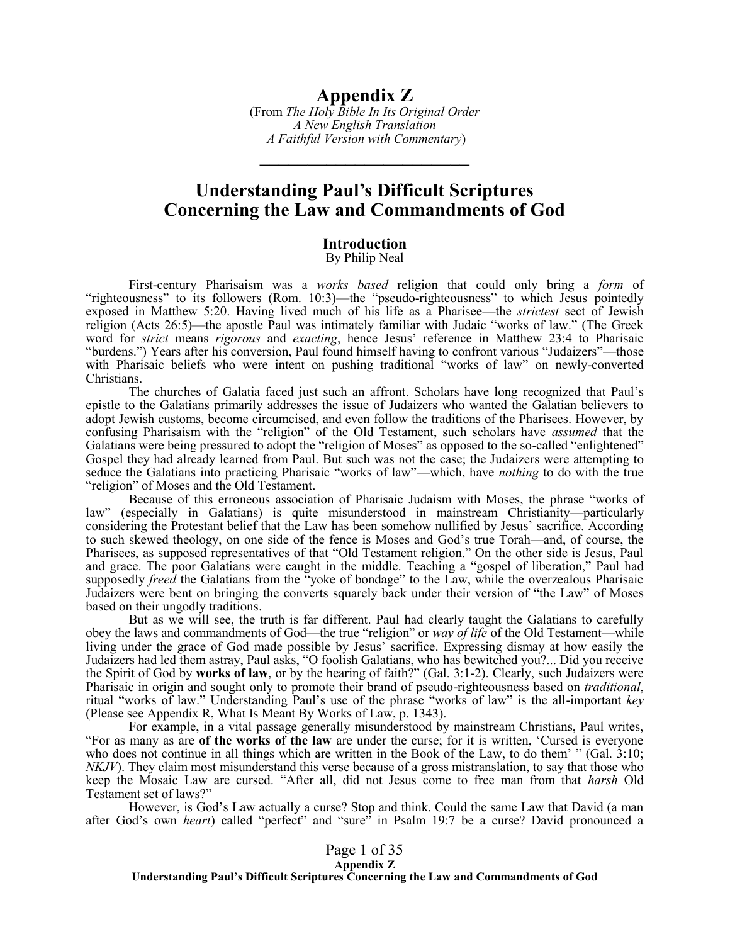# **Appendix Z**

(From *The Holy Bible In Its Original Order A New English Translation A Faithful Version with Commentary*)

**\_\_\_\_\_\_\_\_\_\_\_\_\_\_\_\_\_\_\_\_\_\_**

# **Understanding Paul's Difficult Scriptures Concerning the Law and Commandments of God**

# **Introduction**

By Philip Neal

First-century Pharisaism was a *works based* religion that could only bring a *form* of "righteousness" to its followers (Rom. 10:3)—the "pseudo-righteousness" to which Jesus pointedly exposed in Matthew 5:20. Having lived much of his life as a Pharisee—the *strictest* sect of Jewish religion (Acts 26:5)—the apostle Paul was intimately familiar with Judaic "works of law." (The Greek word for *strict* means *rigorous* and *exacting*, hence Jesus' reference in Matthew 23:4 to Pharisaic "burdens.") Years after his conversion, Paul found himself having to confront various "Judaizers"—those with Pharisaic beliefs who were intent on pushing traditional "works of law" on newly-converted Christians.

The churches of Galatia faced just such an affront. Scholars have long recognized that Paul's epistle to the Galatians primarily addresses the issue of Judaizers who wanted the Galatian believers to adopt Jewish customs, become circumcised, and even follow the traditions of the Pharisees. However, by confusing Pharisaism with the "religion" of the Old Testament, such scholars have *assumed* that the Galatians were being pressured to adopt the "religion of Moses" as opposed to the so-called "enlightened" Gospel they had already learned from Paul. But such was not the case; the Judaizers were attempting to seduce the Galatians into practicing Pharisaic "works of law"—which, have *nothing* to do with the true "religion" of Moses and the Old Testament.

Because of this erroneous association of Pharisaic Judaism with Moses, the phrase "works of law" (especially in Galatians) is quite misunderstood in mainstream Christianity—particularly considering the Protestant belief that the Law has been somehow nullified by Jesus' sacrifice. According to such skewed theology, on one side of the fence is Moses and God's true Torah—and, of course, the Pharisees, as supposed representatives of that "Old Testament religion." On the other side is Jesus, Paul and grace. The poor Galatians were caught in the middle. Teaching a "gospel of liberation," Paul had supposedly *freed* the Galatians from the "yoke of bondage" to the Law, while the overzealous Pharisaic Judaizers were bent on bringing the converts squarely back under their version of "the Law" of Moses based on their ungodly traditions.

But as we will see, the truth is far different. Paul had clearly taught the Galatians to carefully obey the laws and commandments of God—the true "religion" or *way of life* of the Old Testament—while living under the grace of God made possible by Jesus' sacrifice. Expressing dismay at how easily the Judaizers had led them astray, Paul asks, "O foolish Galatians, who has bewitched you?... Did you receive the Spirit of God by **works of law**, or by the hearing of faith?" (Gal. 3:1-2). Clearly, such Judaizers were Pharisaic in origin and sought only to promote their brand of pseudo-righteousness based on *traditional*, ritual "works of law." Understanding Paul's use of the phrase "works of law" is the all-important *key*  (Please see Appendix R, What Is Meant By Works of Law, p. 1343).

For example, in a vital passage generally misunderstood by mainstream Christians, Paul writes, "For as many as are **of the works of the law** are under the curse; for it is written, 'Cursed is everyone who does not continue in all things which are written in the Book of the Law, to do them' " (Gal. 3:10; *NKJV*). They claim most misunderstand this verse because of a gross mistranslation, to say that those who keep the Mosaic Law are cursed. "After all, did not Jesus come to free man from that *harsh* Old Testament set of laws?"

However, is God's Law actually a curse? Stop and think. Could the same Law that David (a man after God's own *heart*) called "perfect" and "sure" in Psalm 19:7 be a curse? David pronounced a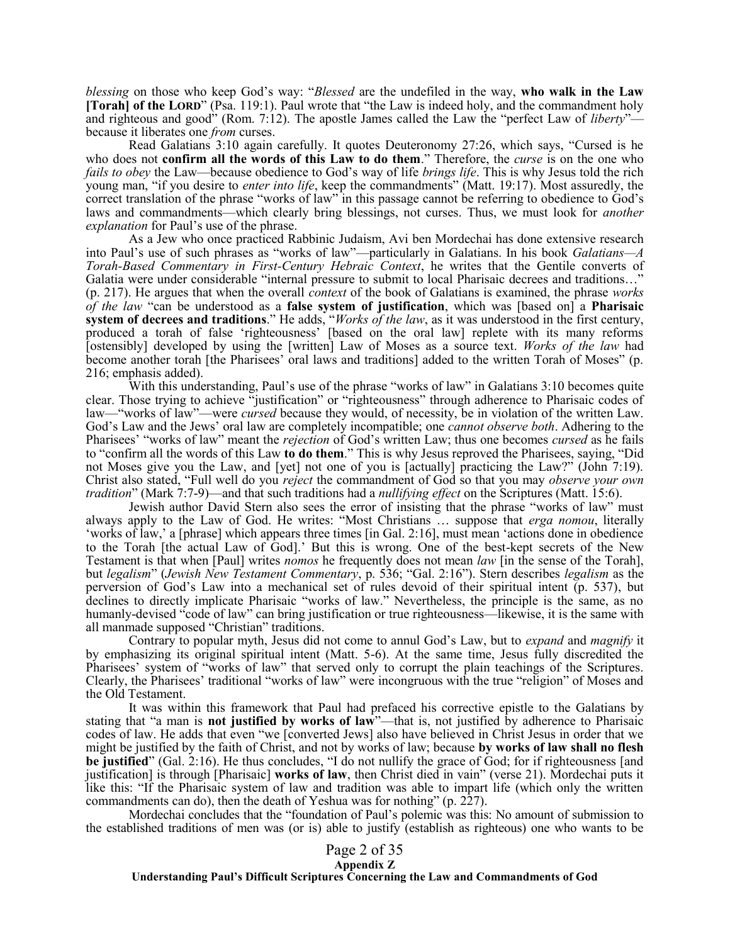*blessing* on those who keep God's way: "*Blessed* are the undefiled in the way, **who walk in the Law [Torah] of the LORD**" (Psa. 119:1). Paul wrote that "the Law is indeed holy, and the commandment holy and righteous and good" (Rom. 7:12). The apostle James called the Law the "perfect Law of *liberty*" because it liberates one *from* curses.

Read Galatians 3:10 again carefully. It quotes Deuteronomy 27:26, which says, "Cursed is he who does not **confirm all the words of this Law to do them**." Therefore, the *curse* is on the one who *fails to obey* the Law—because obedience to God's way of life *brings life*. This is why Jesus told the rich young man, "if you desire to *enter into life*, keep the commandments" (Matt. 19:17). Most assuredly, the correct translation of the phrase "works of law" in this passage cannot be referring to obedience to God's laws and commandments—which clearly bring blessings, not curses. Thus, we must look for *another explanation* for Paul's use of the phrase.

As a Jew who once practiced Rabbinic Judaism, Avi ben Mordechai has done extensive research into Paul's use of such phrases as "works of law"—particularly in Galatians. In his book *Galatians—A Torah-Based Commentary in First-Century Hebraic Context*, he writes that the Gentile converts of Galatia were under considerable "internal pressure to submit to local Pharisaic decrees and traditions…" (p. 217). He argues that when the overall *context* of the book of Galatians is examined, the phrase *works of the law* "can be understood as a **false system of justification**, which was [based on] a **Pharisaic system of decrees and traditions**." He adds, "*Works of the law*, as it was understood in the first century, produced a torah of false 'righteousness' [based on the oral law] replete with its many reforms [ostensibly] developed by using the [written] Law of Moses as a source text. *Works of the law* had become another torah [the Pharisees' oral laws and traditions] added to the written Torah of Moses" (p. 216; emphasis added).

With this understanding, Paul's use of the phrase "works of law" in Galatians 3:10 becomes quite clear. Those trying to achieve "justification" or "righteousness" through adherence to Pharisaic codes of law—"works of law"—were *cursed* because they would, of necessity, be in violation of the written Law. God's Law and the Jews' oral law are completely incompatible; one *cannot observe both*. Adhering to the Pharisees' "works of law" meant the *rejection* of God's written Law; thus one becomes *cursed* as he fails to "confirm all the words of this Law **to do them**." This is why Jesus reproved the Pharisees, saying, "Did not Moses give you the Law, and [yet] not one of you is [actually] practicing the Law?" (John 7:19). Christ also stated, "Full well do you *reject* the commandment of God so that you may *observe your own tradition*" (Mark 7:7-9)—and that such traditions had a *nullifying effect* on the Scriptures (Matt. 15:6).

Jewish author David Stern also sees the error of insisting that the phrase "works of law" must always apply to the Law of God. He writes: "Most Christians … suppose that *erga nomou*, literally 'works of law,' a [phrase] which appears three times [in Gal. 2:16], must mean 'actions done in obedience to the Torah [the actual Law of God].' But this is wrong. One of the best-kept secrets of the New Testament is that when [Paul] writes *nomos* he frequently does not mean *law* [in the sense of the Torah], but *legalism*" (*Jewish New Testament Commentary*, p. 536; "Gal. 2:16"). Stern describes *legalism* as the perversion of God's Law into a mechanical set of rules devoid of their spiritual intent (p. 537), but declines to directly implicate Pharisaic "works of law." Nevertheless, the principle is the same, as no humanly-devised "code of law" can bring justification or true righteousness—likewise, it is the same with all manmade supposed "Christian" traditions.

Contrary to popular myth, Jesus did not come to annul God's Law, but to *expand* and *magnify* it by emphasizing its original spiritual intent (Matt. 5-6). At the same time, Jesus fully discredited the Pharisees' system of "works of law" that served only to corrupt the plain teachings of the Scriptures. Clearly, the Pharisees' traditional "works of law" were incongruous with the true "religion" of Moses and the Old Testament.

It was within this framework that Paul had prefaced his corrective epistle to the Galatians by stating that "a man is **not justified by works of law**"—that is, not justified by adherence to Pharisaic codes of law. He adds that even "we [converted Jews] also have believed in Christ Jesus in order that we might be justified by the faith of Christ, and not by works of law; because **by works of law shall no flesh be justified**" (Gal. 2:16). He thus concludes, "I do not nullify the grace of God; for if righteousness [and justification] is through [Pharisaic] **works of law**, then Christ died in vain" (verse 21). Mordechai puts it like this: "If the Pharisaic system of law and tradition was able to impart life (which only the written commandments can do), then the death of Yeshua was for nothing" (p. 227).

Mordechai concludes that the "foundation of Paul's polemic was this: No amount of submission to the established traditions of men was (or is) able to justify (establish as righteous) one who wants to be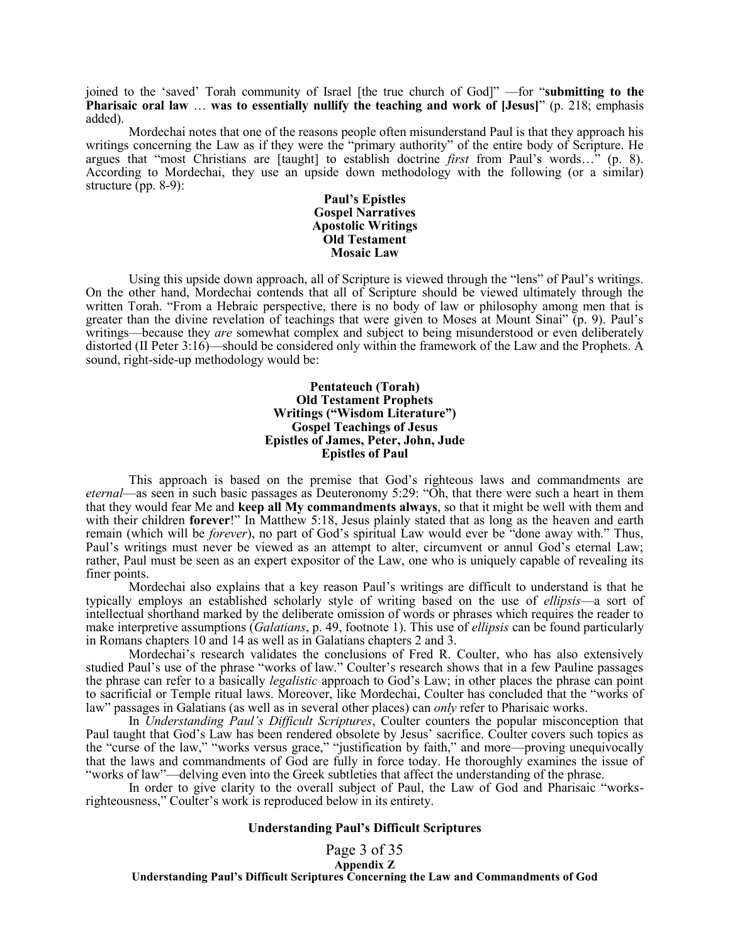joined to the 'saved' Torah community of Israel [the true church of God]" —for "**submitting to the Pharisaic oral law** … **was to essentially nullify the teaching and work of [Jesus]**" (p. 218; emphasis added).

Mordechai notes that one of the reasons people often misunderstand Paul is that they approach his writings concerning the Law as if they were the "primary authority" of the entire body of Scripture. He argues that "most Christians are [taught] to establish doctrine *first* from Paul's words…" (p. 8). According to Mordechai, they use an upside down methodology with the following (or a similar) structure (pp. 8-9):

# **Paul's Epistles Gospel Narratives Apostolic Writings Old Testament Mosaic Law**

Using this upside down approach, all of Scripture is viewed through the "lens" of Paul's writings. On the other hand, Mordechai contends that all of Scripture should be viewed ultimately through the written Torah. "From a Hebraic perspective, there is no body of law or philosophy among men that is greater than the divine revelation of teachings that were given to Moses at Mount Sinai" (p. 9). Paul's writings—because they *are* somewhat complex and subject to being misunderstood or even deliberately distorted (II Peter 3:16)—should be considered only within the framework of the Law and the Prophets. A sound, right-side-up methodology would be:

# **Pentateuch (Torah) Old Testament Prophets Writings ("Wisdom Literature") Gospel Teachings of Jesus Epistles of James, Peter, John, Jude Epistles of Paul**

This approach is based on the premise that God's righteous laws and commandments are *eternal*—as seen in such basic passages as Deuteronomy 5:29: "Oh, that there were such a heart in them that they would fear Me and **keep all My commandments always**, so that it might be well with them and with their children **forever!**" In Matthew 5:18, Jesus plainly stated that as long as the heaven and earth remain (which will be *forever*), no part of God's spiritual Law would ever be "done away with." Thus, Paul's writings must never be viewed as an attempt to alter, circumvent or annul God's eternal Law; rather, Paul must be seen as an expert expositor of the Law, one who is uniquely capable of revealing its finer points.

Mordechai also explains that a key reason Paul's writings are difficult to understand is that he typically employs an established scholarly style of writing based on the use of *ellipsis*—a sort of intellectual shorthand marked by the deliberate omission of words or phrases which requires the reader to make interpretive assumptions (*Galatians*, p. 49, footnote 1). This use of *ellipsis* can be found particularly in Romans chapters 10 and 14 as well as in Galatians chapters 2 and 3.

Mordechai's research validates the conclusions of Fred R. Coulter, who has also extensively studied Paul's use of the phrase "works of law." Coulter's research shows that in a few Pauline passages the phrase can refer to a basically *legalistic* approach to God's Law; in other places the phrase can point to sacrificial or Temple ritual laws. Moreover, like Mordechai, Coulter has concluded that the "works of law" passages in Galatians (as well as in several other places) can *only* refer to Pharisaic works.

In *Understanding Paul's Difficult Scriptures*, Coulter counters the popular misconception that Paul taught that God's Law has been rendered obsolete by Jesus' sacrifice. Coulter covers such topics as the "curse of the law," "works versus grace," "justification by faith," and more—proving unequivocally that the laws and commandments of God are fully in force today. He thoroughly examines the issue of "works of law"—delving even into the Greek subtleties that affect the understanding of the phrase.

In order to give clarity to the overall subject of Paul, the Law of God and Pharisaic "worksrighteousness," Coulter's work is reproduced below in its entirety.

# **Understanding Paul's Difficult Scriptures**

Page 3 of 35 **Appendix Z Understanding Paul's Difficult Scriptures Concerning the Law and Commandments of God**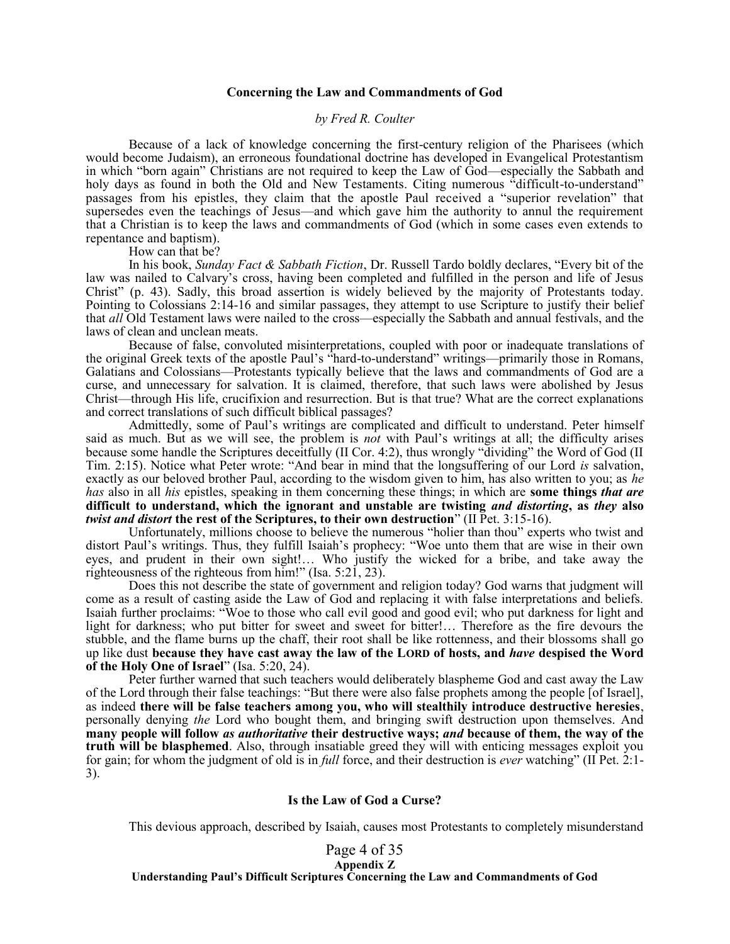#### **Concerning the Law and Commandments of God**

#### *by Fred R. Coulter*

Because of a lack of knowledge concerning the first-century religion of the Pharisees (which would become Judaism), an erroneous foundational doctrine has developed in Evangelical Protestantism in which "born again" Christians are not required to keep the Law of God—especially the Sabbath and holy days as found in both the Old and New Testaments. Citing numerous "difficult-to-understand" passages from his epistles, they claim that the apostle Paul received a "superior revelation" that supersedes even the teachings of Jesus—and which gave him the authority to annul the requirement that a Christian is to keep the laws and commandments of God (which in some cases even extends to repentance and baptism).

How can that be?

In his book, *Sunday Fact & Sabbath Fiction*, Dr. Russell Tardo boldly declares, "Every bit of the law was nailed to Calvary's cross, having been completed and fulfilled in the person and life of Jesus Christ" (p. 43). Sadly, this broad assertion is widely believed by the majority of Protestants today. Pointing to Colossians 2:14-16 and similar passages, they attempt to use Scripture to justify their belief that *all* Old Testament laws were nailed to the cross—especially the Sabbath and annual festivals, and the laws of clean and unclean meats.

Because of false, convoluted misinterpretations, coupled with poor or inadequate translations of the original Greek texts of the apostle Paul's "hard-to-understand" writings—primarily those in Romans, Galatians and Colossians—Protestants typically believe that the laws and commandments of God are a curse, and unnecessary for salvation. It is claimed, therefore, that such laws were abolished by Jesus Christ—through His life, crucifixion and resurrection. But is that true? What are the correct explanations and correct translations of such difficult biblical passages?

Admittedly, some of Paul's writings are complicated and difficult to understand. Peter himself said as much. But as we will see, the problem is *not* with Paul's writings at all; the difficulty arises because some handle the Scriptures deceitfully (II Cor. 4:2), thus wrongly "dividing" the Word of God (II Tim. 2:15). Notice what Peter wrote: "And bear in mind that the longsuffering of our Lord *is* salvation, exactly as our beloved brother Paul, according to the wisdom given to him, has also written to you; as *he has* also in all *his* epistles, speaking in them concerning these things; in which are **some things** *that are*  **difficult to understand, which the ignorant and unstable are twisting** *and distorting***, as** *they* **also**  *twist and distort* **the rest of the Scriptures, to their own destruction**" (II Pet. 3:15-16).

Unfortunately, millions choose to believe the numerous "holier than thou" experts who twist and distort Paul's writings. Thus, they fulfill Isaiah's prophecy: "Woe unto them that are wise in their own eyes, and prudent in their own sight!… Who justify the wicked for a bribe, and take away the righteousness of the righteous from him!" (Isa. 5:21, 23).

Does this not describe the state of government and religion today? God warns that judgment will come as a result of casting aside the Law of God and replacing it with false interpretations and beliefs. Isaiah further proclaims: "Woe to those who call evil good and good evil; who put darkness for light and light for darkness; who put bitter for sweet and sweet for bitter!… Therefore as the fire devours the stubble, and the flame burns up the chaff, their root shall be like rottenness, and their blossoms shall go up like dust **because they have cast away the law of the LORD of hosts, and** *have* **despised the Word of the Holy One of Israel**" (Isa. 5:20, 24).

Peter further warned that such teachers would deliberately blaspheme God and cast away the Law of the Lord through their false teachings: "But there were also false prophets among the people [of Israel], as indeed **there will be false teachers among you, who will stealthily introduce destructive heresies**, personally denying *the* Lord who bought them, and bringing swift destruction upon themselves. And **many people will follow** *as authoritative* **their destructive ways;** *and* **because of them, the way of the truth will be blasphemed**. Also, through insatiable greed they will with enticing messages exploit you for gain; for whom the judgment of old is in *full* force, and their destruction is *ever* watching" (II Pet. 2:1- 3).

# **Is the Law of God a Curse?**

This devious approach, described by Isaiah, causes most Protestants to completely misunderstand

Page 4 of 35 **Appendix Z Understanding Paul's Difficult Scriptures Concerning the Law and Commandments of God**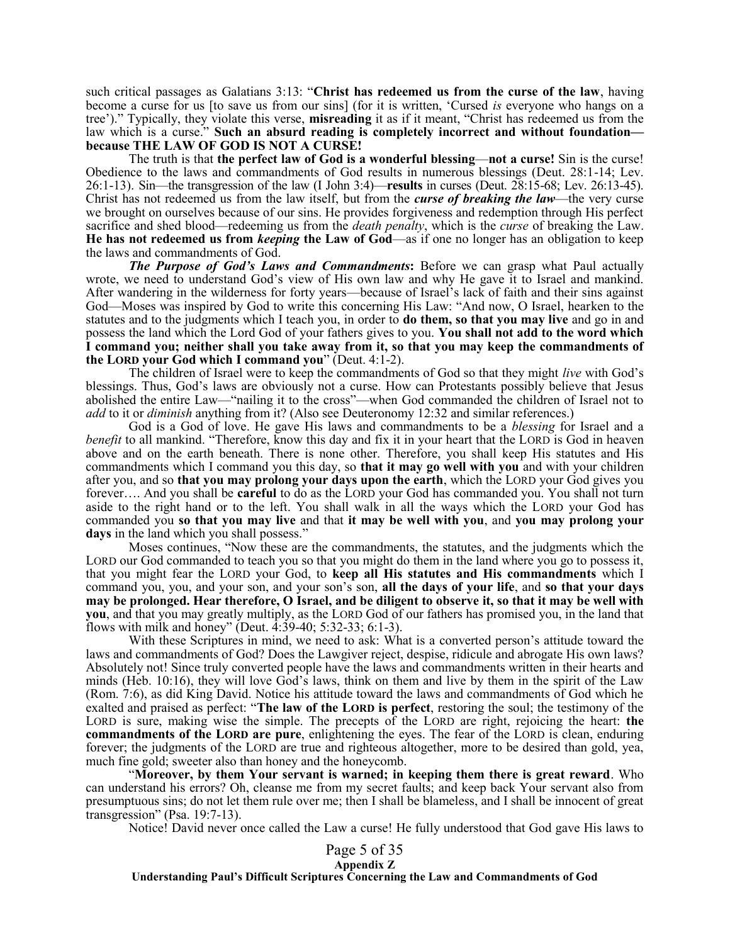such critical passages as Galatians 3:13: "**Christ has redeemed us from the curse of the law**, having become a curse for us [to save us from our sins] (for it is written, 'Cursed *is* everyone who hangs on a tree')." Typically, they violate this verse, **misreading** it as if it meant, "Christ has redeemed us from the law which is a curse." **Such an absurd reading is completely incorrect and without foundation because THE LAW OF GOD IS NOT A CURSE!**

The truth is that **the perfect law of God is a wonderful blessing**—**not a curse!** Sin is the curse! Obedience to the laws and commandments of God results in numerous blessings (Deut. 28:1-14; Lev. 26:1-13). Sin—the transgression of the law (I John 3:4)—**results** in curses (Deut. 28:15-68; Lev. 26:13-45). Christ has not redeemed us from the law itself, but from the *curse of breaking the law*—the very curse we brought on ourselves because of our sins. He provides forgiveness and redemption through His perfect sacrifice and shed blood—redeeming us from the *death penalty*, which is the *curse* of breaking the Law. **He has not redeemed us from** *keeping* **the Law of God**—as if one no longer has an obligation to keep the laws and commandments of God.

*The Purpose of God's Laws and Commandments***:** Before we can grasp what Paul actually wrote, we need to understand God's view of His own law and why He gave it to Israel and mankind. After wandering in the wilderness for forty years—because of Israel's lack of faith and their sins against God—Moses was inspired by God to write this concerning His Law: "And now, O Israel, hearken to the statutes and to the judgments which I teach you, in order to **do them, so that you may live** and go in and possess the land which the Lord God of your fathers gives to you. **You shall not add to the word which I command you; neither shall you take away from it, so that you may keep the commandments of the LORD your God which I command you**" (Deut. 4:1-2).

The children of Israel were to keep the commandments of God so that they might *live* with God's blessings. Thus, God's laws are obviously not a curse. How can Protestants possibly believe that Jesus abolished the entire Law—"nailing it to the cross"—when God commanded the children of Israel not to *add* to it or *diminish* anything from it? (Also see Deuteronomy 12:32 and similar references.)

God is a God of love. He gave His laws and commandments to be a *blessing* for Israel and a *benefit* to all mankind. "Therefore, know this day and fix it in your heart that the LORD is God in heaven above and on the earth beneath. There is none other. Therefore, you shall keep His statutes and His commandments which I command you this day, so **that it may go well with you** and with your children after you, and so **that you may prolong your days upon the earth**, which the LORD your God gives you forever…. And you shall be **careful** to do as the LORD your God has commanded you. You shall not turn aside to the right hand or to the left. You shall walk in all the ways which the LORD your God has commanded you **so that you may live** and that **it may be well with you**, and **you may prolong your days** in the land which you shall possess."

Moses continues, "Now these are the commandments, the statutes, and the judgments which the LORD our God commanded to teach you so that you might do them in the land where you go to possess it, that you might fear the LORD your God, to **keep all His statutes and His commandments** which I command you, you, and your son, and your son's son, **all the days of your life**, and **so that your days may be prolonged. Hear therefore, O Israel, and be diligent to observe it, so that it may be well with you**, and that you may greatly multiply, as the LORD God of our fathers has promised you, in the land that flows with milk and honey" (Deut. 4:39-40; 5:32-33; 6:1-3).

With these Scriptures in mind, we need to ask: What is a converted person's attitude toward the laws and commandments of God? Does the Lawgiver reject, despise, ridicule and abrogate His own laws? Absolutely not! Since truly converted people have the laws and commandments written in their hearts and minds (Heb. 10:16), they will love God's laws, think on them and live by them in the spirit of the Law (Rom. 7:6), as did King David. Notice his attitude toward the laws and commandments of God which he exalted and praised as perfect: "**The law of the LORD is perfect**, restoring the soul; the testimony of the LORD is sure, making wise the simple. The precepts of the LORD are right, rejoicing the heart: **the commandments of the LORD are pure**, enlightening the eyes. The fear of the LORD is clean, enduring forever; the judgments of the LORD are true and righteous altogether, more to be desired than gold, yea, much fine gold; sweeter also than honey and the honeycomb.

"**Moreover, by them Your servant is warned; in keeping them there is great reward**. Who can understand his errors? Oh, cleanse me from my secret faults; and keep back Your servant also from presumptuous sins; do not let them rule over me; then I shall be blameless, and I shall be innocent of great transgression" (Psa. 19:7-13).

Notice! David never once called the Law a curse! He fully understood that God gave His laws to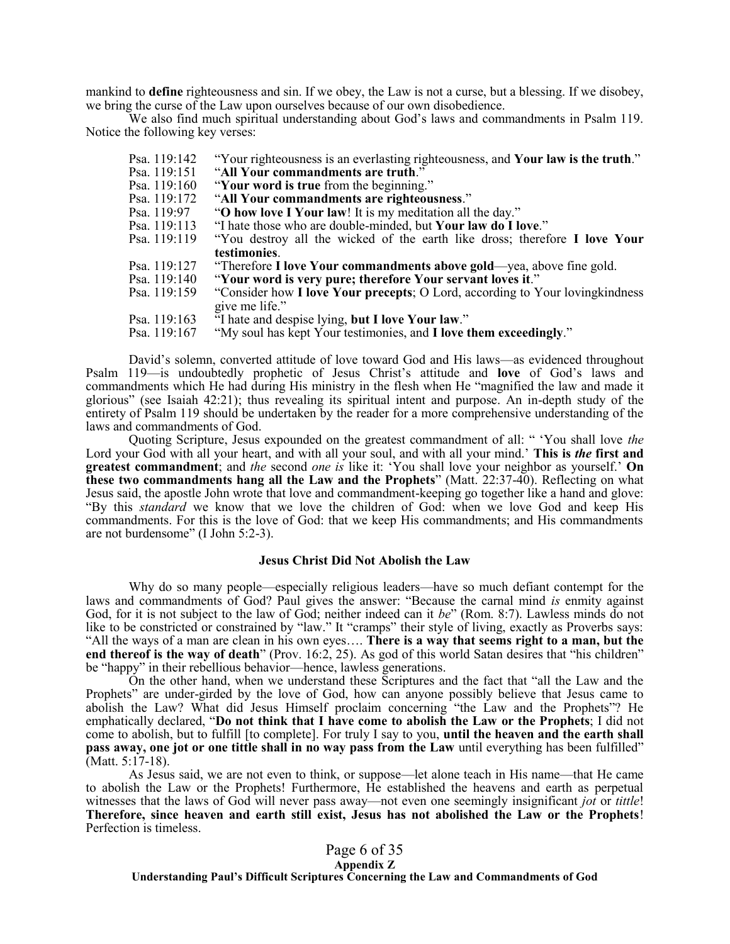mankind to **define** righteousness and sin. If we obey, the Law is not a curse, but a blessing. If we disobey, we bring the curse of the Law upon ourselves because of our own disobedience.

We also find much spiritual understanding about God's laws and commandments in Psalm 119. Notice the following key verses:

- Psa. 119:142 "Your righteousness is an everlasting righteousness, and **Your law is the truth**."
- "All Your commandments are truth."
- Psa. 119:160 "**Your word is true** from the beginning."
- Psa. 119:172 "**All Your commandments are righteousness**."
- Psa. 119:97 "**O how love I Your law**! It is my meditation all the day."
- Psa. 119:113 "I hate those who are double-minded, but **Your law do I love**."
- "You destroy all the wicked of the earth like dross; therefore **I love Your testimonies**.
- Psa. 119:127 "Therefore **I love Your commandments above gold**—yea, above fine gold.
- Psa. 119:140 "**Your word is very pure; therefore Your servant loves it**."
- "Consider how **I love Your precepts**; O Lord, according to Your loving kindness give me life."
- Psa. 119:163 "I hate and despise lying, **but I love Your law**."
- "My soul has kept Your testimonies, and **I love them exceedingly**."

David's solemn, converted attitude of love toward God and His laws—as evidenced throughout Psalm 119—is undoubtedly prophetic of Jesus Christ's attitude and **love** of God's laws and commandments which He had during His ministry in the flesh when He "magnified the law and made it glorious" (see Isaiah 42:21); thus revealing its spiritual intent and purpose. An in-depth study of the entirety of Psalm 119 should be undertaken by the reader for a more comprehensive understanding of the laws and commandments of God.

Quoting Scripture, Jesus expounded on the greatest commandment of all: " 'You shall love *the* Lord your God with all your heart, and with all your soul, and with all your mind.' **This is** *the* **first and greatest commandment**; and *the* second *one is* like it: 'You shall love your neighbor as yourself.' **On these two commandments hang all the Law and the Prophets**" (Matt. 22:37-40). Reflecting on what Jesus said, the apostle John wrote that love and commandment-keeping go together like a hand and glove: "By this *standard* we know that we love the children of God: when we love God and keep His commandments. For this is the love of God: that we keep His commandments; and His commandments are not burdensome" (I John 5:2-3).

#### **Jesus Christ Did Not Abolish the Law**

Why do so many people—especially religious leaders—have so much defiant contempt for the laws and commandments of God? Paul gives the answer: "Because the carnal mind *is* enmity against God, for it is not subject to the law of God; neither indeed can it *be*" (Rom. 8:7). Lawless minds do not like to be constricted or constrained by "law." It "cramps" their style of living, exactly as Proverbs says: "All the ways of a man are clean in his own eyes…. **There is a way that seems right to a man, but the end thereof is the way of death**" (Prov. 16:2, 25). As god of this world Satan desires that "his children" be "happy" in their rebellious behavior—hence, lawless generations.

On the other hand, when we understand these Scriptures and the fact that "all the Law and the Prophets" are under-girded by the love of God, how can anyone possibly believe that Jesus came to abolish the Law? What did Jesus Himself proclaim concerning "the Law and the Prophets"? He emphatically declared, "**Do not think that I have come to abolish the Law or the Prophets**; I did not come to abolish, but to fulfill [to complete]. For truly I say to you, **until the heaven and the earth shall pass away, one jot or one tittle shall in no way pass from the Law** until everything has been fulfilled"  $(Matt. 5:17-18)$ .

As Jesus said, we are not even to think, or suppose—let alone teach in His name—that He came to abolish the Law or the Prophets! Furthermore, He established the heavens and earth as perpetual witnesses that the laws of God will never pass away—not even one seemingly insignificant *jot* or *tittle*! **Therefore, since heaven and earth still exist, Jesus has not abolished the Law or the Prophets**! Perfection is timeless.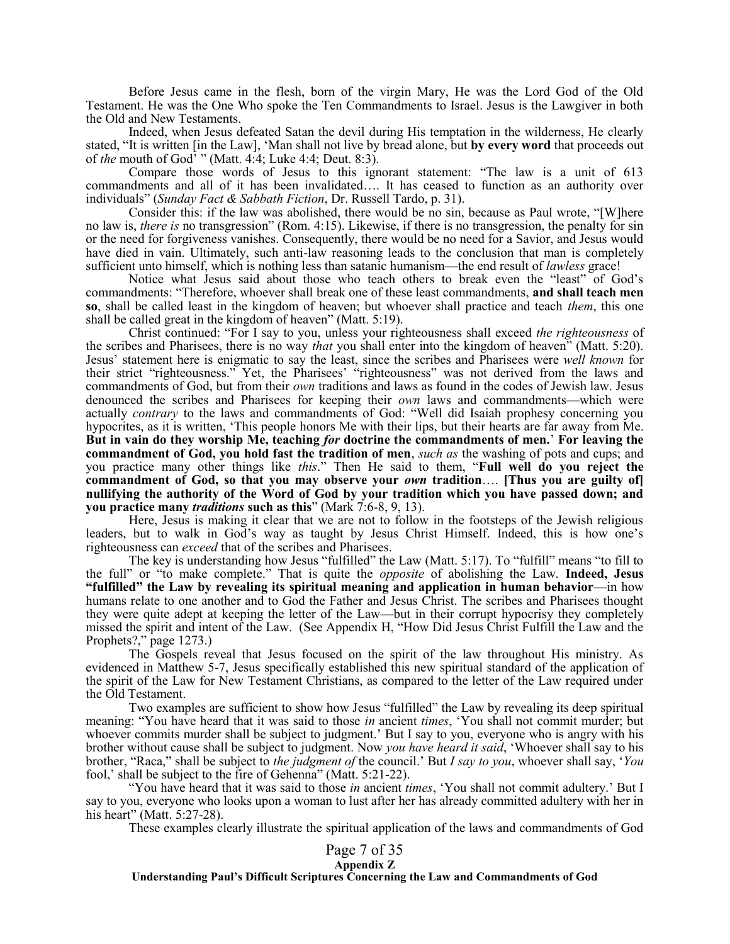Before Jesus came in the flesh, born of the virgin Mary, He was the Lord God of the Old Testament. He was the One Who spoke the Ten Commandments to Israel. Jesus is the Lawgiver in both the Old and New Testaments.

Indeed, when Jesus defeated Satan the devil during His temptation in the wilderness, He clearly stated, "It is written [in the Law], 'Man shall not live by bread alone, but **by every word** that proceeds out of *the* mouth of God' " (Matt. 4:4; Luke 4:4; Deut. 8:3).

Compare those words of Jesus to this ignorant statement: "The law is a unit of 613 commandments and all of it has been invalidated…. It has ceased to function as an authority over individuals" (*Sunday Fact & Sabbath Fiction*, Dr. Russell Tardo, p. 31).

Consider this: if the law was abolished, there would be no sin, because as Paul wrote, "[W]here no law is, *there is* no transgression" (Rom. 4:15). Likewise, if there is no transgression, the penalty for sin or the need for forgiveness vanishes. Consequently, there would be no need for a Savior, and Jesus would have died in vain. Ultimately, such anti-law reasoning leads to the conclusion that man is completely sufficient unto himself, which is nothing less than satanic humanism—the end result of *lawless* grace!

Notice what Jesus said about those who teach others to break even the "least" of God's commandments: "Therefore, whoever shall break one of these least commandments, **and shall teach men so**, shall be called least in the kingdom of heaven; but whoever shall practice and teach *them*, this one shall be called great in the kingdom of heaven" (Matt. 5:19).

Christ continued: "For I say to you, unless your righteousness shall exceed *the righteousness* of the scribes and Pharisees, there is no way *that* you shall enter into the kingdom of heaven" (Matt. 5:20). Jesus' statement here is enigmatic to say the least, since the scribes and Pharisees were *well known* for their strict "righteousness." Yet, the Pharisees' "righteousness" was not derived from the laws and commandments of God, but from their *own* traditions and laws as found in the codes of Jewish law. Jesus denounced the scribes and Pharisees for keeping their *own* laws and commandments—which were actually *contrary* to the laws and commandments of God: "Well did Isaiah prophesy concerning you hypocrites, as it is written, 'This people honors Me with their lips, but their hearts are far away from Me. **But in vain do they worship Me, teaching** *for* **doctrine the commandments of men.**' **For leaving the commandment of God, you hold fast the tradition of men**, *such as* the washing of pots and cups; and you practice many other things like *this*." Then He said to them, "**Full well do you reject the commandment of God, so that you may observe your** *own* **tradition**…. **[Thus you are guilty of] nullifying the authority of the Word of God by your tradition which you have passed down; and you practice many** *traditions* **such as this**" (Mark 7:6-8, 9, 13).

Here, Jesus is making it clear that we are not to follow in the footsteps of the Jewish religious leaders, but to walk in God's way as taught by Jesus Christ Himself. Indeed, this is how one's righteousness can *exceed* that of the scribes and Pharisees.

The key is understanding how Jesus "fulfilled" the Law (Matt. 5:17). To "fulfill" means "to fill to the full" or "to make complete." That is quite the *opposite* of abolishing the Law. **Indeed, Jesus "fulfilled" the Law by revealing its spiritual meaning and application in human behavior**—in how humans relate to one another and to God the Father and Jesus Christ. The scribes and Pharisees thought they were quite adept at keeping the letter of the Law—but in their corrupt hypocrisy they completely missed the spirit and intent of the Law. (See Appendix H, "How Did Jesus Christ Fulfill the Law and the Prophets?," page 1273.)

The Gospels reveal that Jesus focused on the spirit of the law throughout His ministry. As evidenced in Matthew 5-7, Jesus specifically established this new spiritual standard of the application of the spirit of the Law for New Testament Christians, as compared to the letter of the Law required under the Old Testament.

Two examples are sufficient to show how Jesus "fulfilled" the Law by revealing its deep spiritual meaning: "You have heard that it was said to those *in* ancient *times*, 'You shall not commit murder; but whoever commits murder shall be subject to judgment.' But I say to you, everyone who is angry with his brother without cause shall be subject to judgment. Now *you have heard it said*, 'Whoever shall say to his brother, "Raca," shall be subject to *the judgment of* the council.' But *I say to you*, whoever shall say, '*You* fool,' shall be subject to the fire of Gehenna" (Matt. 5:21-22).

"You have heard that it was said to those *in* ancient *times*, 'You shall not commit adultery.' But I say to you, everyone who looks upon a woman to lust after her has already committed adultery with her in his heart" (Matt. 5:27-28).

These examples clearly illustrate the spiritual application of the laws and commandments of God

Page 7 of 35 **Appendix Z Understanding Paul's Difficult Scriptures Concerning the Law and Commandments of God**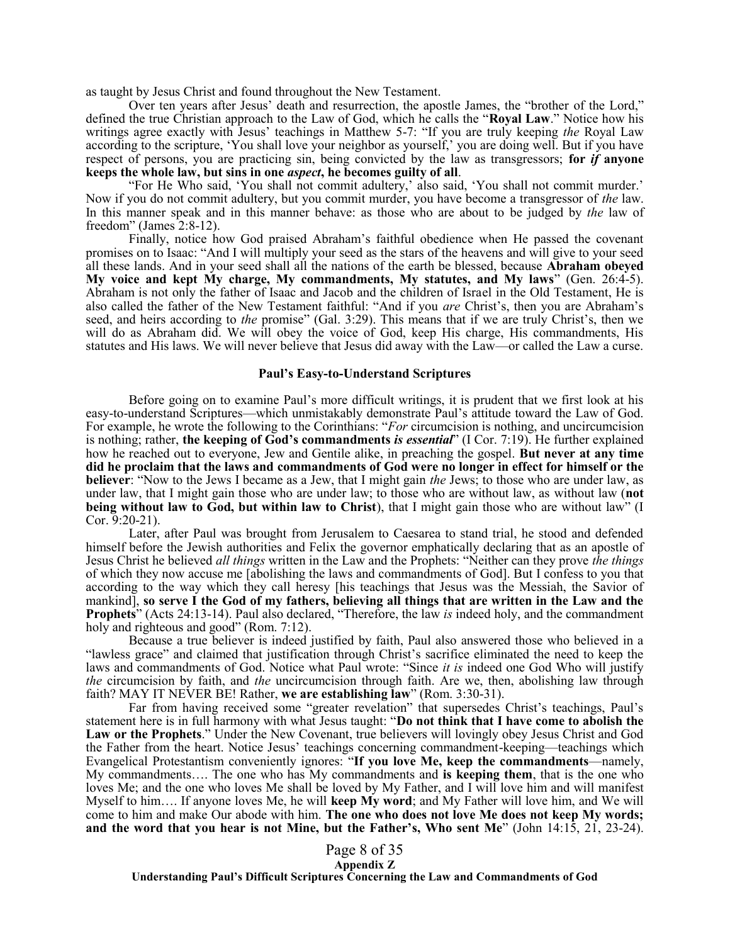as taught by Jesus Christ and found throughout the New Testament.

Over ten years after Jesus' death and resurrection, the apostle James, the "brother of the Lord," defined the true Christian approach to the Law of God, which he calls the "**Royal Law**." Notice how his writings agree exactly with Jesus' teachings in Matthew 5-7: "If you are truly keeping *the* Royal Law according to the scripture, 'You shall love your neighbor as yourself,' you are doing well. But if you have respect of persons, you are practicing sin, being convicted by the law as transgressors; **for** *if* **anyone keeps the whole law, but sins in one** *aspect***, he becomes guilty of all**.

"For He Who said, 'You shall not commit adultery,' also said, 'You shall not commit murder.' Now if you do not commit adultery, but you commit murder, you have become a transgressor of *the* law. In this manner speak and in this manner behave: as those who are about to be judged by *the* law of freedom" (James 2:8-12).

Finally, notice how God praised Abraham's faithful obedience when He passed the covenant promises on to Isaac: "And I will multiply your seed as the stars of the heavens and will give to your seed all these lands. And in your seed shall all the nations of the earth be blessed, because **Abraham obeyed My voice and kept My charge, My commandments, My statutes, and My laws**" (Gen. 26:4-5). Abraham is not only the father of Isaac and Jacob and the children of Israel in the Old Testament, He is also called the father of the New Testament faithful: "And if you *are* Christ's, then you are Abraham's seed, and heirs according to *the* promise" (Gal. 3:29). This means that if we are truly Christ's, then we will do as Abraham did. We will obey the voice of God, keep His charge, His commandments, His statutes and His laws. We will never believe that Jesus did away with the Law—or called the Law a curse.

#### **Paul's Easy-to-Understand Scriptures**

Before going on to examine Paul's more difficult writings, it is prudent that we first look at his easy-to-understand Scriptures—which unmistakably demonstrate Paul's attitude toward the Law of God. For example, he wrote the following to the Corinthians: "*For* circumcision is nothing, and uncircumcision is nothing; rather, **the keeping of God's commandments** *is essential*" (I Cor. 7:19). He further explained how he reached out to everyone, Jew and Gentile alike, in preaching the gospel. **But never at any time did he proclaim that the laws and commandments of God were no longer in effect for himself or the believer**: "Now to the Jews I became as a Jew, that I might gain *the* Jews; to those who are under law, as under law, that I might gain those who are under law; to those who are without law, as without law (**not being without law to God, but within law to Christ**), that I might gain those who are without law" (I Cor. 9:20-21).

Later, after Paul was brought from Jerusalem to Caesarea to stand trial, he stood and defended himself before the Jewish authorities and Felix the governor emphatically declaring that as an apostle of Jesus Christ he believed *all things* written in the Law and the Prophets: "Neither can they prove *the things*  of which they now accuse me [abolishing the laws and commandments of God]. But I confess to you that according to the way which they call heresy [his teachings that Jesus was the Messiah, the Savior of mankind], **so serve I the God of my fathers, believing all things that are written in the Law and the Prophets**" (Acts 24:13-14). Paul also declared, "Therefore, the law *is* indeed holy, and the commandment holy and righteous and good" (Rom. 7:12).

Because a true believer is indeed justified by faith, Paul also answered those who believed in a "lawless grace" and claimed that justification through Christ's sacrifice eliminated the need to keep the laws and commandments of God. Notice what Paul wrote: "Since *it is* indeed one God Who will justify *the* circumcision by faith, and *the* uncircumcision through faith. Are we, then, abolishing law through faith? MAY IT NEVER BE! Rather, **we are establishing law**" (Rom. 3:30-31).

Far from having received some "greater revelation" that supersedes Christ's teachings, Paul's statement here is in full harmony with what Jesus taught: "**Do not think that I have come to abolish the Law or the Prophets**." Under the New Covenant, true believers will lovingly obey Jesus Christ and God the Father from the heart. Notice Jesus' teachings concerning commandment-keeping—teachings which Evangelical Protestantism conveniently ignores: "**If you love Me, keep the commandments**—namely, My commandments…. The one who has My commandments and **is keeping them**, that is the one who loves Me; and the one who loves Me shall be loved by My Father, and I will love him and will manifest Myself to him…. If anyone loves Me, he will **keep My word**; and My Father will love him, and We will come to him and make Our abode with him. **The one who does not love Me does not keep My words; and the word that you hear is not Mine, but the Father's, Who sent Me**" (John 14:15, 21, 23-24).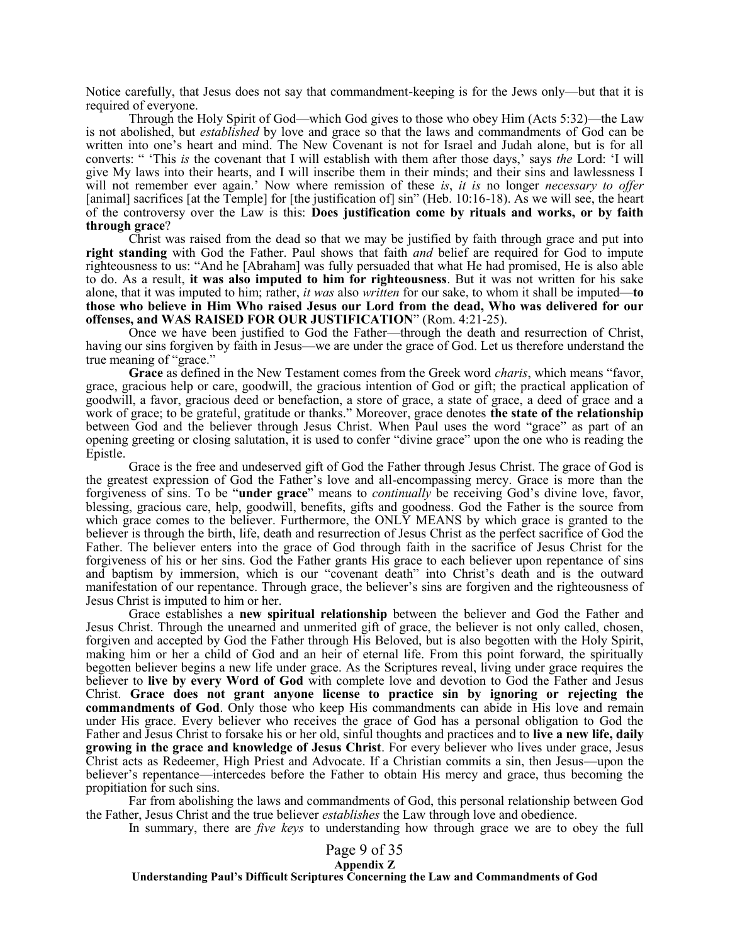Notice carefully, that Jesus does not say that commandment-keeping is for the Jews only—but that it is required of everyone.

Through the Holy Spirit of God—which God gives to those who obey Him (Acts 5:32)—the Law is not abolished, but *established* by love and grace so that the laws and commandments of God can be written into one's heart and mind. The New Covenant is not for Israel and Judah alone, but is for all converts: " 'This *is* the covenant that I will establish with them after those days,' says *the* Lord: 'I will give My laws into their hearts, and I will inscribe them in their minds; and their sins and lawlessness I will not remember ever again.' Now where remission of these *is*, *it is* no longer *necessary to offer* [animal] sacrifices [at the Temple] for [the justification of] sin" (Heb. 10:16-18). As we will see, the heart of the controversy over the Law is this: **Does justification come by rituals and works, or by faith through grace**?

Christ was raised from the dead so that we may be justified by faith through grace and put into **right standing** with God the Father. Paul shows that faith *and* belief are required for God to impute righteousness to us: "And he [Abraham] was fully persuaded that what He had promised, He is also able to do. As a result, **it was also imputed to him for righteousness**. But it was not written for his sake alone, that it was imputed to him; rather, *it was* also *written* for our sake, to whom it shall be imputed—**to those who believe in Him Who raised Jesus our Lord from the dead, Who was delivered for our offenses, and WAS RAISED FOR OUR JUSTIFICATION**" (Rom. 4:21-25).

Once we have been justified to God the Father—through the death and resurrection of Christ, having our sins forgiven by faith in Jesus—we are under the grace of God. Let us therefore understand the true meaning of "grace."

**Grace** as defined in the New Testament comes from the Greek word *charis*, which means "favor, grace, gracious help or care, goodwill, the gracious intention of God or gift; the practical application of goodwill, a favor, gracious deed or benefaction, a store of grace, a state of grace, a deed of grace and a work of grace; to be grateful, gratitude or thanks." Moreover, grace denotes **the state of the relationship**  between God and the believer through Jesus Christ. When Paul uses the word "grace" as part of an opening greeting or closing salutation, it is used to confer "divine grace" upon the one who is reading the Epistle.

Grace is the free and undeserved gift of God the Father through Jesus Christ. The grace of God is the greatest expression of God the Father's love and all-encompassing mercy. Grace is more than the forgiveness of sins. To be "**under grace**" means to *continually* be receiving God's divine love, favor, blessing, gracious care, help, goodwill, benefits, gifts and goodness. God the Father is the source from which grace comes to the believer. Furthermore, the ONLY MEANS by which grace is granted to the believer is through the birth, life, death and resurrection of Jesus Christ as the perfect sacrifice of God the Father. The believer enters into the grace of God through faith in the sacrifice of Jesus Christ for the forgiveness of his or her sins. God the Father grants His grace to each believer upon repentance of sins and baptism by immersion, which is our "covenant death" into Christ's death and is the outward manifestation of our repentance. Through grace, the believer's sins are forgiven and the righteousness of Jesus Christ is imputed to him or her.

Grace establishes a **new spiritual relationship** between the believer and God the Father and Jesus Christ. Through the unearned and unmerited gift of grace, the believer is not only called, chosen, forgiven and accepted by God the Father through His Beloved, but is also begotten with the Holy Spirit, making him or her a child of God and an heir of eternal life. From this point forward, the spiritually begotten believer begins a new life under grace. As the Scriptures reveal, living under grace requires the believer to **live by every Word of God** with complete love and devotion to God the Father and Jesus Christ. **Grace does not grant anyone license to practice sin by ignoring or rejecting the commandments of God**. Only those who keep His commandments can abide in His love and remain under His grace. Every believer who receives the grace of God has a personal obligation to God the Father and Jesus Christ to forsake his or her old, sinful thoughts and practices and to **live a new life, daily growing in the grace and knowledge of Jesus Christ**. For every believer who lives under grace, Jesus Christ acts as Redeemer, High Priest and Advocate. If a Christian commits a sin, then Jesus—upon the believer's repentance—intercedes before the Father to obtain His mercy and grace, thus becoming the propitiation for such sins.

Far from abolishing the laws and commandments of God, this personal relationship between God the Father, Jesus Christ and the true believer *establishes* the Law through love and obedience.

In summary, there are *five keys* to understanding how through grace we are to obey the full

Page 9 of 35 **Appendix Z Understanding Paul's Difficult Scriptures Concerning the Law and Commandments of God**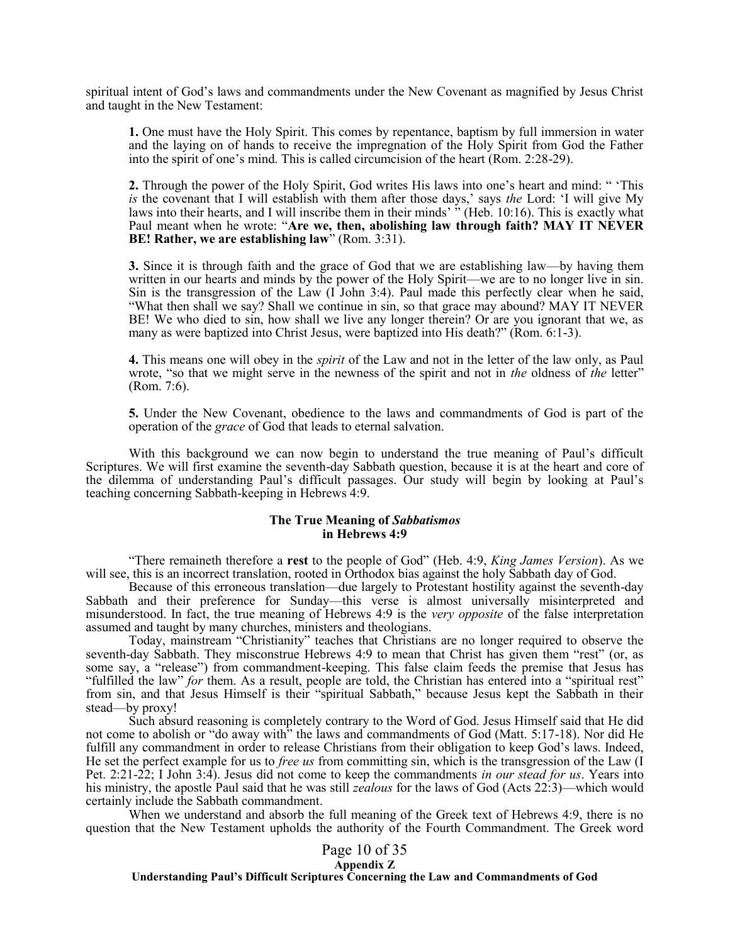spiritual intent of God's laws and commandments under the New Covenant as magnified by Jesus Christ and taught in the New Testament:

**1.** One must have the Holy Spirit. This comes by repentance, baptism by full immersion in water and the laying on of hands to receive the impregnation of the Holy Spirit from God the Father into the spirit of one's mind. This is called circumcision of the heart (Rom. 2:28-29).

**2.** Through the power of the Holy Spirit, God writes His laws into one's heart and mind: " 'This *is* the covenant that I will establish with them after those days,' says *the* Lord: 'I will give My laws into their hearts, and I will inscribe them in their minds' " (Heb. 10:16). This is exactly what Paul meant when he wrote: "**Are we, then, abolishing law through faith? MAY IT NEVER BE! Rather, we are establishing law**" (Rom. 3:31).

**3.** Since it is through faith and the grace of God that we are establishing law—by having them written in our hearts and minds by the power of the Holy Spirit—we are to no longer live in sin. Sin is the transgression of the Law (I John 3:4). Paul made this perfectly clear when he said, "What then shall we say? Shall we continue in sin, so that grace may abound? MAY IT NEVER BE! We who died to sin, how shall we live any longer therein? Or are you ignorant that we, as many as were baptized into Christ Jesus, were baptized into His death?" (Rom. 6:1-3).

**4.** This means one will obey in the *spirit* of the Law and not in the letter of the law only, as Paul wrote, "so that we might serve in the newness of the spirit and not in *the* oldness of *the* letter" (Rom. 7:6).

**5.** Under the New Covenant, obedience to the laws and commandments of God is part of the operation of the *grace* of God that leads to eternal salvation.

With this background we can now begin to understand the true meaning of Paul's difficult Scriptures. We will first examine the seventh-day Sabbath question, because it is at the heart and core of the dilemma of understanding Paul's difficult passages. Our study will begin by looking at Paul's teaching concerning Sabbath-keeping in Hebrews 4:9.

# **The True Meaning of** *Sabbatismos* **in Hebrews 4:9**

"There remaineth therefore a **rest** to the people of God" (Heb. 4:9, *King James Version*). As we will see, this is an incorrect translation, rooted in Orthodox bias against the holy Sabbath day of God.

Because of this erroneous translation—due largely to Protestant hostility against the seventh-day Sabbath and their preference for Sunday—this verse is almost universally misinterpreted and misunderstood. In fact, the true meaning of Hebrews 4:9 is the *very opposite* of the false interpretation assumed and taught by many churches, ministers and theologians.

Today, mainstream "Christianity" teaches that Christians are no longer required to observe the seventh-day Sabbath. They misconstrue Hebrews 4:9 to mean that Christ has given them "rest" (or, as some say, a "release") from commandment-keeping. This false claim feeds the premise that Jesus has "fulfilled the law" *for* them. As a result, people are told, the Christian has entered into a "spiritual rest" from sin, and that Jesus Himself is their "spiritual Sabbath," because Jesus kept the Sabbath in their stead—by proxy!

Such absurd reasoning is completely contrary to the Word of God. Jesus Himself said that He did not come to abolish or "do away with" the laws and commandments of God (Matt. 5:17-18). Nor did He fulfill any commandment in order to release Christians from their obligation to keep God's laws. Indeed, He set the perfect example for us to *free us* from committing sin, which is the transgression of the Law (I Pet. 2:21-22; I John 3:4). Jesus did not come to keep the commandments *in our stead for us*. Years into his ministry, the apostle Paul said that he was still *zealous* for the laws of God (Acts 22:3)—which would certainly include the Sabbath commandment.

When we understand and absorb the full meaning of the Greek text of Hebrews 4:9, there is no question that the New Testament upholds the authority of the Fourth Commandment. The Greek word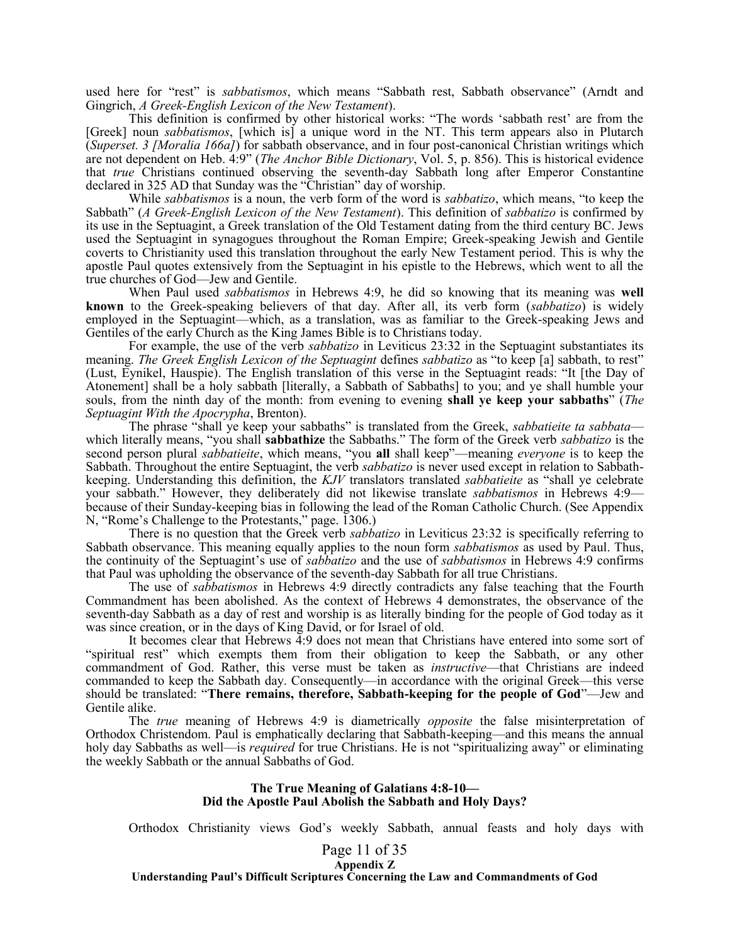used here for "rest" is *sabbatismos*, which means "Sabbath rest, Sabbath observance" (Arndt and Gingrich, *A Greek-English Lexicon of the New Testament*).

This definition is confirmed by other historical works: "The words 'sabbath rest' are from the [Greek] noun *sabbatismos*, [which is] a unique word in the NT. This term appears also in Plutarch (*Superset. 3 [Moralia 166a]*) for sabbath observance, and in four post-canonical Christian writings which are not dependent on Heb. 4:9" (*The Anchor Bible Dictionary*, Vol. 5, p. 856). This is historical evidence that *true* Christians continued observing the seventh-day Sabbath long after Emperor Constantine declared in 325 AD that Sunday was the "Christian" day of worship.

While *sabbatismos* is a noun, the verb form of the word is *sabbatizo*, which means, "to keep the Sabbath" (*A Greek-English Lexicon of the New Testament*). This definition of *sabbatizo* is confirmed by its use in the Septuagint, a Greek translation of the Old Testament dating from the third century BC. Jews used the Septuagint in synagogues throughout the Roman Empire; Greek-speaking Jewish and Gentile coverts to Christianity used this translation throughout the early New Testament period. This is why the apostle Paul quotes extensively from the Septuagint in his epistle to the Hebrews, which went to all the true churches of God—Jew and Gentile.

When Paul used *sabbatismos* in Hebrews 4:9, he did so knowing that its meaning was **well known** to the Greek-speaking believers of that day. After all, its verb form (*sabbatizo*) is widely employed in the Septuagint—which, as a translation, was as familiar to the Greek-speaking Jews and Gentiles of the early Church as the King James Bible is to Christians today.

For example, the use of the verb *sabbatizo* in Leviticus 23:32 in the Septuagint substantiates its meaning. *The Greek English Lexicon of the Septuagint* defines *sabbatizo* as "to keep [a] sabbath, to rest" (Lust, Eynikel, Hauspie). The English translation of this verse in the Septuagint reads: "It [the Day of Atonement] shall be a holy sabbath [literally, a Sabbath of Sabbaths] to you; and ye shall humble your souls, from the ninth day of the month: from evening to evening **shall ye keep your sabbaths**" (*The Septuagint With the Apocrypha*, Brenton).

The phrase "shall ye keep your sabbaths" is translated from the Greek, *sabbatieite ta sabbata* which literally means, "you shall **sabbathize** the Sabbaths." The form of the Greek verb *sabbatizo* is the second person plural *sabbatieite*, which means, "you **all** shall keep"—meaning *everyone* is to keep the Sabbath. Throughout the entire Septuagint, the verb *sabbatizo* is never used except in relation to Sabbathkeeping. Understanding this definition, the *KJV* translators translated *sabbatieite* as "shall ye celebrate your sabbath." However, they deliberately did not likewise translate *sabbatismos* in Hebrews 4:9 because of their Sunday-keeping bias in following the lead of the Roman Catholic Church. (See Appendix N, "Rome's Challenge to the Protestants," page. 1306.)

There is no question that the Greek verb *sabbatizo* in Leviticus 23:32 is specifically referring to Sabbath observance. This meaning equally applies to the noun form *sabbatismos* as used by Paul. Thus, the continuity of the Septuagint's use of *sabbatizo* and the use of *sabbatismos* in Hebrews 4:9 confirms that Paul was upholding the observance of the seventh-day Sabbath for all true Christians.

The use of *sabbatismos* in Hebrews 4:9 directly contradicts any false teaching that the Fourth Commandment has been abolished. As the context of Hebrews 4 demonstrates, the observance of the seventh-day Sabbath as a day of rest and worship is as literally binding for the people of God today as it was since creation, or in the days of King David, or for Israel of old.

It becomes clear that Hebrews 4:9 does not mean that Christians have entered into some sort of "spiritual rest" which exempts them from their obligation to keep the Sabbath, or any other commandment of God. Rather, this verse must be taken as *instructive*—that Christians are indeed commanded to keep the Sabbath day. Consequently—in accordance with the original Greek—this verse should be translated: "**There remains, therefore, Sabbath-keeping for the people of God**"—Jew and Gentile alike.

The *true* meaning of Hebrews 4:9 is diametrically *opposite* the false misinterpretation of Orthodox Christendom. Paul is emphatically declaring that Sabbath-keeping—and this means the annual holy day Sabbaths as well—is *required* for true Christians. He is not "spiritualizing away" or eliminating the weekly Sabbath or the annual Sabbaths of God.

#### **The True Meaning of Galatians 4:8-10— Did the Apostle Paul Abolish the Sabbath and Holy Days?**

Orthodox Christianity views God's weekly Sabbath, annual feasts and holy days with

Page 11 of 35 **Appendix Z Understanding Paul's Difficult Scriptures Concerning the Law and Commandments of God**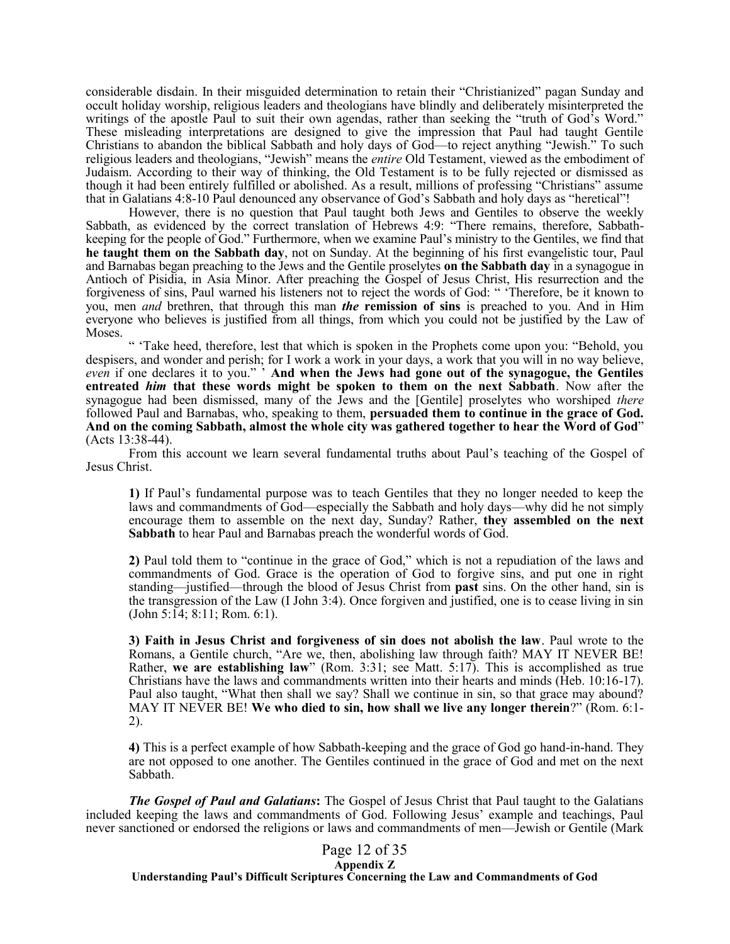considerable disdain. In their misguided determination to retain their "Christianized" pagan Sunday and occult holiday worship, religious leaders and theologians have blindly and deliberately misinterpreted the writings of the apostle Paul to suit their own agendas, rather than seeking the "truth of God's Word." These misleading interpretations are designed to give the impression that Paul had taught Gentile Christians to abandon the biblical Sabbath and holy days of God—to reject anything "Jewish." To such religious leaders and theologians, "Jewish" means the *entire* Old Testament, viewed as the embodiment of Judaism. According to their way of thinking, the Old Testament is to be fully rejected or dismissed as though it had been entirely fulfilled or abolished. As a result, millions of professing "Christians" assume that in Galatians 4:8-10 Paul denounced any observance of God's Sabbath and holy days as "heretical"!

However, there is no question that Paul taught both Jews and Gentiles to observe the weekly Sabbath, as evidenced by the correct translation of Hebrews 4:9: "There remains, therefore, Sabbathkeeping for the people of God." Furthermore, when we examine Paul's ministry to the Gentiles, we find that **he taught them on the Sabbath day**, not on Sunday. At the beginning of his first evangelistic tour, Paul and Barnabas began preaching to the Jews and the Gentile proselytes **on the Sabbath day** in a synagogue in Antioch of Pisidia, in Asia Minor. After preaching the Gospel of Jesus Christ, His resurrection and the forgiveness of sins, Paul warned his listeners not to reject the words of God: " 'Therefore, be it known to you, men *and* brethren, that through this man *the* **remission of sins** is preached to you. And in Him everyone who believes is justified from all things, from which you could not be justified by the Law of Moses.

" 'Take heed, therefore, lest that which is spoken in the Prophets come upon you: "Behold, you despisers, and wonder and perish; for I work a work in your days, a work that you will in no way believe, *even* if one declares it to you." ' **And when the Jews had gone out of the synagogue, the Gentiles entreated** *him* **that these words might be spoken to them on the next Sabbath**. Now after the synagogue had been dismissed, many of the Jews and the [Gentile] proselytes who worshiped *there* followed Paul and Barnabas, who, speaking to them, **persuaded them to continue in the grace of God. And on the coming Sabbath, almost the whole city was gathered together to hear the Word of God**" (Acts 13:38-44).

From this account we learn several fundamental truths about Paul's teaching of the Gospel of Jesus Christ.

**1)** If Paul's fundamental purpose was to teach Gentiles that they no longer needed to keep the laws and commandments of God—especially the Sabbath and holy days—why did he not simply encourage them to assemble on the next day, Sunday? Rather, **they assembled on the next Sabbath** to hear Paul and Barnabas preach the wonderful words of God.

**2)** Paul told them to "continue in the grace of God," which is not a repudiation of the laws and commandments of God. Grace is the operation of God to forgive sins, and put one in right standing—justified—through the blood of Jesus Christ from **past** sins. On the other hand, sin is the transgression of the Law (I John 3:4). Once forgiven and justified, one is to cease living in sin (John 5:14; 8:11; Rom. 6:1).

**3) Faith in Jesus Christ and forgiveness of sin does not abolish the law**. Paul wrote to the Romans, a Gentile church, "Are we, then, abolishing law through faith? MAY IT NEVER BE! Rather, **we are establishing law**" (Rom. 3:31; see Matt. 5:17). This is accomplished as true Christians have the laws and commandments written into their hearts and minds (Heb. 10:16-17). Paul also taught, "What then shall we say? Shall we continue in sin, so that grace may abound? MAY IT NEVER BE! **We who died to sin, how shall we live any longer therein**?" (Rom. 6:1- 2).

**4)** This is a perfect example of how Sabbath-keeping and the grace of God go hand-in-hand. They are not opposed to one another. The Gentiles continued in the grace of God and met on the next Sabbath.

*The Gospel of Paul and Galatians***:** The Gospel of Jesus Christ that Paul taught to the Galatians included keeping the laws and commandments of God. Following Jesus' example and teachings, Paul never sanctioned or endorsed the religions or laws and commandments of men—Jewish or Gentile (Mark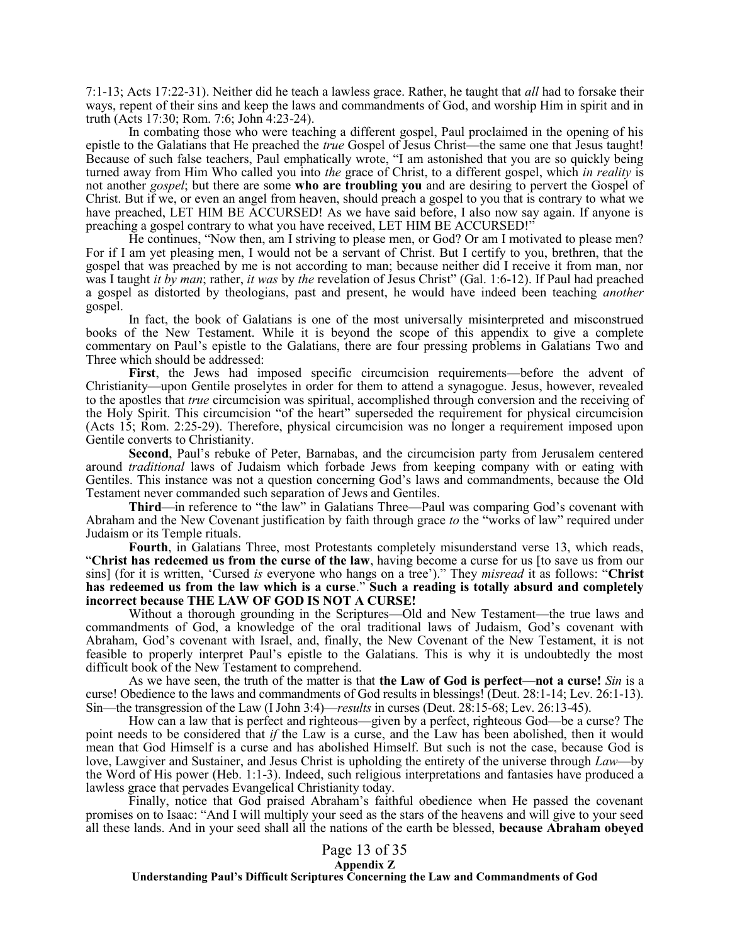7:1-13; Acts 17:22-31). Neither did he teach a lawless grace. Rather, he taught that *all* had to forsake their ways, repent of their sins and keep the laws and commandments of God, and worship Him in spirit and in truth (Acts 17:30; Rom. 7:6; John 4:23-24).

In combating those who were teaching a different gospel, Paul proclaimed in the opening of his epistle to the Galatians that He preached the *true* Gospel of Jesus Christ—the same one that Jesus taught! Because of such false teachers, Paul emphatically wrote, "I am astonished that you are so quickly being turned away from Him Who called you into *the* grace of Christ, to a different gospel, which *in reality* is not another *gospel*; but there are some **who are troubling you** and are desiring to pervert the Gospel of Christ. But if we, or even an angel from heaven, should preach a gospel to you that is contrary to what we have preached, LET HIM BE ACCURSED! As we have said before, I also now say again. If anyone is preaching a gospel contrary to what you have received, LET HIM BE ACCURSED!"

He continues, "Now then, am I striving to please men, or God? Or am I motivated to please men? For if I am yet pleasing men, I would not be a servant of Christ. But I certify to you, brethren, that the gospel that was preached by me is not according to man; because neither did I receive it from man, nor was I taught *it by man*; rather, *it was* by *the* revelation of Jesus Christ" (Gal. 1:6-12). If Paul had preached a gospel as distorted by theologians, past and present, he would have indeed been teaching *another* gospel.

In fact, the book of Galatians is one of the most universally misinterpreted and misconstrued books of the New Testament. While it is beyond the scope of this appendix to give a complete commentary on Paul's epistle to the Galatians, there are four pressing problems in Galatians Two and Three which should be addressed:

**First**, the Jews had imposed specific circumcision requirements—before the advent of Christianity—upon Gentile proselytes in order for them to attend a synagogue. Jesus, however, revealed to the apostles that *true* circumcision was spiritual, accomplished through conversion and the receiving of the Holy Spirit. This circumcision "of the heart" superseded the requirement for physical circumcision (Acts 15; Rom. 2:25-29). Therefore, physical circumcision was no longer a requirement imposed upon Gentile converts to Christianity.

**Second**, Paul's rebuke of Peter, Barnabas, and the circumcision party from Jerusalem centered around *traditional* laws of Judaism which forbade Jews from keeping company with or eating with Gentiles. This instance was not a question concerning God's laws and commandments, because the Old Testament never commanded such separation of Jews and Gentiles.

**Third**—in reference to "the law" in Galatians Three—Paul was comparing God's covenant with Abraham and the New Covenant justification by faith through grace *to* the "works of law" required under Judaism or its Temple rituals.

**Fourth**, in Galatians Three, most Protestants completely misunderstand verse 13, which reads, "**Christ has redeemed us from the curse of the law**, having become a curse for us [to save us from our sins] (for it is written, 'Cursed *is* everyone who hangs on a tree')." They *misread* it as follows: "**Christ has redeemed us from the law which is a curse**." **Such a reading is totally absurd and completely incorrect because THE LAW OF GOD IS NOT A CURSE!**

Without a thorough grounding in the Scriptures—Old and New Testament—the true laws and commandments of God, a knowledge of the oral traditional laws of Judaism, God's covenant with Abraham, God's covenant with Israel, and, finally, the New Covenant of the New Testament, it is not feasible to properly interpret Paul's epistle to the Galatians. This is why it is undoubtedly the most difficult book of the New Testament to comprehend.

As we have seen, the truth of the matter is that **the Law of God is perfect—not a curse!** *Sin* is a curse! Obedience to the laws and commandments of God results in blessings! (Deut. 28:1-14; Lev. 26:1-13). Sin—the transgression of the Law (I John 3:4)—*results* in curses (Deut. 28:15-68; Lev. 26:13-45).

How can a law that is perfect and righteous—given by a perfect, righteous God—be a curse? The point needs to be considered that *if* the Law is a curse, and the Law has been abolished, then it would mean that God Himself is a curse and has abolished Himself. But such is not the case, because God is love, Lawgiver and Sustainer, and Jesus Christ is upholding the entirety of the universe through *Law*—by the Word of His power (Heb. 1:1-3). Indeed, such religious interpretations and fantasies have produced a lawless grace that pervades Evangelical Christianity today.

Finally, notice that God praised Abraham's faithful obedience when He passed the covenant promises on to Isaac: "And I will multiply your seed as the stars of the heavens and will give to your seed all these lands. And in your seed shall all the nations of the earth be blessed, **because Abraham obeyed**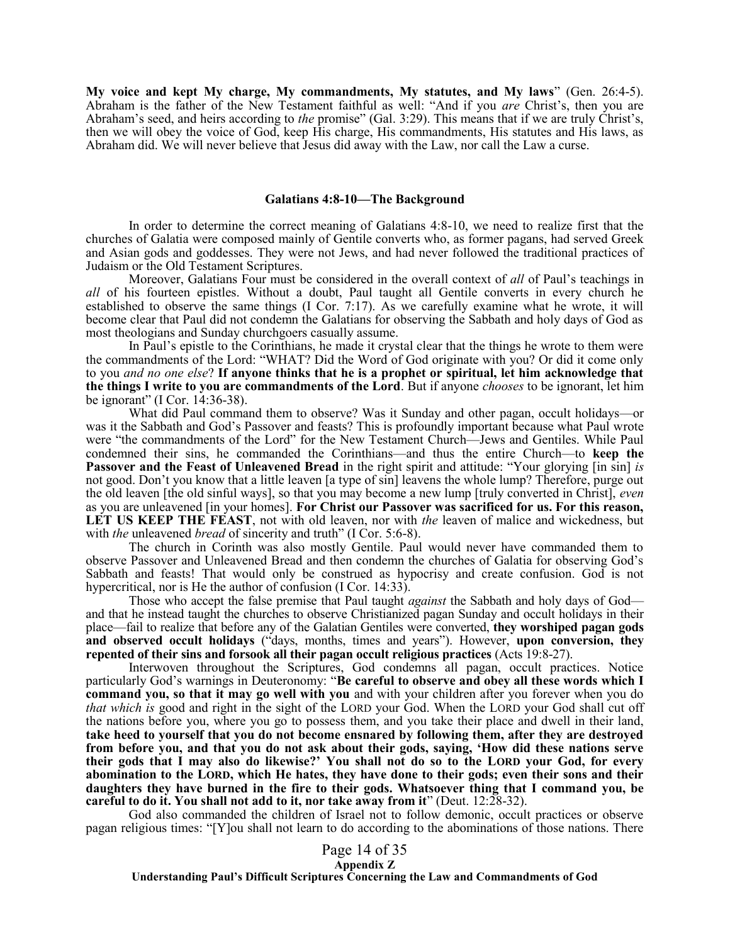**My voice and kept My charge, My commandments, My statutes, and My laws**" (Gen. 26:4-5). Abraham is the father of the New Testament faithful as well: "And if you *are* Christ's, then you are Abraham's seed, and heirs according to *the* promise" (Gal. 3:29). This means that if we are truly Christ's, then we will obey the voice of God, keep His charge, His commandments, His statutes and His laws, as Abraham did. We will never believe that Jesus did away with the Law, nor call the Law a curse.

# **Galatians 4:8-10—The Background**

In order to determine the correct meaning of Galatians 4:8-10, we need to realize first that the churches of Galatia were composed mainly of Gentile converts who, as former pagans, had served Greek and Asian gods and goddesses. They were not Jews, and had never followed the traditional practices of Judaism or the Old Testament Scriptures.

Moreover, Galatians Four must be considered in the overall context of *all* of Paul's teachings in *all* of his fourteen epistles. Without a doubt, Paul taught all Gentile converts in every church he established to observe the same things (I Cor. 7:17). As we carefully examine what he wrote, it will become clear that Paul did not condemn the Galatians for observing the Sabbath and holy days of God as most theologians and Sunday churchgoers casually assume.

In Paul's epistle to the Corinthians, he made it crystal clear that the things he wrote to them were the commandments of the Lord: "WHAT? Did the Word of God originate with you? Or did it come only to you *and no one else*? **If anyone thinks that he is a prophet or spiritual, let him acknowledge that the things I write to you are commandments of the Lord**. But if anyone *chooses* to be ignorant, let him be ignorant" (I Cor. 14:36-38).

What did Paul command them to observe? Was it Sunday and other pagan, occult holidays—or was it the Sabbath and God's Passover and feasts? This is profoundly important because what Paul wrote were "the commandments of the Lord" for the New Testament Church—Jews and Gentiles. While Paul condemned their sins, he commanded the Corinthians—and thus the entire Church—to **keep the Passover and the Feast of Unleavened Bread** in the right spirit and attitude: "Your glorying [in sin] *is* not good. Don't you know that a little leaven [a type of sin] leavens the whole lump? Therefore, purge out the old leaven [the old sinful ways], so that you may become a new lump [truly converted in Christ], *even* as you are unleavened [in your homes]. **For Christ our Passover was sacrificed for us. For this reason, LET US KEEP THE FEAST**, not with old leaven, nor with *the* leaven of malice and wickedness, but with *the* unleavened *bread* of sincerity and truth" (I Cor. 5:6-8).

The church in Corinth was also mostly Gentile. Paul would never have commanded them to observe Passover and Unleavened Bread and then condemn the churches of Galatia for observing God's Sabbath and feasts! That would only be construed as hypocrisy and create confusion. God is not hypercritical, nor is He the author of confusion (I Cor. 14:33).

Those who accept the false premise that Paul taught *against* the Sabbath and holy days of God and that he instead taught the churches to observe Christianized pagan Sunday and occult holidays in their place—fail to realize that before any of the Galatian Gentiles were converted, **they worshiped pagan gods and observed occult holidays** ("days, months, times and years"). However, **upon conversion, they repented of their sins and forsook all their pagan occult religious practices** (Acts 19:8-27).

Interwoven throughout the Scriptures, God condemns all pagan, occult practices. Notice particularly God's warnings in Deuteronomy: "**Be careful to observe and obey all these words which I command you, so that it may go well with you** and with your children after you forever when you do *that which is* good and right in the sight of the LORD your God. When the LORD your God shall cut off the nations before you, where you go to possess them, and you take their place and dwell in their land, **take heed to yourself that you do not become ensnared by following them, after they are destroyed from before you, and that you do not ask about their gods, saying, 'How did these nations serve their gods that I may also do likewise?' You shall not do so to the LORD your God, for every abomination to the LORD, which He hates, they have done to their gods; even their sons and their daughters they have burned in the fire to their gods. Whatsoever thing that I command you, be careful to do it. You shall not add to it, nor take away from it**" (Deut. 12:28-32).

God also commanded the children of Israel not to follow demonic, occult practices or observe pagan religious times: "[Y]ou shall not learn to do according to the abominations of those nations. There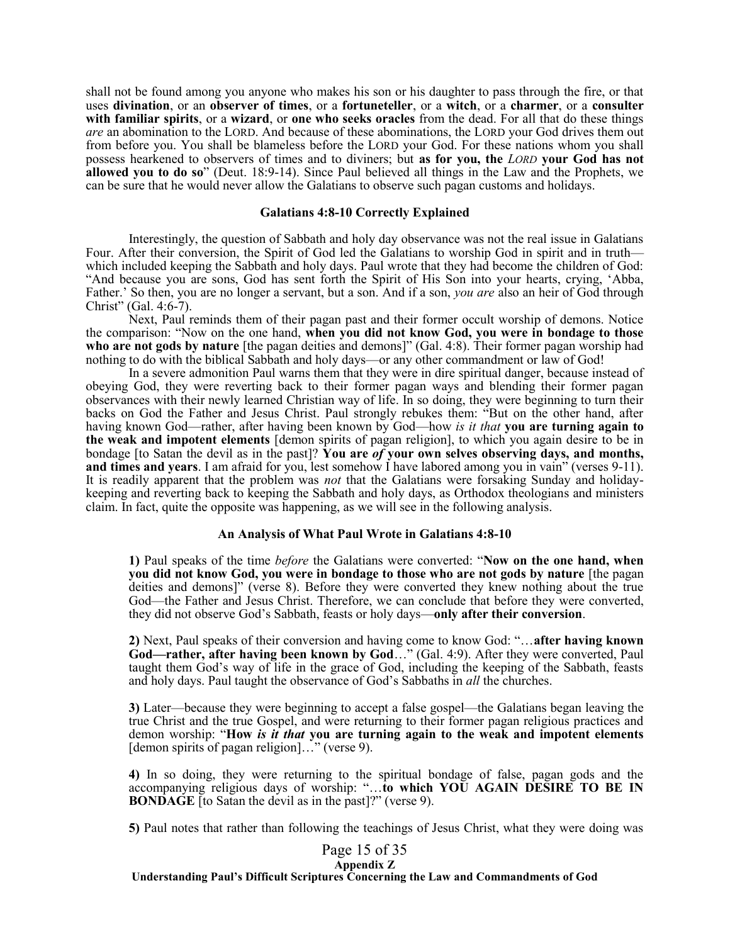shall not be found among you anyone who makes his son or his daughter to pass through the fire, or that uses **divination**, or an **observer of times**, or a **fortuneteller**, or a **witch**, or a **charmer**, or a **consulter with familiar spirits**, or a **wizard**, or **one who seeks oracles** from the dead. For all that do these things *are* an abomination to the LORD. And because of these abominations, the LORD your God drives them out from before you. You shall be blameless before the LORD your God. For these nations whom you shall possess hearkened to observers of times and to diviners; but **as for you, the** *LORD* **your God has not allowed you to do so**" (Deut. 18:9-14). Since Paul believed all things in the Law and the Prophets, we can be sure that he would never allow the Galatians to observe such pagan customs and holidays.

# **Galatians 4:8-10 Correctly Explained**

Interestingly, the question of Sabbath and holy day observance was not the real issue in Galatians Four. After their conversion, the Spirit of God led the Galatians to worship God in spirit and in truth which included keeping the Sabbath and holy days. Paul wrote that they had become the children of God: "And because you are sons, God has sent forth the Spirit of His Son into your hearts, crying, 'Abba, Father.' So then, you are no longer a servant, but a son. And if a son, *you are* also an heir of God through Christ" (Gal. 4:6-7).

Next, Paul reminds them of their pagan past and their former occult worship of demons. Notice the comparison: "Now on the one hand, **when you did not know God, you were in bondage to those who are not gods by nature** [the pagan deities and demons]" (Gal. 4:8). Their former pagan worship had nothing to do with the biblical Sabbath and holy days—or any other commandment or law of God!

In a severe admonition Paul warns them that they were in dire spiritual danger, because instead of obeying God, they were reverting back to their former pagan ways and blending their former pagan observances with their newly learned Christian way of life. In so doing, they were beginning to turn their backs on God the Father and Jesus Christ. Paul strongly rebukes them: "But on the other hand, after having known God—rather, after having been known by God—how *is it that* **you are turning again to the weak and impotent elements** [demon spirits of pagan religion], to which you again desire to be in bondage [to Satan the devil as in the past]? **You are** *of* **your own selves observing days, and months, and times and years**. I am afraid for you, lest somehow I have labored among you in vain" (verses 9-11). It is readily apparent that the problem was *not* that the Galatians were forsaking Sunday and holidaykeeping and reverting back to keeping the Sabbath and holy days, as Orthodox theologians and ministers claim. In fact, quite the opposite was happening, as we will see in the following analysis.

# **An Analysis of What Paul Wrote in Galatians 4:8-10**

**1)** Paul speaks of the time *before* the Galatians were converted: "**Now on the one hand, when you did not know God, you were in bondage to those who are not gods by nature** [the pagan deities and demons]" (verse 8). Before they were converted they knew nothing about the true God—the Father and Jesus Christ. Therefore, we can conclude that before they were converted, they did not observe God's Sabbath, feasts or holy days—**only after their conversion**.

**2)** Next, Paul speaks of their conversion and having come to know God: "…**after having known God—rather, after having been known by God**…" (Gal. 4:9). After they were converted, Paul taught them God's way of life in the grace of God, including the keeping of the Sabbath, feasts and holy days. Paul taught the observance of God's Sabbaths in *all* the churches.

**3)** Later—because they were beginning to accept a false gospel—the Galatians began leaving the true Christ and the true Gospel, and were returning to their former pagan religious practices and demon worship: "**How** *is it that* **you are turning again to the weak and impotent elements**  [demon spirits of pagan religion]..." (verse 9).

**4)** In so doing, they were returning to the spiritual bondage of false, pagan gods and the accompanying religious days of worship: "…**to which YOU AGAIN DESIRE TO BE IN BONDAGE** [to Satan the devil as in the past]?" (verse 9).

**5)** Paul notes that rather than following the teachings of Jesus Christ, what they were doing was

# Page 15 of 35 **Appendix Z Understanding Paul's Difficult Scriptures Concerning the Law and Commandments of God**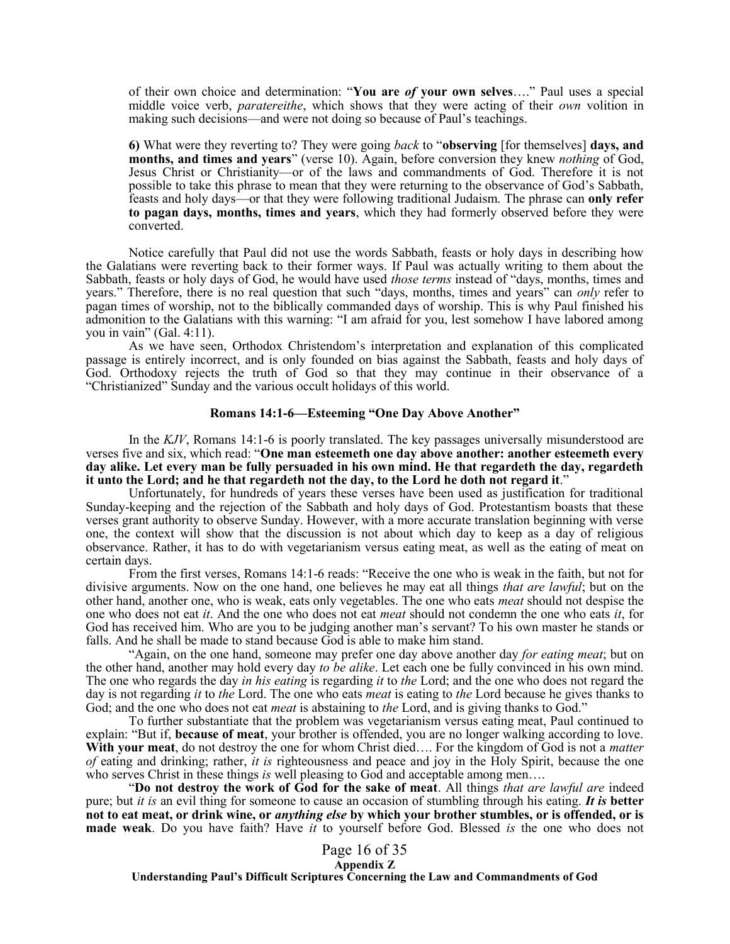of their own choice and determination: "**You are** *of* **your own selves**…." Paul uses a special middle voice verb, *paratereithe*, which shows that they were acting of their *own* volition in making such decisions—and were not doing so because of Paul's teachings.

**6)** What were they reverting to? They were going *back* to "**observing** [for themselves] **days, and months, and times and years**" (verse 10). Again, before conversion they knew *nothing* of God, Jesus Christ or Christianity—or of the laws and commandments of God. Therefore it is not possible to take this phrase to mean that they were returning to the observance of God's Sabbath, feasts and holy days—or that they were following traditional Judaism. The phrase can **only refer to pagan days, months, times and years**, which they had formerly observed before they were converted.

Notice carefully that Paul did not use the words Sabbath, feasts or holy days in describing how the Galatians were reverting back to their former ways. If Paul was actually writing to them about the Sabbath, feasts or holy days of God, he would have used *those terms* instead of "days, months, times and years." Therefore, there is no real question that such "days, months, times and years" can *only* refer to pagan times of worship, not to the biblically commanded days of worship. This is why Paul finished his admonition to the Galatians with this warning: "I am afraid for you, lest somehow I have labored among you in vain" (Gal. 4:11).

As we have seen, Orthodox Christendom's interpretation and explanation of this complicated passage is entirely incorrect, and is only founded on bias against the Sabbath, feasts and holy days of God. Orthodoxy rejects the truth of God so that they may continue in their observance of a "Christianized" Sunday and the various occult holidays of this world.

# **Romans 14:1-6—Esteeming "One Day Above Another"**

In the *KJV*, Romans 14:1-6 is poorly translated. The key passages universally misunderstood are verses five and six, which read: "**One man esteemeth one day above another: another esteemeth every day alike. Let every man be fully persuaded in his own mind. He that regardeth the day, regardeth it unto the Lord; and he that regardeth not the day, to the Lord he doth not regard it**."

Unfortunately, for hundreds of years these verses have been used as justification for traditional Sunday-keeping and the rejection of the Sabbath and holy days of God. Protestantism boasts that these verses grant authority to observe Sunday. However, with a more accurate translation beginning with verse one, the context will show that the discussion is not about which day to keep as a day of religious observance. Rather, it has to do with vegetarianism versus eating meat, as well as the eating of meat on certain days.

From the first verses, Romans 14:1-6 reads: "Receive the one who is weak in the faith, but not for divisive arguments. Now on the one hand, one believes he may eat all things *that are lawful*; but on the other hand, another one, who is weak, eats only vegetables. The one who eats *meat* should not despise the one who does not eat *it*. And the one who does not eat *meat* should not condemn the one who eats *it*, for God has received him. Who are you to be judging another man's servant? To his own master he stands or falls. And he shall be made to stand because God is able to make him stand.

"Again, on the one hand, someone may prefer one day above another day *for eating meat*; but on the other hand, another may hold every day *to be alike*. Let each one be fully convinced in his own mind. The one who regards the day *in his eating* is regarding *it* to *the* Lord; and the one who does not regard the day is not regarding *it* to *the* Lord. The one who eats *meat* is eating to *the* Lord because he gives thanks to God; and the one who does not eat *meat* is abstaining to *the* Lord, and is giving thanks to God."

To further substantiate that the problem was vegetarianism versus eating meat, Paul continued to explain: "But if, **because of meat**, your brother is offended, you are no longer walking according to love. **With your meat**, do not destroy the one for whom Christ died…. For the kingdom of God is not a *matter of* eating and drinking; rather, *it is* righteousness and peace and joy in the Holy Spirit, because the one who serves Christ in these things *is* well pleasing to God and acceptable among men….

"**Do not destroy the work of God for the sake of meat**. All things *that are lawful are* indeed pure; but *it is* an evil thing for someone to cause an occasion of stumbling through his eating. *It is* **better not to eat meat, or drink wine, or** *anything else* **by which your brother stumbles, or is offended, or is made weak**. Do you have faith? Have *it* to yourself before God. Blessed *is* the one who does not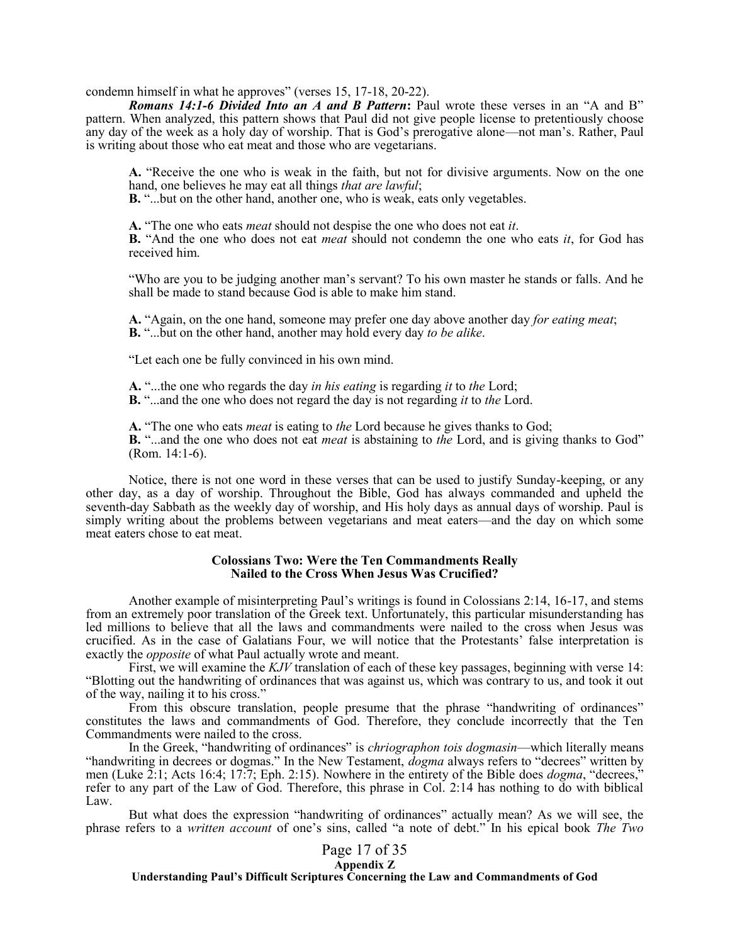condemn himself in what he approves" (verses 15, 17-18, 20-22).

*Romans 14:1-6 Divided Into an A and B Pattern***:** Paul wrote these verses in an "A and B" pattern. When analyzed, this pattern shows that Paul did not give people license to pretentiously choose any day of the week as a holy day of worship. That is God's prerogative alone—not man's. Rather, Paul is writing about those who eat meat and those who are vegetarians.

**A.** "Receive the one who is weak in the faith, but not for divisive arguments. Now on the one hand, one believes he may eat all things *that are lawful*;

**B.** "...but on the other hand, another one, who is weak, eats only vegetables.

**A.** "The one who eats *meat* should not despise the one who does not eat *it*. **B.** "And the one who does not eat *meat* should not condemn the one who eats *it*, for God has received him.

"Who are you to be judging another man's servant? To his own master he stands or falls. And he shall be made to stand because God is able to make him stand.

**A.** "Again, on the one hand, someone may prefer one day above another day *for eating meat*; **B.** "...but on the other hand, another may hold every day *to be alike*.

"Let each one be fully convinced in his own mind.

**A.** "...the one who regards the day *in his eating* is regarding *it* to *the* Lord;

**B.** "...and the one who does not regard the day is not regarding *it* to *the* Lord.

**A.** "The one who eats *meat* is eating to *the* Lord because he gives thanks to God; **B.** "...and the one who does not eat *meat* is abstaining to *the* Lord, and is giving thanks to God" (Rom. 14:1-6).

Notice, there is not one word in these verses that can be used to justify Sunday-keeping, or any other day, as a day of worship. Throughout the Bible, God has always commanded and upheld the seventh-day Sabbath as the weekly day of worship, and His holy days as annual days of worship. Paul is simply writing about the problems between vegetarians and meat eaters—and the day on which some meat eaters chose to eat meat.

# **Colossians Two: Were the Ten Commandments Really Nailed to the Cross When Jesus Was Crucified?**

Another example of misinterpreting Paul's writings is found in Colossians 2:14, 16-17, and stems from an extremely poor translation of the Greek text. Unfortunately, this particular misunderstanding has led millions to believe that all the laws and commandments were nailed to the cross when Jesus was crucified. As in the case of Galatians Four, we will notice that the Protestants' false interpretation is exactly the *opposite* of what Paul actually wrote and meant.

First, we will examine the *KJV* translation of each of these key passages, beginning with verse 14: "Blotting out the handwriting of ordinances that was against us, which was contrary to us, and took it out of the way, nailing it to his cross."

From this obscure translation, people presume that the phrase "handwriting of ordinances" constitutes the laws and commandments of God. Therefore, they conclude incorrectly that the Ten Commandments were nailed to the cross.

In the Greek, "handwriting of ordinances" is *chriographon tois dogmasin*—which literally means "handwriting in decrees or dogmas." In the New Testament, *dogma* always refers to "decrees" written by men (Luke 2:1; Acts 16:4; 17:7; Eph. 2:15). Nowhere in the entirety of the Bible does *dogma*, "decrees," refer to any part of the Law of God. Therefore, this phrase in Col. 2:14 has nothing to do with biblical Law.

But what does the expression "handwriting of ordinances" actually mean? As we will see, the phrase refers to a *written account* of one's sins, called "a note of debt." In his epical book *The Two*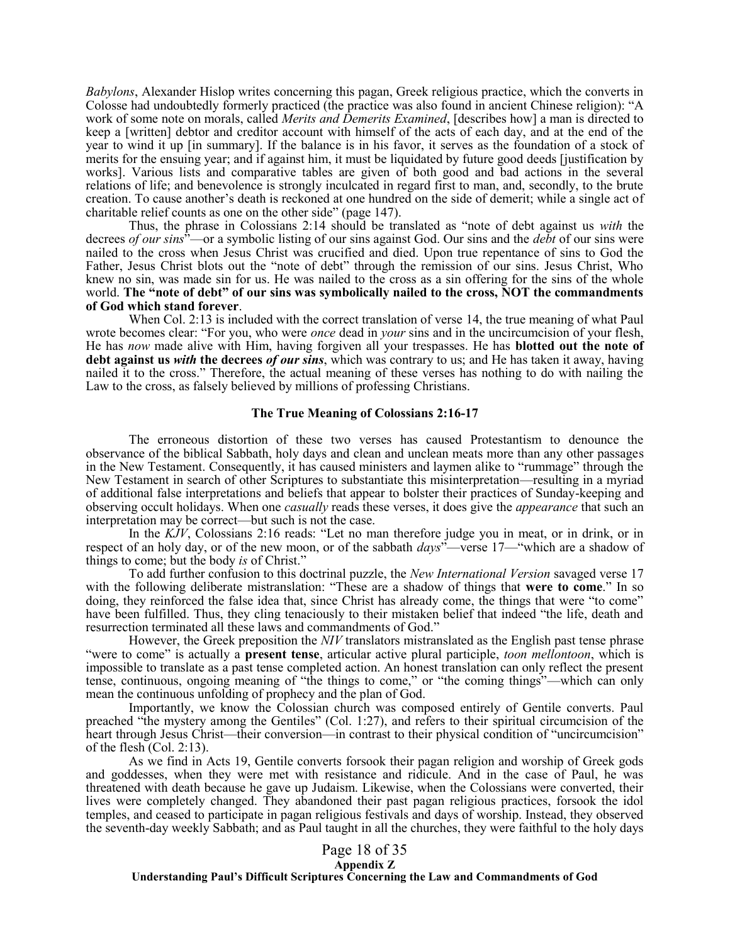*Babylons*, Alexander Hislop writes concerning this pagan, Greek religious practice, which the converts in Colosse had undoubtedly formerly practiced (the practice was also found in ancient Chinese religion): "A work of some note on morals, called *Merits and Demerits Examined*, [describes how] a man is directed to keep a [written] debtor and creditor account with himself of the acts of each day, and at the end of the year to wind it up [in summary]. If the balance is in his favor, it serves as the foundation of a stock of merits for the ensuing year; and if against him, it must be liquidated by future good deeds [justification by works]. Various lists and comparative tables are given of both good and bad actions in the several relations of life; and benevolence is strongly inculcated in regard first to man, and, secondly, to the brute creation. To cause another's death is reckoned at one hundred on the side of demerit; while a single act of charitable relief counts as one on the other side" (page 147).

Thus, the phrase in Colossians 2:14 should be translated as "note of debt against us *with* the decrees *of our sins*"—or a symbolic listing of our sins against God. Our sins and the *debt* of our sins were nailed to the cross when Jesus Christ was crucified and died. Upon true repentance of sins to God the Father, Jesus Christ blots out the "note of debt" through the remission of our sins. Jesus Christ, Who knew no sin, was made sin for us. He was nailed to the cross as a sin offering for the sins of the whole world. **The "note of debt" of our sins was symbolically nailed to the cross, NOT the commandments of God which stand forever**.

When Col. 2:13 is included with the correct translation of verse 14, the true meaning of what Paul wrote becomes clear: "For you, who were *once* dead in *your* sins and in the uncircumcision of your flesh, He has *now* made alive with Him, having forgiven all your trespasses. He has **blotted out the note of debt against us** *with* **the decrees** *of our sins*, which was contrary to us; and He has taken it away, having nailed it to the cross." Therefore, the actual meaning of these verses has nothing to do with nailing the Law to the cross, as falsely believed by millions of professing Christians.

# **The True Meaning of Colossians 2:16-17**

The erroneous distortion of these two verses has caused Protestantism to denounce the observance of the biblical Sabbath, holy days and clean and unclean meats more than any other passages in the New Testament. Consequently, it has caused ministers and laymen alike to "rummage" through the New Testament in search of other Scriptures to substantiate this misinterpretation—resulting in a myriad of additional false interpretations and beliefs that appear to bolster their practices of Sunday-keeping and observing occult holidays. When one *casually* reads these verses, it does give the *appearance* that such an interpretation may be correct—but such is not the case.

In the *KJV*, Colossians 2:16 reads: "Let no man therefore judge you in meat, or in drink, or in respect of an holy day, or of the new moon, or of the sabbath *days*"—verse 17—"which are a shadow of things to come; but the body *is* of Christ."

To add further confusion to this doctrinal puzzle, the *New International Version* savaged verse 17 with the following deliberate mistranslation: "These are a shadow of things that **were to come**." In so doing, they reinforced the false idea that, since Christ has already come, the things that were "to come" have been fulfilled. Thus, they cling tenaciously to their mistaken belief that indeed "the life, death and resurrection terminated all these laws and commandments of God."

However, the Greek preposition the *NIV* translators mistranslated as the English past tense phrase "were to come" is actually a **present tense**, articular active plural participle, *toon mellontoon*, which is impossible to translate as a past tense completed action. An honest translation can only reflect the present tense, continuous, ongoing meaning of "the things to come," or "the coming things"—which can only mean the continuous unfolding of prophecy and the plan of God.

Importantly, we know the Colossian church was composed entirely of Gentile converts. Paul preached "the mystery among the Gentiles" (Col. 1:27), and refers to their spiritual circumcision of the heart through Jesus Christ—their conversion—in contrast to their physical condition of "uncircumcision" of the flesh (Col. 2:13).

As we find in Acts 19, Gentile converts forsook their pagan religion and worship of Greek gods and goddesses, when they were met with resistance and ridicule. And in the case of Paul, he was threatened with death because he gave up Judaism. Likewise, when the Colossians were converted, their lives were completely changed. They abandoned their past pagan religious practices, forsook the idol temples, and ceased to participate in pagan religious festivals and days of worship. Instead, they observed the seventh-day weekly Sabbath; and as Paul taught in all the churches, they were faithful to the holy days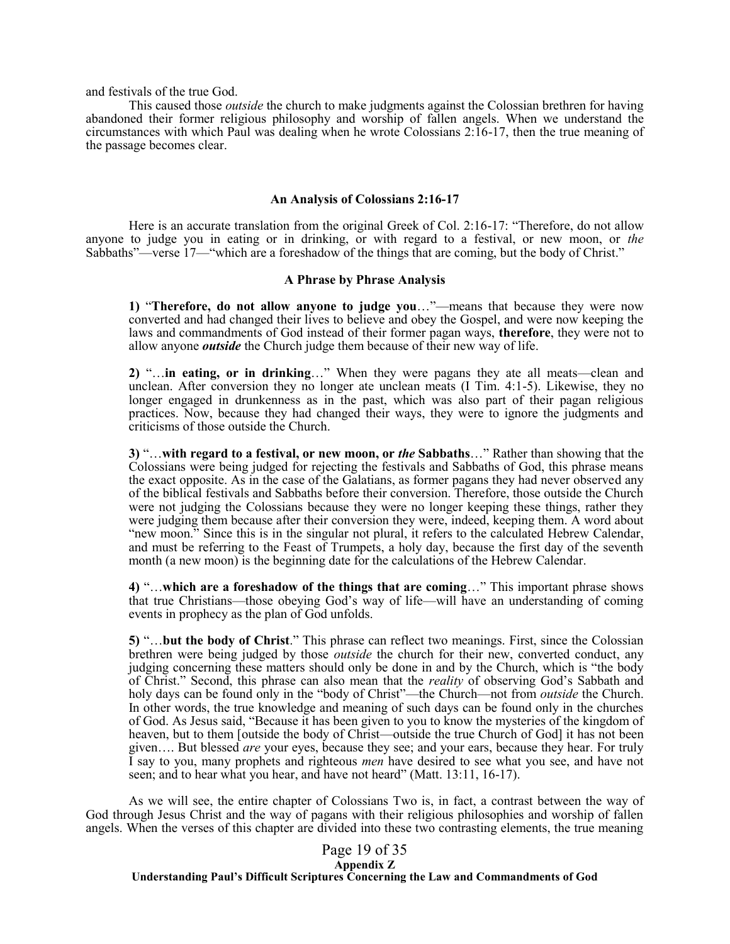and festivals of the true God.

This caused those *outside* the church to make judgments against the Colossian brethren for having abandoned their former religious philosophy and worship of fallen angels. When we understand the circumstances with which Paul was dealing when he wrote Colossians 2:16-17, then the true meaning of the passage becomes clear.

#### **An Analysis of Colossians 2:16-17**

Here is an accurate translation from the original Greek of Col. 2:16-17: "Therefore, do not allow anyone to judge you in eating or in drinking, or with regard to a festival, or new moon, or *the* Sabbaths"—verse 17—"which are a foreshadow of the things that are coming, but the body of Christ."

# **A Phrase by Phrase Analysis**

**1)** "**Therefore, do not allow anyone to judge you**…"—means that because they were now converted and had changed their lives to believe and obey the Gospel, and were now keeping the laws and commandments of God instead of their former pagan ways, **therefore**, they were not to allow anyone *outside* the Church judge them because of their new way of life.

**2)** "…**in eating, or in drinking**…" When they were pagans they ate all meats—clean and unclean. After conversion they no longer ate unclean meats (I Tim. 4:1-5). Likewise, they no longer engaged in drunkenness as in the past, which was also part of their pagan religious practices. Now, because they had changed their ways, they were to ignore the judgments and criticisms of those outside the Church.

**3)** "…**with regard to a festival, or new moon, or** *the* **Sabbaths**…" Rather than showing that the Colossians were being judged for rejecting the festivals and Sabbaths of God, this phrase means the exact opposite. As in the case of the Galatians, as former pagans they had never observed any of the biblical festivals and Sabbaths before their conversion. Therefore, those outside the Church were not judging the Colossians because they were no longer keeping these things, rather they were judging them because after their conversion they were, indeed, keeping them. A word about "new moon." Since this is in the singular not plural, it refers to the calculated Hebrew Calendar, and must be referring to the Feast of Trumpets, a holy day, because the first day of the seventh month (a new moon) is the beginning date for the calculations of the Hebrew Calendar.

**4)** "…**which are a foreshadow of the things that are coming**…" This important phrase shows that true Christians—those obeying God's way of life—will have an understanding of coming events in prophecy as the plan of God unfolds.

**5)** "…**but the body of Christ**." This phrase can reflect two meanings. First, since the Colossian brethren were being judged by those *outside* the church for their new, converted conduct, any judging concerning these matters should only be done in and by the Church, which is "the body of Christ." Second, this phrase can also mean that the *reality* of observing God's Sabbath and holy days can be found only in the "body of Christ"—the Church—not from *outside* the Church. In other words, the true knowledge and meaning of such days can be found only in the churches of God. As Jesus said, "Because it has been given to you to know the mysteries of the kingdom of heaven, but to them [outside the body of Christ—outside the true Church of God] it has not been given…. But blessed *are* your eyes, because they see; and your ears, because they hear. For truly I say to you, many prophets and righteous *men* have desired to see what you see, and have not seen; and to hear what you hear, and have not heard" (Matt. 13:11, 16-17).

As we will see, the entire chapter of Colossians Two is, in fact, a contrast between the way of God through Jesus Christ and the way of pagans with their religious philosophies and worship of fallen angels. When the verses of this chapter are divided into these two contrasting elements, the true meaning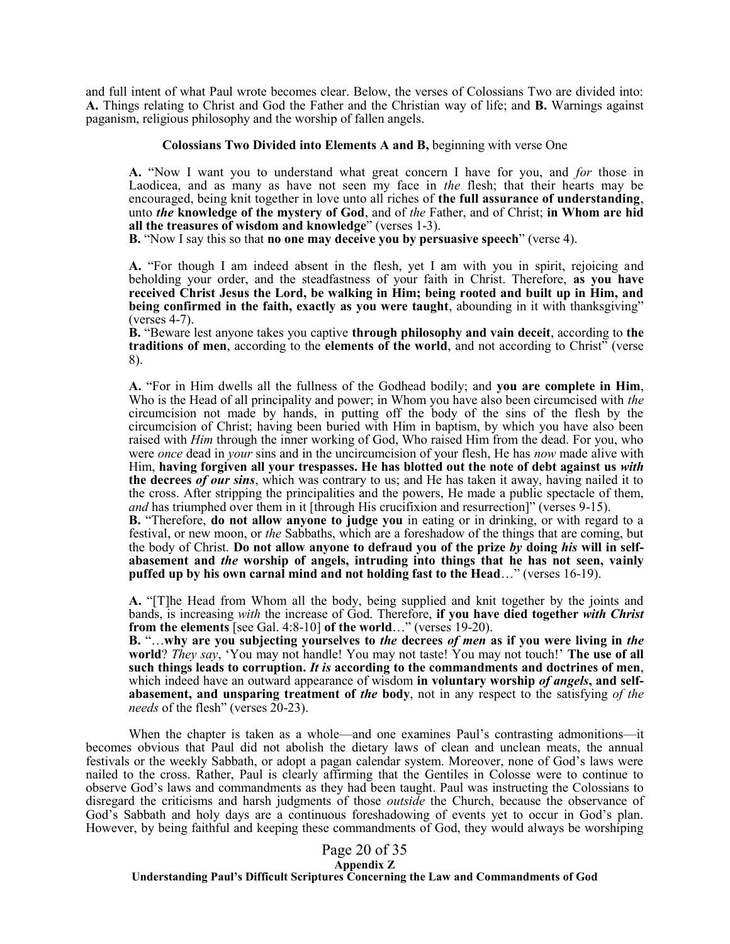and full intent of what Paul wrote becomes clear. Below, the verses of Colossians Two are divided into: **A.** Things relating to Christ and God the Father and the Christian way of life; and **B.** Warnings against paganism, religious philosophy and the worship of fallen angels.

# **Colossians Two Divided into Elements A and B,** beginning with verse One

**A.** "Now I want you to understand what great concern I have for you, and *for* those in Laodicea, and as many as have not seen my face in *the* flesh; that their hearts may be encouraged, being knit together in love unto all riches of **the full assurance of understanding**, unto *the* **knowledge of the mystery of God**, and of *the* Father, and of Christ; **in Whom are hid all the treasures of wisdom and knowledge**" (verses 1-3).

**B.** "Now I say this so that **no one may deceive you by persuasive speech**" (verse 4).

**A.** "For though I am indeed absent in the flesh, yet I am with you in spirit, rejoicing and beholding your order, and the steadfastness of your faith in Christ. Therefore, **as you have received Christ Jesus the Lord, be walking in Him; being rooted and built up in Him, and being confirmed in the faith, exactly as you were taught**, abounding in it with thanksgiving" (verses 4-7).

**B.** "Beware lest anyone takes you captive **through philosophy and vain deceit**, according to **the traditions of men**, according to the **elements of the world**, and not according to Christ" (verse 8).

**A.** "For in Him dwells all the fullness of the Godhead bodily; and **you are complete in Him**, Who is the Head of all principality and power; in Whom you have also been circumcised with *the* circumcision not made by hands, in putting off the body of the sins of the flesh by the circumcision of Christ; having been buried with Him in baptism, by which you have also been raised with *Him* through the inner working of God, Who raised Him from the dead. For you, who were *once* dead in *your* sins and in the uncircumcision of your flesh, He has *now* made alive with Him, **having forgiven all your trespasses. He has blotted out the note of debt against us** *with* **the decrees** *of our sins*, which was contrary to us; and He has taken it away, having nailed it to the cross. After stripping the principalities and the powers, He made a public spectacle of them, *and* has triumphed over them in it [through His crucifixion and resurrection]" (verses 9-15).

**B.** "Therefore, **do not allow anyone to judge you** in eating or in drinking, or with regard to a festival, or new moon, or *the* Sabbaths, which are a foreshadow of the things that are coming, but the body of Christ. **Do not allow anyone to defraud you of the prize** *by* **doing** *his* **will in selfabasement and** *the* **worship of angels, intruding into things that he has not seen, vainly puffed up by his own carnal mind and not holding fast to the Head**…" (verses 16-19).

**A.** "[T]he Head from Whom all the body, being supplied and knit together by the joints and bands, is increasing *with* the increase of God. Therefore, **if you have died together** *with Christ*  **from the elements** [see Gal. 4:8-10] **of the world**…" (verses 19-20).

**B.** "…**why are you subjecting yourselves to** *the* **decrees** *of men* **as if you were living in** *the* **world**? *They say*, 'You may not handle! You may not taste! You may not touch!' **The use of all such things leads to corruption.** *It is* **according to the commandments and doctrines of men**, which indeed have an outward appearance of wisdom **in voluntary worship** *of angels***, and selfabasement, and unsparing treatment of** *the* **body**, not in any respect to the satisfying *of the needs* of the flesh" (verses 20-23).

When the chapter is taken as a whole—and one examines Paul's contrasting admonitions—it becomes obvious that Paul did not abolish the dietary laws of clean and unclean meats, the annual festivals or the weekly Sabbath, or adopt a pagan calendar system. Moreover, none of God's laws were nailed to the cross. Rather, Paul is clearly affirming that the Gentiles in Colosse were to continue to observe God's laws and commandments as they had been taught. Paul was instructing the Colossians to disregard the criticisms and harsh judgments of those *outside* the Church, because the observance of God's Sabbath and holy days are a continuous foreshadowing of events yet to occur in God's plan. However, by being faithful and keeping these commandments of God, they would always be worshiping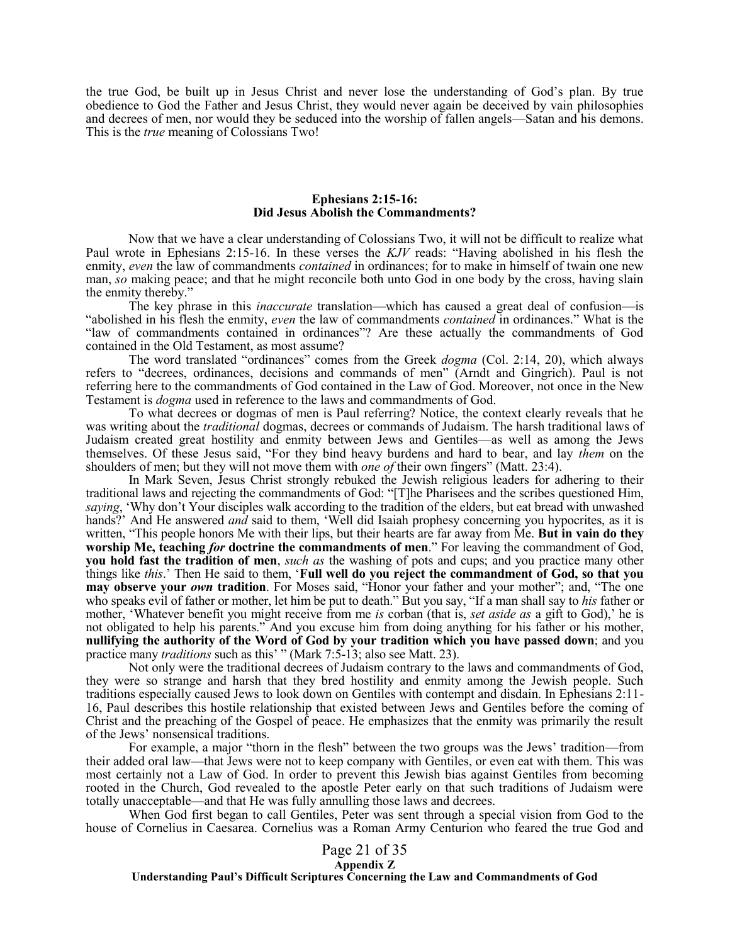the true God, be built up in Jesus Christ and never lose the understanding of God's plan. By true obedience to God the Father and Jesus Christ, they would never again be deceived by vain philosophies and decrees of men, nor would they be seduced into the worship of fallen angels—Satan and his demons. This is the *true* meaning of Colossians Two!

#### **Ephesians 2:15-16: Did Jesus Abolish the Commandments?**

Now that we have a clear understanding of Colossians Two, it will not be difficult to realize what Paul wrote in Ephesians 2:15-16. In these verses the *KJV* reads: "Having abolished in his flesh the enmity, *even* the law of commandments *contained* in ordinances; for to make in himself of twain one new man, *so* making peace; and that he might reconcile both unto God in one body by the cross, having slain the enmity thereby."

The key phrase in this *inaccurate* translation—which has caused a great deal of confusion—is "abolished in his flesh the enmity, *even* the law of commandments *contained* in ordinances." What is the "law of commandments contained in ordinances"? Are these actually the commandments of God contained in the Old Testament, as most assume?

The word translated "ordinances" comes from the Greek *dogma* (Col. 2:14, 20), which always refers to "decrees, ordinances, decisions and commands of men" (Arndt and Gingrich). Paul is not referring here to the commandments of God contained in the Law of God. Moreover, not once in the New Testament is *dogma* used in reference to the laws and commandments of God.

To what decrees or dogmas of men is Paul referring? Notice, the context clearly reveals that he was writing about the *traditional* dogmas, decrees or commands of Judaism. The harsh traditional laws of Judaism created great hostility and enmity between Jews and Gentiles—as well as among the Jews themselves. Of these Jesus said, "For they bind heavy burdens and hard to bear, and lay *them* on the shoulders of men; but they will not move them with *one of* their own fingers" (Matt. 23:4).

In Mark Seven, Jesus Christ strongly rebuked the Jewish religious leaders for adhering to their traditional laws and rejecting the commandments of God: "[T]he Pharisees and the scribes questioned Him, *saying*, 'Why don't Your disciples walk according to the tradition of the elders, but eat bread with unwashed hands?' And He answered *and* said to them, 'Well did Isaiah prophesy concerning you hypocrites, as it is written, "This people honors Me with their lips, but their hearts are far away from Me. **But in vain do they worship Me, teaching** *for* **doctrine the commandments of men**." For leaving the commandment of God, **you hold fast the tradition of men**, *such as* the washing of pots and cups; and you practice many other things like *this*.' Then He said to them, '**Full well do you reject the commandment of God, so that you may observe your** *own* **tradition**. For Moses said, "Honor your father and your mother"; and, "The one who speaks evil of father or mother, let him be put to death." But you say, "If a man shall say to *his* father or mother, 'Whatever benefit you might receive from me *is* corban (that is, *set aside as* a gift to God),' he is not obligated to help his parents." And you excuse him from doing anything for his father or his mother, **nullifying the authority of the Word of God by your tradition which you have passed down**; and you practice many *traditions* such as this' " (Mark 7:5-13; also see Matt. 23).

Not only were the traditional decrees of Judaism contrary to the laws and commandments of God, they were so strange and harsh that they bred hostility and enmity among the Jewish people. Such traditions especially caused Jews to look down on Gentiles with contempt and disdain. In Ephesians 2:11- 16, Paul describes this hostile relationship that existed between Jews and Gentiles before the coming of Christ and the preaching of the Gospel of peace. He emphasizes that the enmity was primarily the result of the Jews' nonsensical traditions.

For example, a major "thorn in the flesh" between the two groups was the Jews' tradition—from their added oral law—that Jews were not to keep company with Gentiles, or even eat with them. This was most certainly not a Law of God. In order to prevent this Jewish bias against Gentiles from becoming rooted in the Church, God revealed to the apostle Peter early on that such traditions of Judaism were totally unacceptable—and that He was fully annulling those laws and decrees.

When God first began to call Gentiles, Peter was sent through a special vision from God to the house of Cornelius in Caesarea. Cornelius was a Roman Army Centurion who feared the true God and

Page 21 of 35 **Appendix Z Understanding Paul's Difficult Scriptures Concerning the Law and Commandments of God**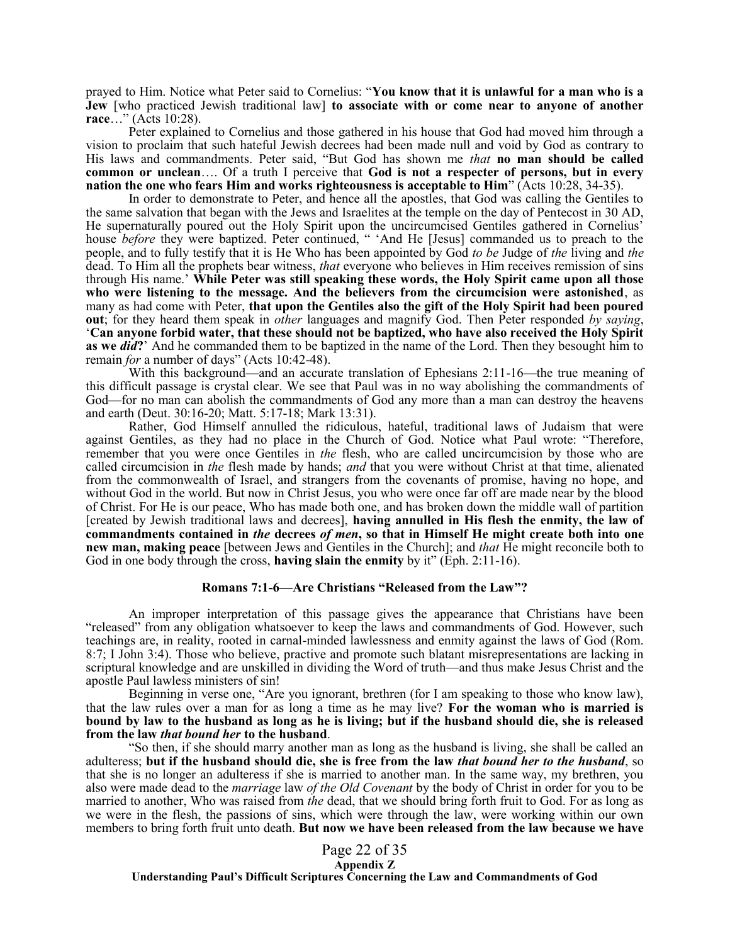prayed to Him. Notice what Peter said to Cornelius: "**You know that it is unlawful for a man who is a Jew** [who practiced Jewish traditional law] **to associate with or come near to anyone of another race**…" (Acts 10:28).

Peter explained to Cornelius and those gathered in his house that God had moved him through a vision to proclaim that such hateful Jewish decrees had been made null and void by God as contrary to His laws and commandments. Peter said, "But God has shown me *that* **no man should be called common or unclean**…. Of a truth I perceive that **God is not a respecter of persons, but in every nation the one who fears Him and works righteousness is acceptable to Him**" (Acts 10:28, 34-35).

In order to demonstrate to Peter, and hence all the apostles, that God was calling the Gentiles to the same salvation that began with the Jews and Israelites at the temple on the day of Pentecost in 30 AD, He supernaturally poured out the Holy Spirit upon the uncircumcised Gentiles gathered in Cornelius' house *before* they were baptized. Peter continued, " 'And He [Jesus] commanded us to preach to the people, and to fully testify that it is He Who has been appointed by God *to be* Judge of *the* living and *the* dead. To Him all the prophets bear witness, *that* everyone who believes in Him receives remission of sins through His name.' **While Peter was still speaking these words, the Holy Spirit came upon all those who were listening to the message. And the believers from the circumcision were astonished**, as many as had come with Peter, **that upon the Gentiles also the gift of the Holy Spirit had been poured out**; for they heard them speak in *other* languages and magnify God. Then Peter responded *by saying*, '**Can anyone forbid water, that these should not be baptized, who have also received the Holy Spirit as we** *did***?**' And he commanded them to be baptized in the name of the Lord. Then they besought him to remain *for* a number of days" (Acts 10:42-48).

With this background—and an accurate translation of Ephesians 2:11-16—the true meaning of this difficult passage is crystal clear. We see that Paul was in no way abolishing the commandments of God—for no man can abolish the commandments of God any more than a man can destroy the heavens and earth (Deut. 30:16-20; Matt. 5:17-18; Mark 13:31).

Rather, God Himself annulled the ridiculous, hateful, traditional laws of Judaism that were against Gentiles, as they had no place in the Church of God. Notice what Paul wrote: "Therefore, remember that you were once Gentiles in *the* flesh, who are called uncircumcision by those who are called circumcision in *the* flesh made by hands; *and* that you were without Christ at that time, alienated from the commonwealth of Israel, and strangers from the covenants of promise, having no hope, and without God in the world. But now in Christ Jesus, you who were once far off are made near by the blood of Christ. For He is our peace, Who has made both one, and has broken down the middle wall of partition [created by Jewish traditional laws and decrees], **having annulled in His flesh the enmity, the law of commandments contained in** *the* **decrees** *of men***, so that in Himself He might create both into one new man, making peace** [between Jews and Gentiles in the Church]; and *that* He might reconcile both to God in one body through the cross, **having slain the enmity** by it" (Eph. 2:11-16).

#### **Romans 7:1-6—Are Christians "Released from the Law"?**

An improper interpretation of this passage gives the appearance that Christians have been "released" from any obligation whatsoever to keep the laws and commandments of God. However, such teachings are, in reality, rooted in carnal-minded lawlessness and enmity against the laws of God (Rom. 8:7; I John 3:4). Those who believe, practive and promote such blatant misrepresentations are lacking in scriptural knowledge and are unskilled in dividing the Word of truth—and thus make Jesus Christ and the apostle Paul lawless ministers of sin!

Beginning in verse one, "Are you ignorant, brethren (for I am speaking to those who know law), that the law rules over a man for as long a time as he may live? **For the woman who is married is bound by law to the husband as long as he is living; but if the husband should die, she is released from the law** *that bound her* **to the husband**.

"So then, if she should marry another man as long as the husband is living, she shall be called an adulteress; **but if the husband should die, she is free from the law** *that bound her to the husband*, so that she is no longer an adulteress if she is married to another man. In the same way, my brethren, you also were made dead to the *marriage* law *of the Old Covenant* by the body of Christ in order for you to be married to another, Who was raised from *the* dead, that we should bring forth fruit to God. For as long as we were in the flesh, the passions of sins, which were through the law, were working within our own members to bring forth fruit unto death. **But now we have been released from the law because we have**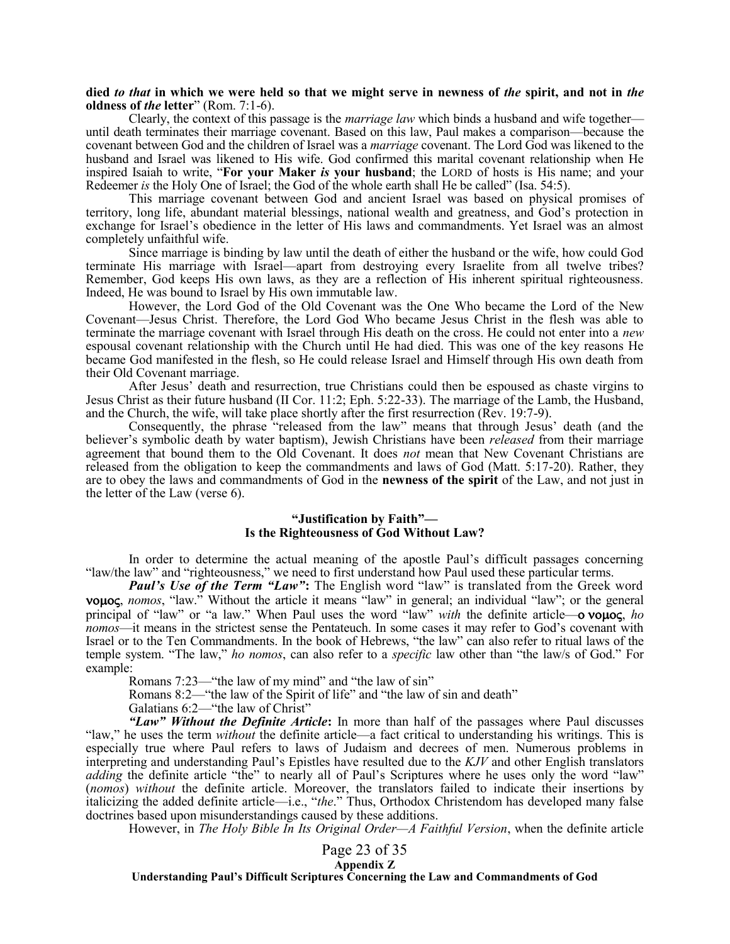#### **died** *to that* **in which we were held so that we might serve in newness of** *the* **spirit, and not in** *the* **oldness of** *the* **letter**" (Rom. 7:1-6).

Clearly, the context of this passage is the *marriage law* which binds a husband and wife together until death terminates their marriage covenant. Based on this law, Paul makes a comparison—because the covenant between God and the children of Israel was a *marriage* covenant. The Lord God was likened to the husband and Israel was likened to His wife. God confirmed this marital covenant relationship when He inspired Isaiah to write, "**For your Maker** *is* **your husband**; the LORD of hosts is His name; and your Redeemer *is* the Holy One of Israel; the God of the whole earth shall He be called" (Isa. 54:5).

This marriage covenant between God and ancient Israel was based on physical promises of territory, long life, abundant material blessings, national wealth and greatness, and God's protection in exchange for Israel's obedience in the letter of His laws and commandments. Yet Israel was an almost completely unfaithful wife.

Since marriage is binding by law until the death of either the husband or the wife, how could God terminate His marriage with Israel—apart from destroying every Israelite from all twelve tribes? Remember, God keeps His own laws, as they are a reflection of His inherent spiritual righteousness. Indeed, He was bound to Israel by His own immutable law.

However, the Lord God of the Old Covenant was the One Who became the Lord of the New Covenant—Jesus Christ. Therefore, the Lord God Who became Jesus Christ in the flesh was able to terminate the marriage covenant with Israel through His death on the cross. He could not enter into a *new* espousal covenant relationship with the Church until He had died. This was one of the key reasons He became God manifested in the flesh, so He could release Israel and Himself through His own death from their Old Covenant marriage.

After Jesus' death and resurrection, true Christians could then be espoused as chaste virgins to Jesus Christ as their future husband (II Cor. 11:2; Eph. 5:22-33). The marriage of the Lamb, the Husband, and the Church, the wife, will take place shortly after the first resurrection (Rev. 19:7-9).

Consequently, the phrase "released from the law" means that through Jesus' death (and the believer's symbolic death by water baptism), Jewish Christians have been *released* from their marriage agreement that bound them to the Old Covenant. It does *not* mean that New Covenant Christians are released from the obligation to keep the commandments and laws of God (Matt. 5:17-20). Rather, they are to obey the laws and commandments of God in the **newness of the spirit** of the Law, and not just in the letter of the Law (verse 6).

#### **"Justification by Faith"— Is the Righteousness of God Without Law?**

In order to determine the actual meaning of the apostle Paul's difficult passages concerning "law/the law" and "righteousness," we need to first understand how Paul used these particular terms.

*Paul's Use of the Term "Law"***:** The English word "law" is translated from the Greek word , *nomos*, "law." Without the article it means "law" in general; an individual "law"; or the general principal of "law" or "a law." When Paul uses the word "law" *with* the definite article—**,** *ho*  $\omega$ *nomos*—it means in the strictest sense the Pentateuch. In some cases it may refer to God's covenant with Israel or to the Ten Commandments. In the book of Hebrews, "the law" can also refer to ritual laws of the temple system. "The law," *ho nomos*, can also refer to a *specific* law other than "the law/s of God." For example:

Romans 7:23—"the law of my mind" and "the law of sin"

Romans 8:2—"the law of the Spirit of life" and "the law of sin and death"

Galatians 6:2—"the law of Christ"

*"Law" Without the Definite Article***:** In more than half of the passages where Paul discusses "law," he uses the term *without* the definite article—a fact critical to understanding his writings. This is especially true where Paul refers to laws of Judaism and decrees of men. Numerous problems in interpreting and understanding Paul's Epistles have resulted due to the *KJV* and other English translators *adding* the definite article "the" to nearly all of Paul's Scriptures where he uses only the word "law" (*nomos*) *without* the definite article. Moreover, the translators failed to indicate their insertions by italicizing the added definite article—i.e., "*the*." Thus, Orthodox Christendom has developed many false doctrines based upon misunderstandings caused by these additions.

However, in *The Holy Bible In Its Original Order—A Faithful Version*, when the definite article

Page 23 of 35 **Appendix Z Understanding Paul's Difficult Scriptures Concerning the Law and Commandments of God**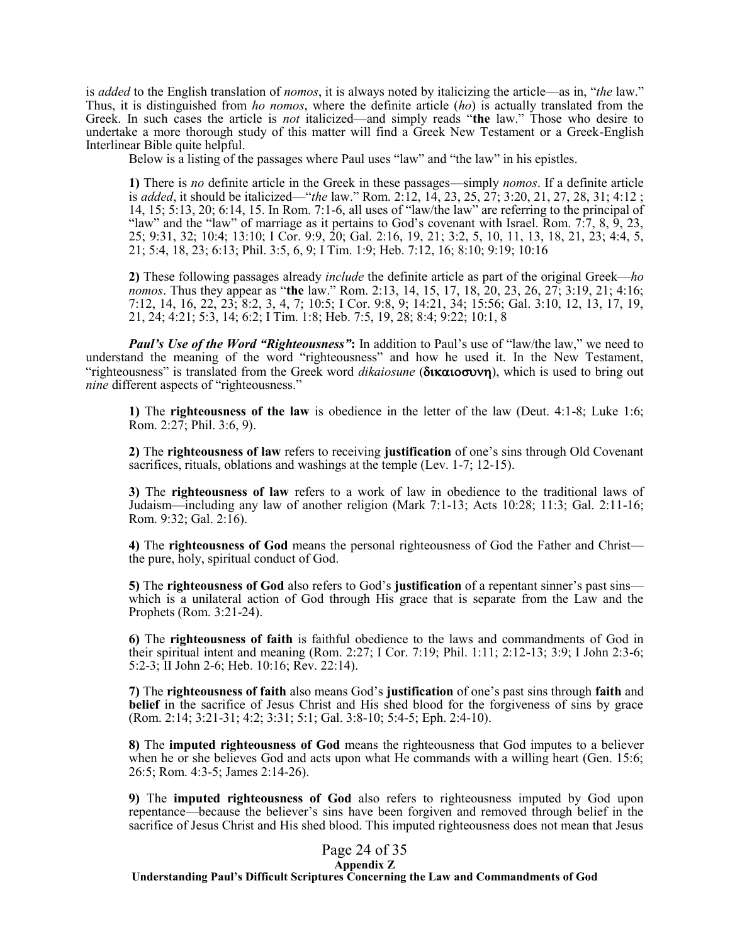is *added* to the English translation of *nomos*, it is always noted by italicizing the article—as in, "*the* law." Thus, it is distinguished from *ho nomos*, where the definite article (*ho*) is actually translated from the Greek. In such cases the article is *not* italicized—and simply reads "**the** law." Those who desire to undertake a more thorough study of this matter will find a Greek New Testament or a Greek-English Interlinear Bible quite helpful.

Below is a listing of the passages where Paul uses "law" and "the law" in his epistles.

**1)** There is *no* definite article in the Greek in these passages—simply *nomos*. If a definite article is *added*, it should be italicized—"*the* law." Rom. 2:12, 14, 23, 25, 27; 3:20, 21, 27, 28, 31; 4:12 ; 14, 15; 5:13, 20; 6:14, 15. In Rom. 7:1-6, all uses of "law/the law" are referring to the principal of "law" and the "law" of marriage as it pertains to God's covenant with Israel. Rom. 7:7, 8, 9, 23, 25; 9:31, 32; 10:4; 13:10; I Cor. 9:9, 20; Gal. 2:16, 19, 21; 3:2, 5, 10, 11, 13, 18, 21, 23; 4:4, 5, 21; 5:4, 18, 23; 6:13; Phil. 3:5, 6, 9; I Tim. 1:9; Heb. 7:12, 16; 8:10; 9:19; 10:16

**2)** These following passages already *include* the definite article as part of the original Greek—*ho nomos*. Thus they appear as "**the** law." Rom. 2:13, 14, 15, 17, 18, 20, 23, 26, 27; 3:19, 21; 4:16; 7:12, 14, 16, 22, 23; 8:2, 3, 4, 7; 10:5; I Cor. 9:8, 9; 14:21, 34; 15:56; Gal. 3:10, 12, 13, 17, 19, 21, 24; 4:21; 5:3, 14; 6:2; I Tim. 1:8; Heb. 7:5, 19, 28; 8:4; 9:22; 10:1, 8

*Paul's Use of the Word "Righteousness"***:** In addition to Paul's use of "law/the law," we need to understand the meaning of the word "righteousness" and how he used it. In the New Testament, "righteousness" is translated from the Greek word *dikaiosune* ( $\delta$ *k***atoovyn**), which is used to bring out *nine* different aspects of "righteousness."

**1)** The **righteousness of the law** is obedience in the letter of the law (Deut. 4:1-8; Luke 1:6; Rom. 2:27; Phil. 3:6, 9).

**2)** The **righteousness of law** refers to receiving **justification** of one's sins through Old Covenant sacrifices, rituals, oblations and washings at the temple (Lev. 1-7; 12-15).

**3)** The **righteousness of law** refers to a work of law in obedience to the traditional laws of Judaism—including any law of another religion (Mark 7:1-13; Acts 10:28; 11:3; Gal. 2:11-16; Rom. 9:32; Gal. 2:16).

**4)** The **righteousness of God** means the personal righteousness of God the Father and Christ the pure, holy, spiritual conduct of God.

**5)** The **righteousness of God** also refers to God's **justification** of a repentant sinner's past sins which is a unilateral action of God through His grace that is separate from the Law and the Prophets (Rom. 3:21-24).

**6)** The **righteousness of faith** is faithful obedience to the laws and commandments of God in their spiritual intent and meaning (Rom. 2:27; I Cor. 7:19; Phil. 1:11; 2:12-13; 3:9; I John 2:3-6; 5:2-3; II John 2-6; Heb. 10:16; Rev. 22:14).

**7)** The **righteousness of faith** also means God's **justification** of one's past sins through **faith** and **belief** in the sacrifice of Jesus Christ and His shed blood for the forgiveness of sins by grace (Rom. 2:14; 3:21-31; 4:2; 3:31; 5:1; Gal. 3:8-10; 5:4-5; Eph. 2:4-10).

**8)** The **imputed righteousness of God** means the righteousness that God imputes to a believer when he or she believes God and acts upon what He commands with a willing heart (Gen. 15:6; 26:5; Rom. 4:3-5; James 2:14-26).

**9)** The **imputed righteousness of God** also refers to righteousness imputed by God upon repentance—because the believer's sins have been forgiven and removed through belief in the sacrifice of Jesus Christ and His shed blood. This imputed righteousness does not mean that Jesus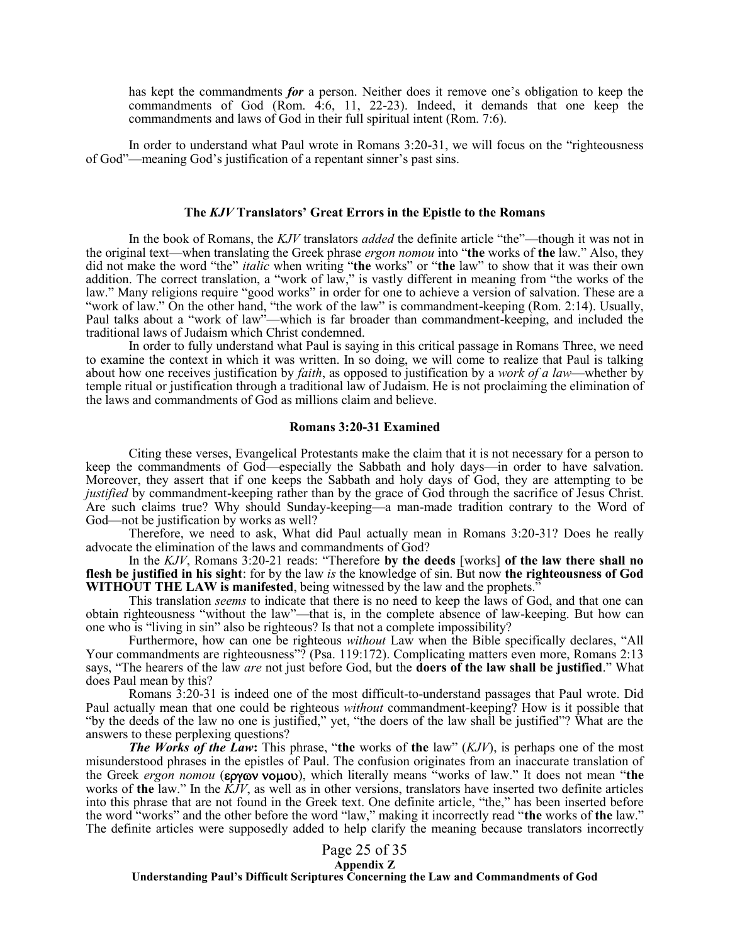has kept the commandments *for* a person. Neither does it remove one's obligation to keep the commandments of God (Rom. 4:6, 11, 22-23). Indeed, it demands that one keep the commandments and laws of God in their full spiritual intent (Rom. 7:6).

In order to understand what Paul wrote in Romans 3:20-31, we will focus on the "righteousness of God"—meaning God's justification of a repentant sinner's past sins.

#### **The** *KJV* **Translators' Great Errors in the Epistle to the Romans**

In the book of Romans, the *KJV* translators *added* the definite article "the"—though it was not in the original text—when translating the Greek phrase *ergon nomou* into "**the** works of **the** law." Also, they did not make the word "the" *italic* when writing "**the** works" or "**the** law" to show that it was their own addition. The correct translation, a "work of law," is vastly different in meaning from "the works of the law." Many religions require "good works" in order for one to achieve a version of salvation. These are a "work of law." On the other hand, "the work of the law" is commandment-keeping (Rom. 2:14). Usually, Paul talks about a "work of law"—which is far broader than commandment-keeping, and included the traditional laws of Judaism which Christ condemned.

In order to fully understand what Paul is saying in this critical passage in Romans Three, we need to examine the context in which it was written. In so doing, we will come to realize that Paul is talking about how one receives justification by *faith*, as opposed to justification by a *work of a law*—whether by temple ritual or justification through a traditional law of Judaism. He is not proclaiming the elimination of the laws and commandments of God as millions claim and believe.

#### **Romans 3:20-31 Examined**

Citing these verses, Evangelical Protestants make the claim that it is not necessary for a person to keep the commandments of God—especially the Sabbath and holy days—in order to have salvation. Moreover, they assert that if one keeps the Sabbath and holy days of God, they are attempting to be *justified* by commandment-keeping rather than by the grace of God through the sacrifice of Jesus Christ. Are such claims true? Why should Sunday-keeping—a man-made tradition contrary to the Word of God—not be justification by works as well?

Therefore, we need to ask, What did Paul actually mean in Romans 3:20-31? Does he really advocate the elimination of the laws and commandments of God?

In the *KJV*, Romans 3:20-21 reads: "Therefore **by the deeds** [works] **of the law there shall no flesh be justified in his sight**: for by the law *is* the knowledge of sin. But now **the righteousness of God WITHOUT THE LAW is manifested**, being witnessed by the law and the prophets."

This translation *seems* to indicate that there is no need to keep the laws of God, and that one can obtain righteousness "without the law"—that is, in the complete absence of law-keeping. But how can one who is "living in sin" also be righteous? Is that not a complete impossibility?

Furthermore, how can one be righteous *without* Law when the Bible specifically declares, "All Your commandments are righteousness"? (Psa. 119:172). Complicating matters even more, Romans 2:13 says, "The hearers of the law *are* not just before God, but the **doers of the law shall be justified**." What does Paul mean by this?

Romans 3:20-31 is indeed one of the most difficult-to-understand passages that Paul wrote. Did Paul actually mean that one could be righteous *without* commandment-keeping? How is it possible that "by the deeds of the law no one is justified," yet, "the doers of the law shall be justified"? What are the answers to these perplexing questions?

*The Works of the Law***:** This phrase, "**the** works of **the** law" (*KJV*), is perhaps one of the most misunderstood phrases in the epistles of Paul. The confusion originates from an inaccurate translation of the Greek *ergon nomou* ( $\epsilon$ *pyov vouov*), which literally means "works of law." It does not mean "the works of **the** law." In the *KJV*, as well as in other versions, translators have inserted two definite articles into this phrase that are not found in the Greek text. One definite article, "the," has been inserted before the word "works" and the other before the word "law," making it incorrectly read "**the** works of **the** law." The definite articles were supposedly added to help clarify the meaning because translators incorrectly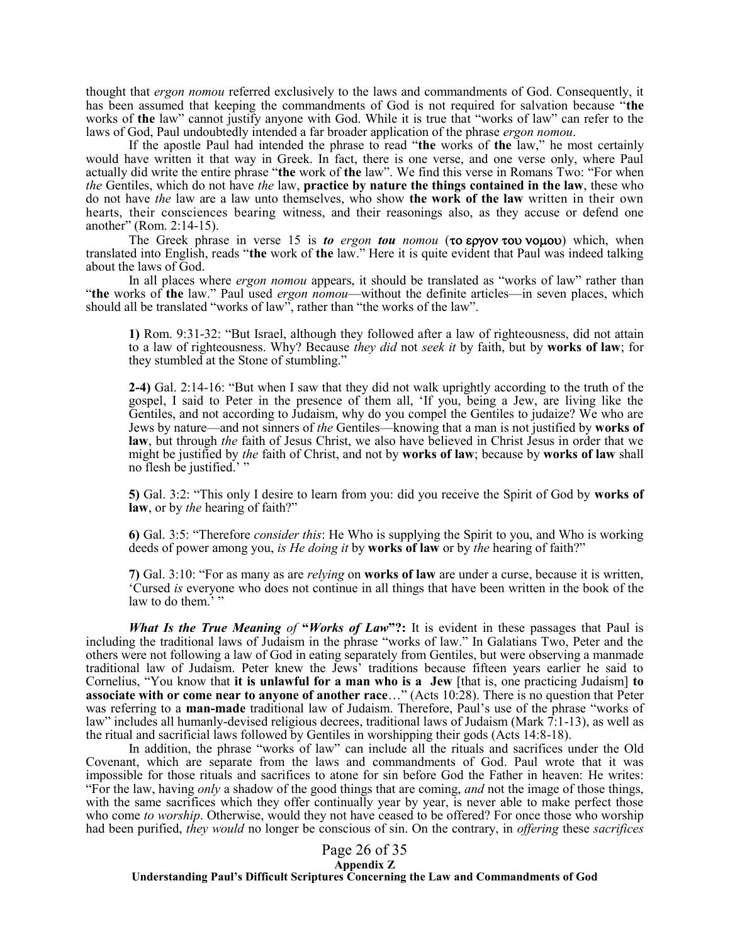thought that *ergon nomou* referred exclusively to the laws and commandments of God. Consequently, it has been assumed that keeping the commandments of God is not required for salvation because "**the** works of the law" cannot justify anyone with God. While it is true that "works of law" can refer to the laws of God, Paul undoubtedly intended a far broader application of the phrase *ergon nomou*.

If the apostle Paul had intended the phrase to read "**the** works of **the** law," he most certainly would have written it that way in Greek. In fact, there is one verse, and one verse only, where Paul actually did write the entire phrase "**the** work of **the** law". We find this verse in Romans Two: "For when *the* Gentiles, which do not have *the* law, **practice by nature the things contained in the law**, these who do not have *the* law are a law unto themselves, who show **the work of the law** written in their own hearts, their consciences bearing witness, and their reasonings also, as they accuse or defend one another" (Rom. 2:14-15).

The Greek phrase in verse 15 is *to* ergon *tou* nomou ( $\tau$ **o epyov**  $\tau$ **ov**  $\upsilon$  $\upsilon$  which, when translated into English, reads "**the** work of **the** law." Here it is quite evident that Paul was indeed talking about the laws of God.

In all places where *ergon nomou* appears, it should be translated as "works of law" rather than "**the** works of **the** law." Paul used *ergon nomou*—without the definite articles—in seven places, which should all be translated "works of law", rather than "the works of the law".

**1)** Rom. 9:31-32: "But Israel, although they followed after a law of righteousness, did not attain to a law of righteousness. Why? Because *they did* not *seek it* by faith, but by **works of law**; for they stumbled at the Stone of stumbling."

**2-4)** Gal. 2:14-16: "But when I saw that they did not walk uprightly according to the truth of the gospel, I said to Peter in the presence of them all, 'If you, being a Jew, are living like the Gentiles, and not according to Judaism, why do you compel the Gentiles to judaize? We who are Jews by nature—and not sinners of *the* Gentiles—knowing that a man is not justified by **works of law**, but through *the* faith of Jesus Christ, we also have believed in Christ Jesus in order that we might be justified by *the* faith of Christ, and not by **works of law**; because by **works of law** shall no flesh be justified.'"

**5)** Gal. 3:2: "This only I desire to learn from you: did you receive the Spirit of God by **works of law**, or by *the* hearing of faith?"

**6)** Gal. 3:5: "Therefore *consider this*: He Who is supplying the Spirit to you, and Who is working deeds of power among you, *is He doing it* by **works of law** or by *the* hearing of faith?"

**7)** Gal. 3:10: "For as many as are *relying* on **works of law** are under a curse, because it is written, 'Cursed *is* everyone who does not continue in all things that have been written in the book of the law to do them.'"

*What Is the True Meaning of* **"***Works of Law***"?:** It is evident in these passages that Paul is including the traditional laws of Judaism in the phrase "works of law." In Galatians Two, Peter and the others were not following a law of God in eating separately from Gentiles, but were observing a manmade traditional law of Judaism. Peter knew the Jews' traditions because fifteen years earlier he said to Cornelius, "You know that **it is unlawful for a man who is a Jew** [that is, one practicing Judaism] **to associate with or come near to anyone of another race**…" (Acts 10:28). There is no question that Peter was referring to a **man-made** traditional law of Judaism. Therefore, Paul's use of the phrase "works of law" includes all humanly-devised religious decrees, traditional laws of Judaism (Mark 7:1-13), as well as the ritual and sacrificial laws followed by Gentiles in worshipping their gods (Acts 14:8-18).

In addition, the phrase "works of law" can include all the rituals and sacrifices under the Old Covenant, which are separate from the laws and commandments of God. Paul wrote that it was impossible for those rituals and sacrifices to atone for sin before God the Father in heaven: He writes: "For the law, having *only* a shadow of the good things that are coming, *and* not the image of those things, with the same sacrifices which they offer continually year by year, is never able to make perfect those who come *to worship*. Otherwise, would they not have ceased to be offered? For once those who worship had been purified, *they would* no longer be conscious of sin. On the contrary, in *offering* these *sacrifices*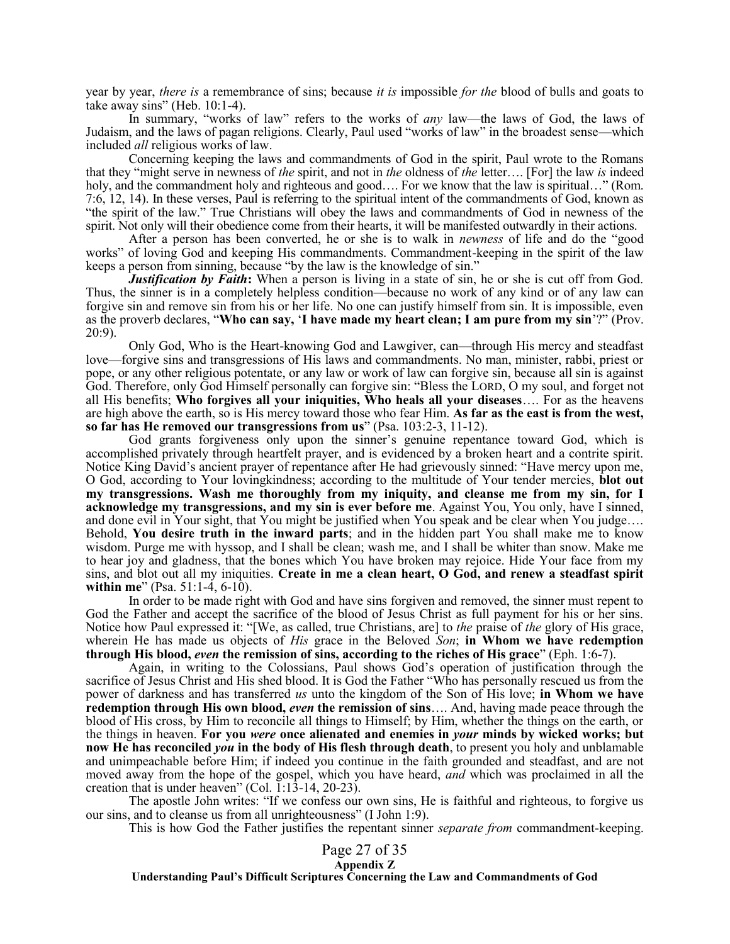year by year, *there is* a remembrance of sins; because *it is* impossible *for the* blood of bulls and goats to take away sins" (Heb. 10:1-4).

In summary, "works of law" refers to the works of *any* law—the laws of God, the laws of Judaism, and the laws of pagan religions. Clearly, Paul used "works of law" in the broadest sense—which included *all* religious works of law.

Concerning keeping the laws and commandments of God in the spirit, Paul wrote to the Romans that they "might serve in newness of *the* spirit, and not in *the* oldness of *the* letter…. [For] the law *is* indeed holy, and the commandment holy and righteous and good.... For we know that the law is spiritual..." (Rom. 7:6, 12, 14). In these verses, Paul is referring to the spiritual intent of the commandments of God, known as "the spirit of the law." True Christians will obey the laws and commandments of God in newness of the spirit. Not only will their obedience come from their hearts, it will be manifested outwardly in their actions.

After a person has been converted, he or she is to walk in *newness* of life and do the "good works" of loving God and keeping His commandments. Commandment-keeping in the spirit of the law keeps a person from sinning, because "by the law is the knowledge of sin."

*Justification by Faith*: When a person is living in a state of sin, he or she is cut off from God. Thus, the sinner is in a completely helpless condition—because no work of any kind or of any law can forgive sin and remove sin from his or her life. No one can justify himself from sin. It is impossible, even as the proverb declares, "**Who can say,** '**I have made my heart clean; I am pure from my sin**'?" (Prov. 20:9).

Only God, Who is the Heart-knowing God and Lawgiver, can—through His mercy and steadfast love—forgive sins and transgressions of His laws and commandments. No man, minister, rabbi, priest or pope, or any other religious potentate, or any law or work of law can forgive sin, because all sin is against God. Therefore, only God Himself personally can forgive sin: "Bless the LORD, O my soul, and forget not all His benefits; **Who forgives all your iniquities, Who heals all your diseases**…. For as the heavens are high above the earth, so is His mercy toward those who fear Him. **As far as the east is from the west, so far has He removed our transgressions from us**" (Psa. 103:2-3, 11-12).

God grants forgiveness only upon the sinner's genuine repentance toward God, which is accomplished privately through heartfelt prayer, and is evidenced by a broken heart and a contrite spirit. Notice King David's ancient prayer of repentance after He had grievously sinned: "Have mercy upon me, O God, according to Your lovingkindness; according to the multitude of Your tender mercies, **blot out my transgressions. Wash me thoroughly from my iniquity, and cleanse me from my sin, for I acknowledge my transgressions, and my sin is ever before me**. Against You, You only, have I sinned, and done evil in Your sight, that You might be justified when You speak and be clear when You judge…. Behold, **You desire truth in the inward parts**; and in the hidden part You shall make me to know wisdom. Purge me with hyssop, and I shall be clean; wash me, and I shall be whiter than snow. Make me to hear joy and gladness, that the bones which You have broken may rejoice. Hide Your face from my sins, and blot out all my iniquities. **Create in me a clean heart, O God, and renew a steadfast spirit within me**" (Psa. 51:1-4, 6-10).

In order to be made right with God and have sins forgiven and removed, the sinner must repent to God the Father and accept the sacrifice of the blood of Jesus Christ as full payment for his or her sins. Notice how Paul expressed it: "[We, as called, true Christians, are] to *the* praise of *the* glory of His grace, wherein He has made us objects of *His* grace in the Beloved *Son*; **in Whom we have redemption through His blood,** *even* **the remission of sins, according to the riches of His grace**" (Eph. 1:6-7).

Again, in writing to the Colossians, Paul shows God's operation of justification through the sacrifice of Jesus Christ and His shed blood. It is God the Father "Who has personally rescued us from the power of darkness and has transferred *us* unto the kingdom of the Son of His love; **in Whom we have redemption through His own blood,** *even* **the remission of sins**…. And, having made peace through the blood of His cross, by Him to reconcile all things to Himself; by Him, whether the things on the earth, or the things in heaven. **For you** *were* **once alienated and enemies in** *your* **minds by wicked works; but now He has reconciled** *you* **in the body of His flesh through death**, to present you holy and unblamable and unimpeachable before Him; if indeed you continue in the faith grounded and steadfast, and are not moved away from the hope of the gospel, which you have heard, *and* which was proclaimed in all the creation that is under heaven" (Col. 1:13-14, 20-23).

The apostle John writes: "If we confess our own sins, He is faithful and righteous, to forgive us our sins, and to cleanse us from all unrighteousness" (I John 1:9).

This is how God the Father justifies the repentant sinner *separate from* commandment-keeping.

Page 27 of 35 **Appendix Z Understanding Paul's Difficult Scriptures Concerning the Law and Commandments of God**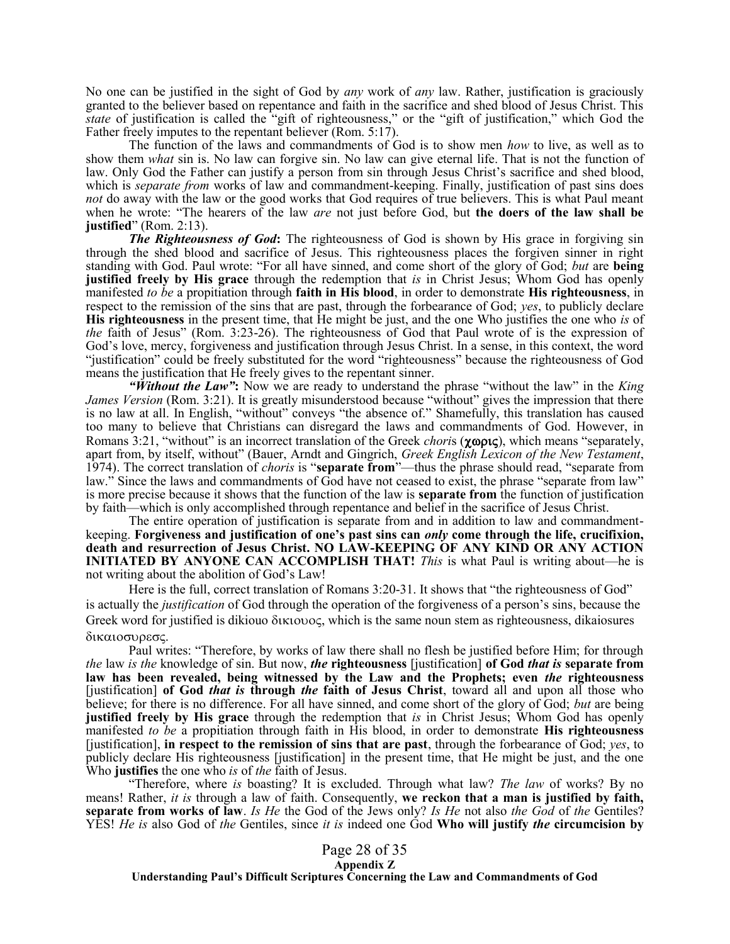No one can be justified in the sight of God by *any* work of *any* law. Rather, justification is graciously granted to the believer based on repentance and faith in the sacrifice and shed blood of Jesus Christ. This state of justification is called the "gift of righteousness," or the "gift of justification," which God the Father freely imputes to the repentant believer (Rom. 5:17).

The function of the laws and commandments of God is to show men *how* to live, as well as to show them *what* sin is. No law can forgive sin. No law can give eternal life. That is not the function of law. Only God the Father can justify a person from sin through Jesus Christ's sacrifice and shed blood, which is *separate from* works of law and commandment-keeping. Finally, justification of past sins does *not* do away with the law or the good works that God requires of true believers. This is what Paul meant when he wrote: "The hearers of the law *are* not just before God, but **the doers of the law shall be justified**" (Rom. 2:13).

*The Righteousness of God***:** The righteousness of God is shown by His grace in forgiving sin through the shed blood and sacrifice of Jesus. This righteousness places the forgiven sinner in right standing with God. Paul wrote: "For all have sinned, and come short of the glory of God; *but* are **being justified freely by His grace** through the redemption that *is* in Christ Jesus; Whom God has openly manifested *to be* a propitiation through **faith in His blood**, in order to demonstrate **His righteousness**, in respect to the remission of the sins that are past, through the forbearance of God; *yes*, to publicly declare **His righteousness** in the present time, that He might be just, and the one Who justifies the one who *is* of *the* faith of Jesus" (Rom. 3:23-26). The righteousness of God that Paul wrote of is the expression of God's love, mercy, forgiveness and justification through Jesus Christ. In a sense, in this context, the word "justification" could be freely substituted for the word "righteousness" because the righteousness of God means the justification that He freely gives to the repentant sinner.

*"Without the Law"***:** Now we are ready to understand the phrase "without the law" in the *King James Version* (Rom. 3:21). It is greatly misunderstood because "without" gives the impression that there is no law at all. In English, "without" conveys "the absence of." Shamefully, this translation has caused too many to believe that Christians can disregard the laws and commandments of God. However, in Romans 3:21, "without" is an incorrect translation of the Greek *choris* ( $\chi \omega \rho \iota \varsigma$ ), which means "separately, apart from, by itself, without" (Bauer, Arndt and Gingrich, *Greek English Lexicon of the New Testament*, 1974). The correct translation of *choris* is "**separate from**"—thus the phrase should read, "separate from law." Since the laws and commandments of God have not ceased to exist, the phrase "separate from law" is more precise because it shows that the function of the law is **separate from** the function of justification by faith—which is only accomplished through repentance and belief in the sacrifice of Jesus Christ.

The entire operation of justification is separate from and in addition to law and commandmentkeeping. **Forgiveness and justification of one's past sins can** *only* **come through the life, crucifixion, death and resurrection of Jesus Christ. NO LAW-KEEPING OF ANY KIND OR ANY ACTION INITIATED BY ANYONE CAN ACCOMPLISH THAT!** *This* is what Paul is writing about—he is not writing about the abolition of God's Law!

Here is the full, correct translation of Romans 3:20-31. It shows that "the righteousness of God" is actually the *justification* of God through the operation of the forgiveness of a person's sins, because the Greek word for justified is dikiouo  $\delta x$ utovo $\zeta$ , which is the same noun stem as righteousness, dikaiosures δικαιοσυρεσς.

Paul writes: "Therefore, by works of law there shall no flesh be justified before Him; for through *the* law *is the* knowledge of sin. But now, *the* **righteousness** [justification] **of God** *that is* **separate from law has been revealed, being witnessed by the Law and the Prophets; even** *the* **righteousness** [justification] **of God** *that is* **through** *the* **faith of Jesus Christ**, toward all and upon all those who believe; for there is no difference. For all have sinned, and come short of the glory of God; *but* are being **justified freely by His grace** through the redemption that *is* in Christ Jesus; Whom God has openly manifested *to be* a propitiation through faith in His blood, in order to demonstrate **His righteousness** [justification], **in respect to the remission of sins that are past**, through the forbearance of God; *yes*, to publicly declare His righteousness [justification] in the present time, that He might be just, and the one Who **justifies** the one who *is* of *the* faith of Jesus.

"Therefore, where *is* boasting? It is excluded. Through what law? *The law* of works? By no means! Rather, *it is* through a law of faith. Consequently, **we reckon that a man is justified by faith, separate from works of law**. *Is He* the God of the Jews only? *Is He* not also *the God* of *the* Gentiles? YES! *He is* also God of *the* Gentiles, since *it is* indeed one God **Who will justify** *the* **circumcision by**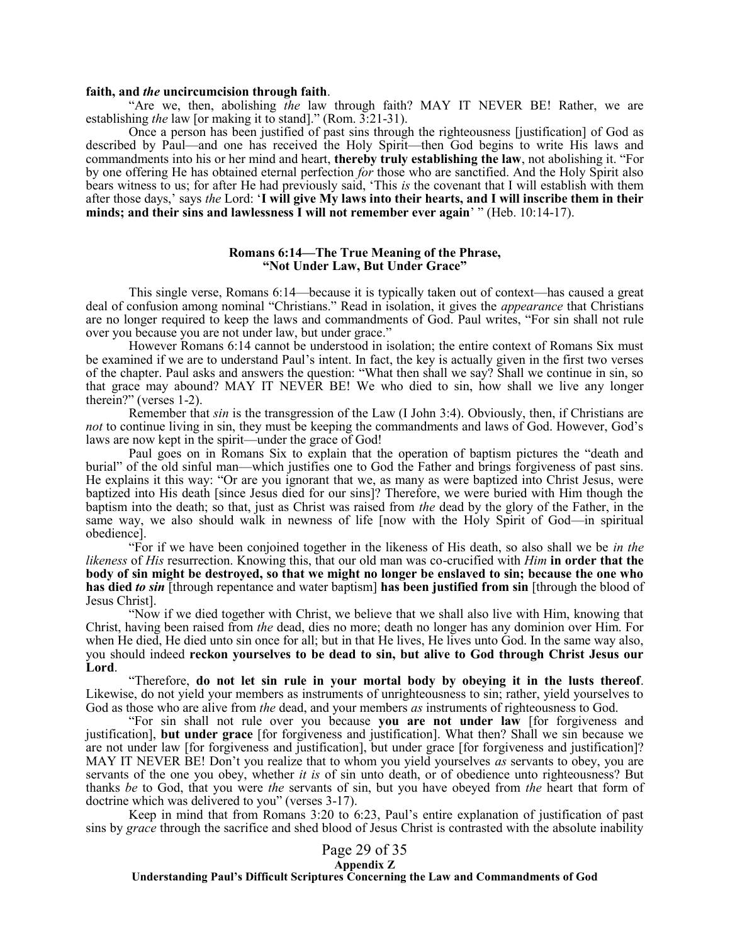#### **faith, and** *the* **uncircumcision through faith**.

"Are we, then, abolishing *the* law through faith? MAY IT NEVER BE! Rather, we are establishing *the* law [or making it to stand]." (Rom. 3:21-31).

Once a person has been justified of past sins through the righteousness [justification] of God as described by Paul—and one has received the Holy Spirit—then God begins to write His laws and commandments into his or her mind and heart, **thereby truly establishing the law**, not abolishing it. "For by one offering He has obtained eternal perfection *for* those who are sanctified. And the Holy Spirit also bears witness to us; for after He had previously said, 'This *is* the covenant that I will establish with them after those days,' says *the* Lord: '**I will give My laws into their hearts, and I will inscribe them in their minds; and their sins and lawlessness I will not remember ever again**' " (Heb. 10:14-17).

#### **Romans 6:14—The True Meaning of the Phrase, "Not Under Law, But Under Grace"**

This single verse, Romans 6:14—because it is typically taken out of context—has caused a great deal of confusion among nominal "Christians." Read in isolation, it gives the *appearance* that Christians are no longer required to keep the laws and commandments of God. Paul writes, "For sin shall not rule over you because you are not under law, but under grace."

However Romans 6:14 cannot be understood in isolation; the entire context of Romans Six must be examined if we are to understand Paul's intent. In fact, the key is actually given in the first two verses of the chapter. Paul asks and answers the question: "What then shall we say? Shall we continue in sin, so that grace may abound? MAY IT NEVER BE! We who died to sin, how shall we live any longer therein?" (verses 1-2).

Remember that *sin* is the transgression of the Law (I John 3:4). Obviously, then, if Christians are *not* to continue living in sin, they must be keeping the commandments and laws of God. However, God's laws are now kept in the spirit—under the grace of God!

Paul goes on in Romans Six to explain that the operation of baptism pictures the "death and burial" of the old sinful man—which justifies one to God the Father and brings forgiveness of past sins. He explains it this way: "Or are you ignorant that we, as many as were baptized into Christ Jesus, were baptized into His death [since Jesus died for our sins]? Therefore, we were buried with Him though the baptism into the death; so that, just as Christ was raised from *the* dead by the glory of the Father, in the same way, we also should walk in newness of life [now with the Holy Spirit of God—in spiritual obedience].

"For if we have been conjoined together in the likeness of His death, so also shall we be *in the likeness* of *His* resurrection. Knowing this, that our old man was co-crucified with *Him* **in order that the body of sin might be destroyed, so that we might no longer be enslaved to sin; because the one who has died** *to sin* [through repentance and water baptism] **has been justified from sin** [through the blood of Jesus Christ].

"Now if we died together with Christ, we believe that we shall also live with Him, knowing that Christ, having been raised from *the* dead, dies no more; death no longer has any dominion over Him. For when He died, He died unto sin once for all; but in that He lives, He lives unto God. In the same way also, you should indeed **reckon yourselves to be dead to sin, but alive to God through Christ Jesus our Lord**.

"Therefore, **do not let sin rule in your mortal body by obeying it in the lusts thereof**. Likewise, do not yield your members as instruments of unrighteousness to sin; rather, yield yourselves to God as those who are alive from *the* dead, and your members *as* instruments of righteousness to God.

"For sin shall not rule over you because **you are not under law** [for forgiveness and justification], **but under grace** [for forgiveness and justification]. What then? Shall we sin because we are not under law [for forgiveness and justification], but under grace [for forgiveness and justification]? MAY IT NEVER BE! Don't you realize that to whom you yield yourselves *as* servants to obey, you are servants of the one you obey, whether *it is* of sin unto death, or of obedience unto righteousness? But thanks *be* to God, that you were *the* servants of sin, but you have obeyed from *the* heart that form of doctrine which was delivered to you" (verses 3-17).

Keep in mind that from Romans 3:20 to 6:23, Paul's entire explanation of justification of past sins by *grace* through the sacrifice and shed blood of Jesus Christ is contrasted with the absolute inability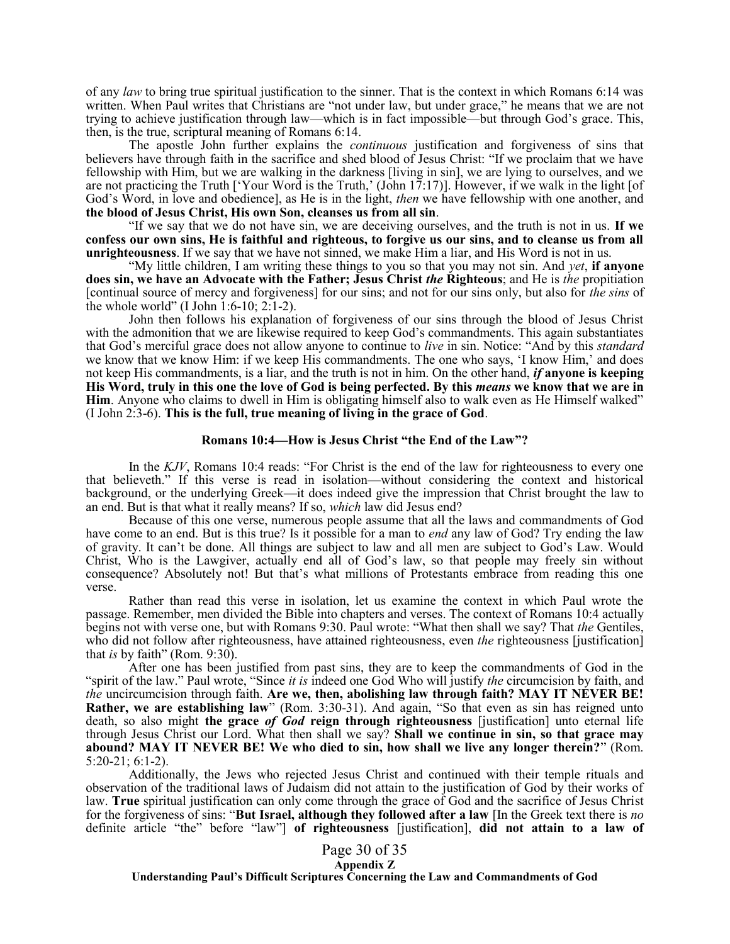of any *law* to bring true spiritual justification to the sinner. That is the context in which Romans 6:14 was written. When Paul writes that Christians are "not under law, but under grace," he means that we are not trying to achieve justification through law—which is in fact impossible—but through God's grace. This, then, is the true, scriptural meaning of Romans 6:14.

The apostle John further explains the *continuous* justification and forgiveness of sins that believers have through faith in the sacrifice and shed blood of Jesus Christ: "If we proclaim that we have fellowship with Him, but we are walking in the darkness [living in sin], we are lying to ourselves, and we are not practicing the Truth  $\lceil$  Your Word is the Truth,' (John 17:17)]. However, if we walk in the light  $\lceil$  of God's Word, in love and obedience], as He is in the light, *then* we have fellowship with one another, and **the blood of Jesus Christ, His own Son, cleanses us from all sin**.

"If we say that we do not have sin, we are deceiving ourselves, and the truth is not in us. **If we confess our own sins, He is faithful and righteous, to forgive us our sins, and to cleanse us from all unrighteousness**. If we say that we have not sinned, we make Him a liar, and His Word is not in us.

"My little children, I am writing these things to you so that you may not sin. And *yet*, **if anyone does sin, we have an Advocate with the Father; Jesus Christ** *the* **Righteous**; and He is *the* propitiation [continual source of mercy and forgiveness] for our sins; and not for our sins only, but also for *the sins* of the whole world" (I John 1:6-10; 2:1-2).

John then follows his explanation of forgiveness of our sins through the blood of Jesus Christ with the admonition that we are likewise required to keep God's commandments. This again substantiates that God's merciful grace does not allow anyone to continue to *live* in sin. Notice: "And by this *standard* we know that we know Him: if we keep His commandments. The one who says, 'I know Him,' and does not keep His commandments, is a liar, and the truth is not in him. On the other hand, *if* **anyone is keeping His Word, truly in this one the love of God is being perfected. By this** *means* **we know that we are in Him**. Anyone who claims to dwell in Him is obligating himself also to walk even as He Himself walked" (I John 2:3-6). **This is the full, true meaning of living in the grace of God**.

# **Romans 10:4—How is Jesus Christ "the End of the Law"?**

In the *KJV*, Romans 10:4 reads: "For Christ is the end of the law for righteousness to every one that believeth." If this verse is read in isolation—without considering the context and historical background, or the underlying Greek—it does indeed give the impression that Christ brought the law to an end. But is that what it really means? If so, *which* law did Jesus end?

Because of this one verse, numerous people assume that all the laws and commandments of God have come to an end. But is this true? Is it possible for a man to *end* any law of God? Try ending the law of gravity. It can't be done. All things are subject to law and all men are subject to God's Law. Would Christ, Who is the Lawgiver, actually end all of God's law, so that people may freely sin without consequence? Absolutely not! But that's what millions of Protestants embrace from reading this one verse.

Rather than read this verse in isolation, let us examine the context in which Paul wrote the passage. Remember, men divided the Bible into chapters and verses. The context of Romans 10:4 actually begins not with verse one, but with Romans 9:30. Paul wrote: "What then shall we say? That *the* Gentiles, who did not follow after righteousness, have attained righteousness, even *the* righteousness [justification] that *is* by faith" (Rom. 9:30).

After one has been justified from past sins, they are to keep the commandments of God in the "spirit of the law." Paul wrote, "Since *it is* indeed one God Who will justify *the* circumcision by faith, and *the* uncircumcision through faith. **Are we, then, abolishing law through faith? MAY IT NEVER BE! Rather, we are establishing law**" (Rom. 3:30-31). And again, "So that even as sin has reigned unto death, so also might **the grace** *of God* **reign through righteousness** [justification] unto eternal life through Jesus Christ our Lord. What then shall we say? **Shall we continue in sin, so that grace may abound? MAY IT NEVER BE! We who died to sin, how shall we live any longer therein?**" (Rom. 5:20-21; 6:1-2).

Additionally, the Jews who rejected Jesus Christ and continued with their temple rituals and observation of the traditional laws of Judaism did not attain to the justification of God by their works of law. **True** spiritual justification can only come through the grace of God and the sacrifice of Jesus Christ for the forgiveness of sins: "**But Israel, although they followed after a law** [In the Greek text there is *no* definite article "the" before "law"] **of righteousness** [justification], **did not attain to a law of**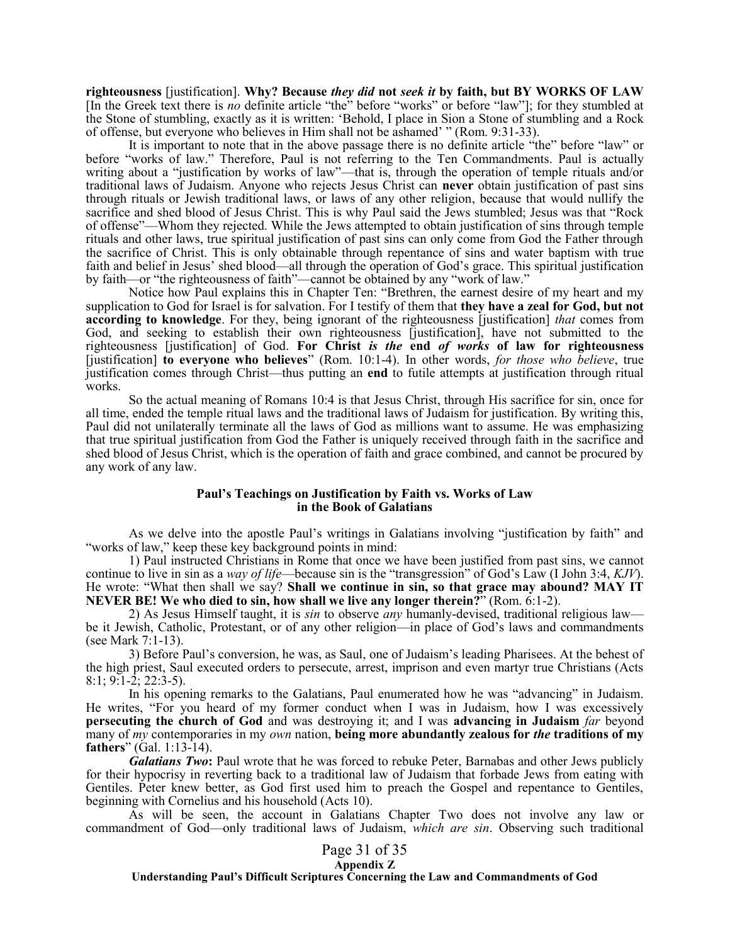**righteousness** [justification]. **Why? Because** *they did* **not** *seek it* **by faith, but BY WORKS OF LAW** [In the Greek text there is *no* definite article "the" before "works" or before "law"]; for they stumbled at the Stone of stumbling, exactly as it is written: 'Behold, I place in Sion a Stone of stumbling and a Rock of offense, but everyone who believes in Him shall not be ashamed' " (Rom. 9:31-33).

It is important to note that in the above passage there is no definite article "the" before "law" or before "works of law." Therefore, Paul is not referring to the Ten Commandments. Paul is actually writing about a "justification by works of law"—that is, through the operation of temple rituals and/or traditional laws of Judaism. Anyone who rejects Jesus Christ can **never** obtain justification of past sins through rituals or Jewish traditional laws, or laws of any other religion, because that would nullify the sacrifice and shed blood of Jesus Christ. This is why Paul said the Jews stumbled; Jesus was that "Rock of offense"—Whom they rejected. While the Jews attempted to obtain justification of sins through temple rituals and other laws, true spiritual justification of past sins can only come from God the Father through the sacrifice of Christ. This is only obtainable through repentance of sins and water baptism with true faith and belief in Jesus' shed blood—all through the operation of God's grace. This spiritual justification by faith—or "the righteousness of faith"—cannot be obtained by any "work of law."

Notice how Paul explains this in Chapter Ten: "Brethren, the earnest desire of my heart and my supplication to God for Israel is for salvation. For I testify of them that **they have a zeal for God, but not according to knowledge**. For they, being ignorant of the righteousness [justification] *that* comes from God, and seeking to establish their own righteousness [justification], have not submitted to the righteousness [justification] of God. **For Christ** *is the* **end** *of works* **of law for righteousness**  [justification] **to everyone who believes**" (Rom. 10:1-4). In other words, *for those who believe*, true justification comes through Christ—thus putting an **end** to futile attempts at justification through ritual works.

So the actual meaning of Romans 10:4 is that Jesus Christ, through His sacrifice for sin, once for all time, ended the temple ritual laws and the traditional laws of Judaism for justification. By writing this, Paul did not unilaterally terminate all the laws of God as millions want to assume. He was emphasizing that true spiritual justification from God the Father is uniquely received through faith in the sacrifice and shed blood of Jesus Christ, which is the operation of faith and grace combined, and cannot be procured by any work of any law.

# **Paul's Teachings on Justification by Faith vs. Works of Law in the Book of Galatians**

As we delve into the apostle Paul's writings in Galatians involving "justification by faith" and "works of law," keep these key background points in mind:

1) Paul instructed Christians in Rome that once we have been justified from past sins, we cannot continue to live in sin as a *way of life*—because sin is the "transgression" of God's Law (I John 3:4, *KJV*). He wrote: "What then shall we say? **Shall we continue in sin, so that grace may abound? MAY IT NEVER BE! We who died to sin, how shall we live any longer therein?**" (Rom. 6:1-2).

2) As Jesus Himself taught, it is *sin* to observe *any* humanly-devised, traditional religious law be it Jewish, Catholic, Protestant, or of any other religion—in place of God's laws and commandments (see Mark 7:1-13).

3) Before Paul's conversion, he was, as Saul, one of Judaism's leading Pharisees. At the behest of the high priest, Saul executed orders to persecute, arrest, imprison and even martyr true Christians (Acts 8:1; 9:1-2; 22:3-5).

In his opening remarks to the Galatians, Paul enumerated how he was "advancing" in Judaism. He writes, "For you heard of my former conduct when I was in Judaism, how I was excessively **persecuting the church of God** and was destroying it; and I was **advancing in Judaism** *far* beyond many of *my* contemporaries in my *own* nation, **being more abundantly zealous for** *the* **traditions of my fathers**" (Gal. 1:13-14).

*Galatians Two***:** Paul wrote that he was forced to rebuke Peter, Barnabas and other Jews publicly for their hypocrisy in reverting back to a traditional law of Judaism that forbade Jews from eating with Gentiles. Peter knew better, as God first used him to preach the Gospel and repentance to Gentiles, beginning with Cornelius and his household (Acts 10).

As will be seen, the account in Galatians Chapter Two does not involve any law or commandment of God—only traditional laws of Judaism, *which are sin*. Observing such traditional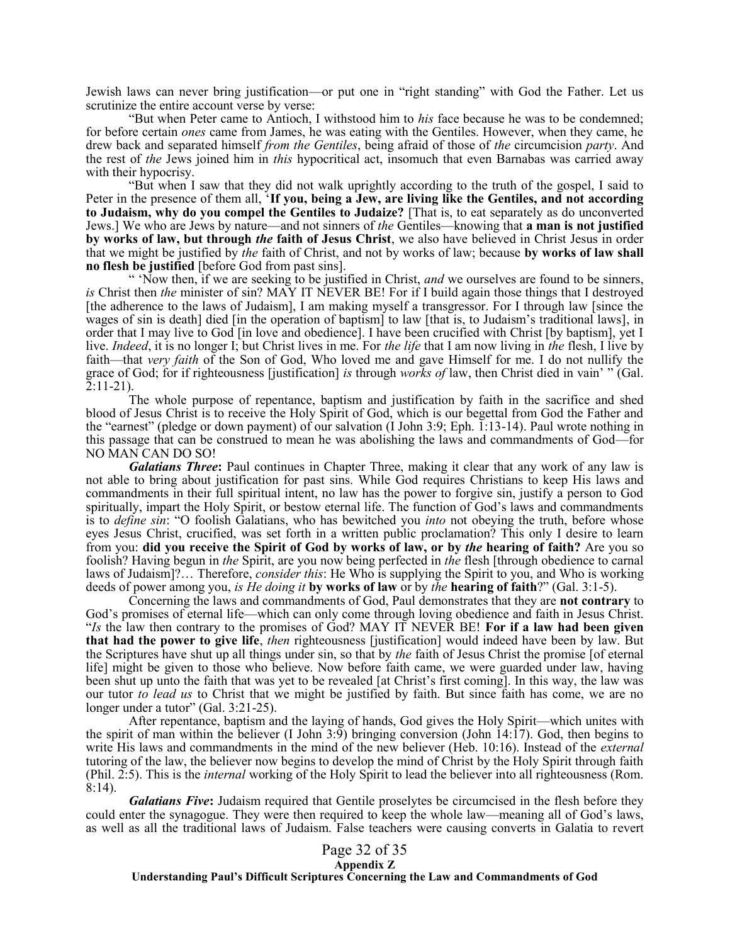Jewish laws can never bring justification—or put one in "right standing" with God the Father. Let us scrutinize the entire account verse by verse:

"But when Peter came to Antioch, I withstood him to *his* face because he was to be condemned; for before certain *ones* came from James, he was eating with the Gentiles. However, when they came, he drew back and separated himself *from the Gentiles*, being afraid of those of *the* circumcision *party*. And the rest of *the* Jews joined him in *this* hypocritical act, insomuch that even Barnabas was carried away with their hypocrisy.

"But when I saw that they did not walk uprightly according to the truth of the gospel, I said to Peter in the presence of them all, '**If you, being a Jew, are living like the Gentiles, and not according to Judaism, why do you compel the Gentiles to Judaize?** [That is, to eat separately as do unconverted Jews.] We who are Jews by nature—and not sinners of *the* Gentiles—knowing that **a man is not justified by works of law, but through** *the* **faith of Jesus Christ**, we also have believed in Christ Jesus in order that we might be justified by *the* faith of Christ, and not by works of law; because **by works of law shall no flesh be justified** [before God from past sins].

" 'Now then, if we are seeking to be justified in Christ, *and* we ourselves are found to be sinners, *is* Christ then *the* minister of sin? MAY IT NEVER BE! For if I build again those things that I destroyed [the adherence to the laws of Judaism], I am making myself a transgressor. For I through law [since the wages of sin is death] died [in the operation of baptism] to law [that is, to Judaism's traditional laws], in order that I may live to God [in love and obedience]. I have been crucified with Christ [by baptism], yet I live. *Indeed*, it is no longer I; but Christ lives in me. For *the life* that I am now living in *the* flesh, I live by faith—that *very faith* of the Son of God, Who loved me and gave Himself for me. I do not nullify the grace of God; for if righteousness [justification] *is* through *works of* law, then Christ died in vain' " (Gal.  $2:11-21$ ).

The whole purpose of repentance, baptism and justification by faith in the sacrifice and shed blood of Jesus Christ is to receive the Holy Spirit of God, which is our begettal from God the Father and the "earnest" (pledge or down payment) of our salvation (I John 3:9; Eph. 1:13-14). Paul wrote nothing in this passage that can be construed to mean he was abolishing the laws and commandments of God—for NO MAN CAN DO SO!

*Galatians Three***:** Paul continues in Chapter Three, making it clear that any work of any law is not able to bring about justification for past sins. While God requires Christians to keep His laws and commandments in their full spiritual intent, no law has the power to forgive sin, justify a person to God spiritually, impart the Holy Spirit, or bestow eternal life. The function of God's laws and commandments is to *define sin*: "O foolish Galatians, who has bewitched you *into* not obeying the truth, before whose eyes Jesus Christ, crucified, was set forth in a written public proclamation? This only I desire to learn from you: **did you receive the Spirit of God by works of law, or by** *the* **hearing of faith?** Are you so foolish? Having begun in *the* Spirit, are you now being perfected in *the* flesh [through obedience to carnal laws of Judaism]?… Therefore, *consider this*: He Who is supplying the Spirit to you, and Who is working deeds of power among you, *is He doing it* **by works of law** or by *the* **hearing of faith**?" (Gal. 3:1-5).

Concerning the laws and commandments of God, Paul demonstrates that they are **not contrary** to God's promises of eternal life—which can only come through loving obedience and faith in Jesus Christ. "*Is* the law then contrary to the promises of God? MAY IT NEVER BE! **For if a law had been given that had the power to give life**, *then* righteousness [justification] would indeed have been by law. But the Scriptures have shut up all things under sin, so that by *the* faith of Jesus Christ the promise [of eternal life] might be given to those who believe. Now before faith came, we were guarded under law, having been shut up unto the faith that was yet to be revealed [at Christ's first coming]. In this way, the law was our tutor *to lead us* to Christ that we might be justified by faith. But since faith has come, we are no longer under a tutor" (Gal. 3:21-25).

After repentance, baptism and the laying of hands, God gives the Holy Spirit—which unites with the spirit of man within the believer (I John  $3:9$ ) bringing conversion (John  $14:17$ ). God, then begins to write His laws and commandments in the mind of the new believer (Heb. 10:16). Instead of the *external* tutoring of the law, the believer now begins to develop the mind of Christ by the Holy Spirit through faith (Phil. 2:5). This is the *internal* working of the Holy Spirit to lead the believer into all righteousness (Rom. 8:14).

*Galatians Five***:** Judaism required that Gentile proselytes be circumcised in the flesh before they could enter the synagogue. They were then required to keep the whole law—meaning all of God's laws, as well as all the traditional laws of Judaism. False teachers were causing converts in Galatia to revert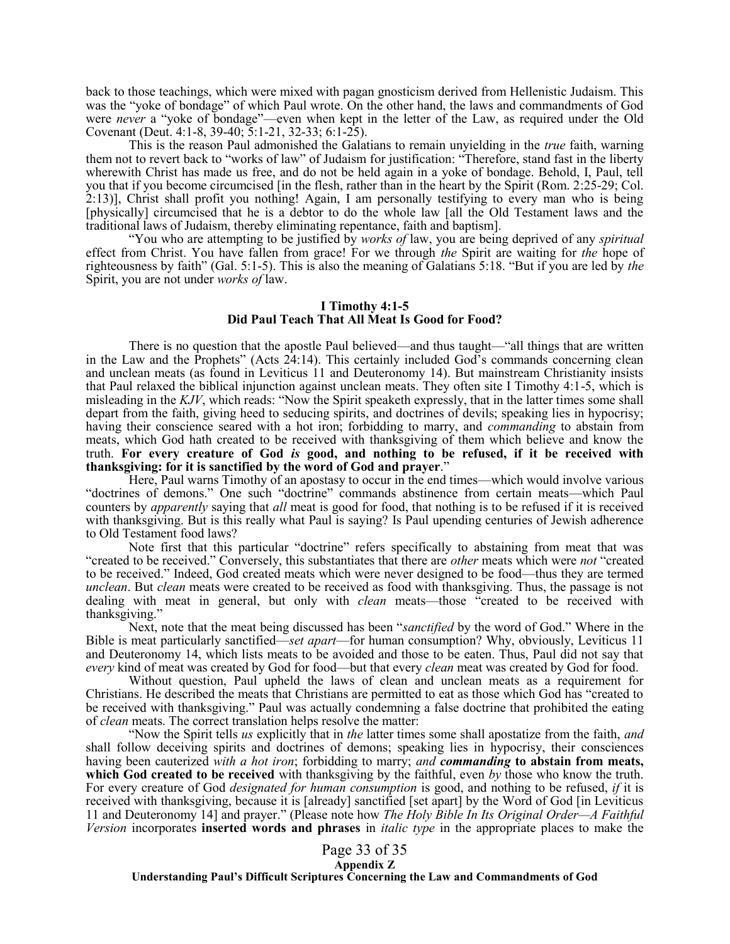back to those teachings, which were mixed with pagan gnosticism derived from Hellenistic Judaism. This was the "yoke of bondage" of which Paul wrote. On the other hand, the laws and commandments of God were *never* a "yoke of bondage"—even when kept in the letter of the Law, as required under the Old Covenant (Deut. 4:1-8, 39-40; 5:1-21, 32-33; 6:1-25).

This is the reason Paul admonished the Galatians to remain unyielding in the *true* faith, warning them not to revert back to "works of law" of Judaism for justification: "Therefore, stand fast in the liberty wherewith Christ has made us free, and do not be held again in a yoke of bondage. Behold, I, Paul, tell you that if you become circumcised [in the flesh, rather than in the heart by the Spirit (Rom. 2:25-29; Col. 2:13)], Christ shall profit you nothing! Again, I am personally testifying to every man who is being [physically] circumcised that he is a debtor to do the whole law [all the Old Testament laws and the traditional laws of Judaism, thereby eliminating repentance, faith and baptism].

"You who are attempting to be justified by *works of* law, you are being deprived of any *spiritual* effect from Christ. You have fallen from grace! For we through *the* Spirit are waiting for *the* hope of righteousness by faith" (Gal. 5:1-5). This is also the meaning of Galatians 5:18. "But if you are led by *the* Spirit, you are not under *works of* law.

# **I Timothy 4:1-5 Did Paul Teach That All Meat Is Good for Food?**

There is no question that the apostle Paul believed—and thus taught—"all things that are written in the Law and the Prophets" (Acts 24:14). This certainly included God's commands concerning clean and unclean meats (as found in Leviticus 11 and Deuteronomy 14). But mainstream Christianity insists that Paul relaxed the biblical injunction against unclean meats. They often site I Timothy 4:1-5, which is misleading in the *KJV*, which reads: "Now the Spirit speaketh expressly, that in the latter times some shall depart from the faith, giving heed to seducing spirits, and doctrines of devils; speaking lies in hypocrisy; having their conscience seared with a hot iron; forbidding to marry, and *commanding* to abstain from meats, which God hath created to be received with thanksgiving of them which believe and know the truth. **For every creature of God** *is* **good, and nothing to be refused, if it be received with thanksgiving: for it is sanctified by the word of God and prayer**."

Here, Paul warns Timothy of an apostasy to occur in the end times—which would involve various "doctrines of demons." One such "doctrine" commands abstinence from certain meats—which Paul counters by *apparently* saying that *all* meat is good for food, that nothing is to be refused if it is received with thanksgiving. But is this really what Paul is saying? Is Paul upending centuries of Jewish adherence to Old Testament food laws?

Note first that this particular "doctrine" refers specifically to abstaining from meat that was "created to be received." Conversely, this substantiates that there are *other* meats which were *not* "created to be received." Indeed, God created meats which were never designed to be food—thus they are termed *unclean*. But *clean* meats were created to be received as food with thanksgiving. Thus, the passage is not dealing with meat in general, but only with *clean* meats—those "created to be received with thanksgiving."

Next, note that the meat being discussed has been "*sanctified* by the word of God." Where in the Bible is meat particularly sanctified—*set apart*—for human consumption? Why, obviously, Leviticus 11 and Deuteronomy 14, which lists meats to be avoided and those to be eaten. Thus, Paul did not say that *every* kind of meat was created by God for food—but that every *clean* meat was created by God for food.

Without question, Paul upheld the laws of clean and unclean meats as a requirement for Christians. He described the meats that Christians are permitted to eat as those which God has "created to be received with thanksgiving." Paul was actually condemning a false doctrine that prohibited the eating of *clean* meats. The correct translation helps resolve the matter:

"Now the Spirit tells *us* explicitly that in *the* latter times some shall apostatize from the faith, *and* shall follow deceiving spirits and doctrines of demons; speaking lies in hypocrisy, their consciences having been cauterized *with a hot iron*; forbidding to marry; *and commanding* **to abstain from meats, which God created to be received** with thanksgiving by the faithful, even *by* those who know the truth. For every creature of God *designated for human consumption* is good, and nothing to be refused, *if* it is received with thanksgiving, because it is [already] sanctified [set apart] by the Word of God [in Leviticus 11 and Deuteronomy 14] and prayer." (Please note how *The Holy Bible In Its Original Order—A Faithful Version* incorporates **inserted words and phrases** in *italic type* in the appropriate places to make the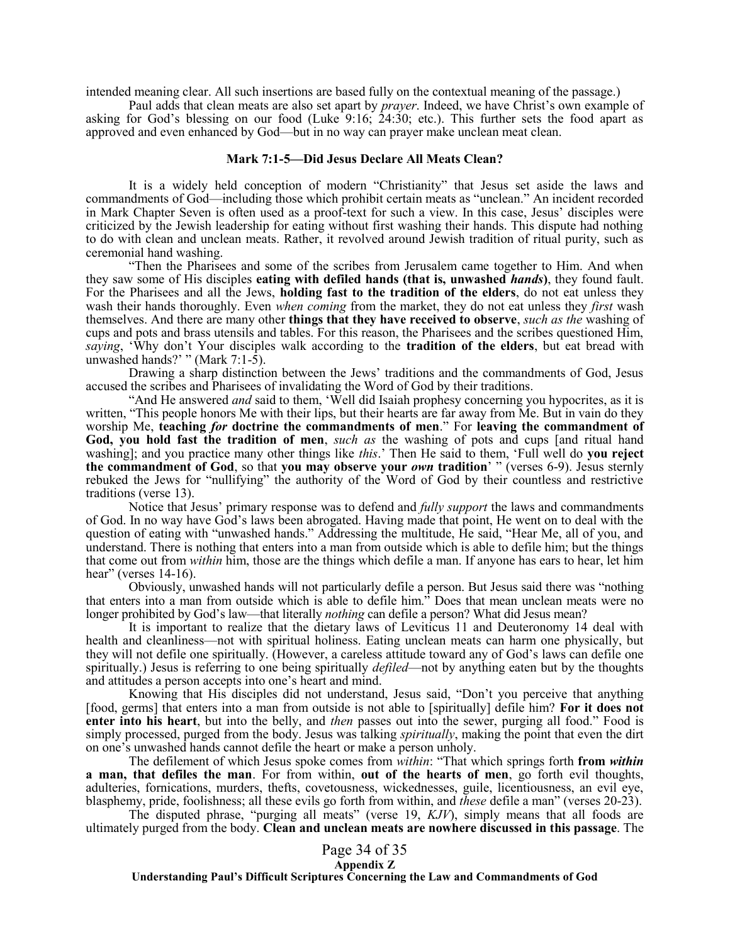intended meaning clear. All such insertions are based fully on the contextual meaning of the passage.)

Paul adds that clean meats are also set apart by *prayer*. Indeed, we have Christ's own example of asking for God's blessing on our food (Luke  $9:16$ ;  $24:30$ ; etc.). This further sets the food apart as approved and even enhanced by God—but in no way can prayer make unclean meat clean.

#### **Mark 7:1-5—Did Jesus Declare All Meats Clean?**

It is a widely held conception of modern "Christianity" that Jesus set aside the laws and commandments of God—including those which prohibit certain meats as "unclean." An incident recorded in Mark Chapter Seven is often used as a proof-text for such a view. In this case, Jesus' disciples were criticized by the Jewish leadership for eating without first washing their hands. This dispute had nothing to do with clean and unclean meats. Rather, it revolved around Jewish tradition of ritual purity, such as ceremonial hand washing.

"Then the Pharisees and some of the scribes from Jerusalem came together to Him. And when they saw some of His disciples **eating with defiled hands (that is, unwashed** *hands***)**, they found fault. For the Pharisees and all the Jews, **holding fast to the tradition of the elders**, do not eat unless they wash their hands thoroughly. Even *when coming* from the market, they do not eat unless they *first* wash themselves. And there are many other **things that they have received to observe**, *such as the* washing of cups and pots and brass utensils and tables. For this reason, the Pharisees and the scribes questioned Him, *saying*, 'Why don't Your disciples walk according to the **tradition of the elders**, but eat bread with unwashed hands?' " (Mark 7:1-5).

Drawing a sharp distinction between the Jews' traditions and the commandments of God, Jesus accused the scribes and Pharisees of invalidating the Word of God by their traditions.

"And He answered *and* said to them, 'Well did Isaiah prophesy concerning you hypocrites, as it is written, "This people honors Me with their lips, but their hearts are far away from Me. But in vain do they worship Me, **teaching** *for* **doctrine the commandments of men**." For **leaving the commandment of God, you hold fast the tradition of men**, *such as* the washing of pots and cups [and ritual hand washing]; and you practice many other things like *this*.' Then He said to them, 'Full well do **you reject the commandment of God**, so that **you may observe your** *own* **tradition**' " (verses 6-9). Jesus sternly rebuked the Jews for "nullifying" the authority of the Word of God by their countless and restrictive traditions (verse 13).

Notice that Jesus' primary response was to defend and *fully support* the laws and commandments of God. In no way have God's laws been abrogated. Having made that point, He went on to deal with the question of eating with "unwashed hands." Addressing the multitude, He said, "Hear Me, all of you, and understand. There is nothing that enters into a man from outside which is able to defile him; but the things that come out from *within* him, those are the things which defile a man. If anyone has ears to hear, let him hear" (verses 14-16).

Obviously, unwashed hands will not particularly defile a person. But Jesus said there was "nothing that enters into a man from outside which is able to defile him." Does that mean unclean meats were no longer prohibited by God's law—that literally *nothing* can defile a person? What did Jesus mean?

It is important to realize that the dietary laws of Leviticus 11 and Deuteronomy 14 deal with health and cleanliness—not with spiritual holiness. Eating unclean meats can harm one physically, but they will not defile one spiritually. (However, a careless attitude toward any of God's laws can defile one spiritually.) Jesus is referring to one being spiritually *defiled*—not by anything eaten but by the thoughts and attitudes a person accepts into one's heart and mind.

Knowing that His disciples did not understand, Jesus said, "Don't you perceive that anything [food, germs] that enters into a man from outside is not able to [spiritually] defile him? **For it does not enter into his heart**, but into the belly, and *then* passes out into the sewer, purging all food." Food is simply processed, purged from the body. Jesus was talking *spiritually*, making the point that even the dirt on one's unwashed hands cannot defile the heart or make a person unholy.

The defilement of which Jesus spoke comes from *within*: "That which springs forth **from** *within* **a man, that defiles the man**. For from within, **out of the hearts of men**, go forth evil thoughts, adulteries, fornications, murders, thefts, covetousness, wickednesses, guile, licentiousness, an evil eye, blasphemy, pride, foolishness; all these evils go forth from within, and *these* defile a man" (verses 20-23).

The disputed phrase, "purging all meats" (verse 19, *KJV*), simply means that all foods are ultimately purged from the body. **Clean and unclean meats are nowhere discussed in this passage**. The

Page 34 of 35 **Appendix Z Understanding Paul's Difficult Scriptures Concerning the Law and Commandments of God**